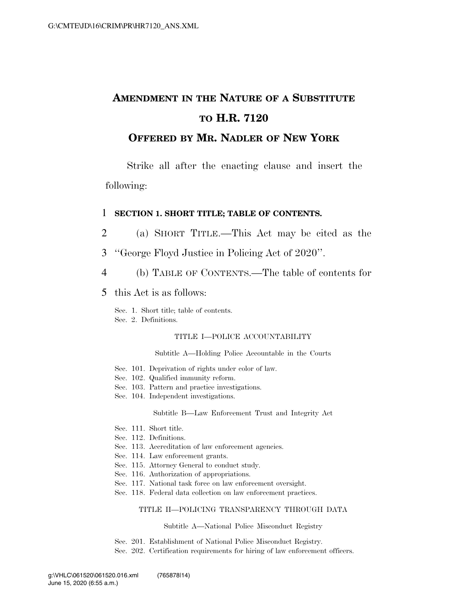# **AMENDMENT IN THE NATURE OF A SUBSTITUTE TO H.R. 7120**

# **OFFERED BY MR. NADLER OF NEW YORK**

Strike all after the enacting clause and insert the following:

# 1 **SECTION 1. SHORT TITLE; TABLE OF CONTENTS.**

- 2 (a) SHORT TITLE.—This Act may be cited as the
- 3 ''George Floyd Justice in Policing Act of 2020''.
- 4 (b) TABLE OF CONTENTS.—The table of contents for
- 5 this Act is as follows:

Sec. 1. Short title; table of contents. Sec. 2. Definitions.

## TITLE I—POLICE ACCOUNTABILITY

Subtitle A—Holding Police Accountable in the Courts

- Sec. 101. Deprivation of rights under color of law.
- Sec. 102. Qualified immunity reform.
- Sec. 103. Pattern and practice investigations.
- Sec. 104. Independent investigations.

Subtitle B—Law Enforcement Trust and Integrity Act

- Sec. 111. Short title.
- Sec. 112. Definitions.
- Sec. 113. Accreditation of law enforcement agencies.
- Sec. 114. Law enforcement grants.
- Sec. 115. Attorney General to conduct study.
- Sec. 116. Authorization of appropriations.
- Sec. 117. National task force on law enforcement oversight.
- Sec. 118. Federal data collection on law enforcement practices.

## TITLE II—POLICING TRANSPARENCY THROUGH DATA

### Subtitle A—National Police Misconduct Registry

- Sec. 201. Establishment of National Police Misconduct Registry.
- Sec. 202. Certification requirements for hiring of law enforcement officers.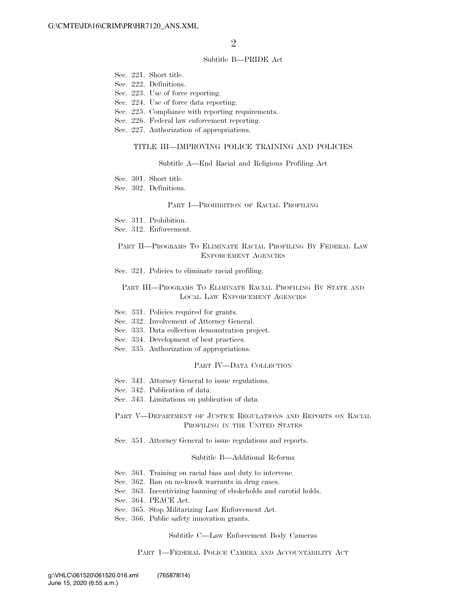#### Subtitle B—PRIDE Act

- Sec. 221. Short title. Sec. 222. Definitions. Sec. 223. Use of force reporting.
- Sec. 224. Use of force data reporting.
- Sec. 225. Compliance with reporting requirements.
- Sec. 226. Federal law enforcement reporting.
- Sec. 227. Authorization of appropriations.

### TITLE III—IMPROVING POLICE TRAINING AND POLICIES

#### Subtitle A—End Racial and Religious Profiling Act

- Sec. 301. Short title.
- Sec. 302. Definitions.

#### PART I—PROHIBITION OF RACIAL PROFILING

- Sec. 311. Prohibition.
- Sec. 312. Enforcement.

## PART II—PROGRAMS TO ELIMINATE RACIAL PROFILING BY FEDERAL LAW ENFORCEMENT AGENCIES

#### Sec. 321. Policies to eliminate racial profiling.

## PART III—PROGRAMS TO ELIMINATE RACIAL PROFILING BY STATE AND LOCAL LAW ENFORCEMENT AGENCIES

- Sec. 331. Policies required for grants.
- Sec. 332. Involvement of Attorney General.
- Sec. 333. Data collection demonstration project.
- Sec. 334. Development of best practices.
- Sec. 335. Authorization of appropriations.

#### PART IV—DATA COLLECTION

- Sec. 341. Attorney General to issue regulations.
- Sec. 342. Publication of data.
- Sec. 343. Limitations on publication of data.

## PART V—DEPARTMENT OF JUSTICE REGULATIONS AND REPORTS ON RACIAL PROFILING IN THE UNITED STATES

Sec. 351. Attorney General to issue regulations and reports.

#### Subtitle B—Additional Reforms

- Sec. 361. Training on racial bias and duty to intervene.
- Sec. 362. Ban on no-knock warrants in drug cases.
- Sec. 363. Incentivizing banning of chokeholds and carotid holds.
- Sec. 364. PEACE Act.
- Sec. 365. Stop Militarizing Law Enforcement Act.
- Sec. 366. Public safety innovation grants.

#### Subtitle C—Law Enforcement Body Cameras

## PART 1—FEDERAL POLICE CAMERA AND ACCOUNTABILITY ACT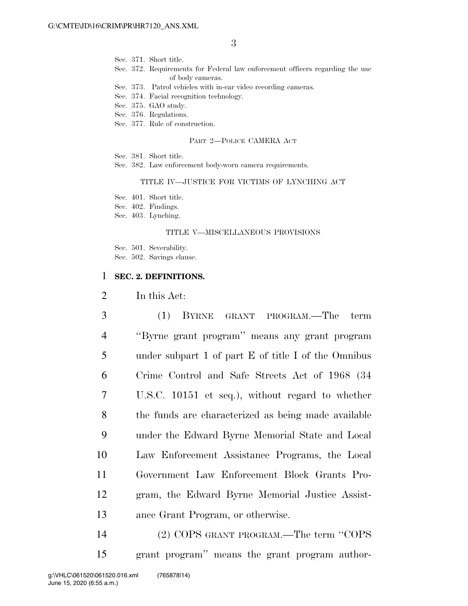- Sec. 372. Requirements for Federal law enforcement officers regarding the use of body cameras.
- Sec. 373. Patrol vehicles with in-car video recording cameras.
- Sec. 374. Facial recognition technology.
- Sec. 375. GAO study.
- Sec. 376. Regulations.
- Sec. 377. Rule of construction.

### PART 2—POLICE CAMERA ACT

Sec. 381. Short title.

Sec. 382. Law enforcement body-worn camera requirements.

## TITLE IV—JUSTICE FOR VICTIMS OF LYNCHING ACT

Sec. 401. Short title.

Sec. 402. Findings.

Sec. 403. Lynching.

#### TITLE V—MISCELLANEOUS PROVISIONS

Sec. 501. Severability. Sec. 502. Savings clause.

## 1 **SEC. 2. DEFINITIONS.**

2 In this Act:

 (1) BYRNE GRANT PROGRAM.—The term ''Byrne grant program'' means any grant program under subpart 1 of part E of title I of the Omnibus Crime Control and Safe Streets Act of 1968 (34 U.S.C. 10151 et seq.), without regard to whether the funds are characterized as being made available under the Edward Byrne Memorial State and Local Law Enforcement Assistance Programs, the Local Government Law Enforcement Block Grants Pro- gram, the Edward Byrne Memorial Justice Assist-ance Grant Program, or otherwise.

14 (2) COPS GRANT PROGRAM.—The term ''COPS 15 grant program'' means the grant program author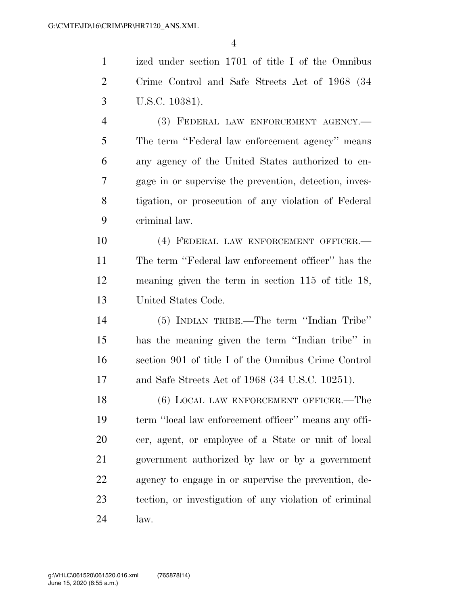ized under section 1701 of title I of the Omnibus Crime Control and Safe Streets Act of 1968 (34 U.S.C. 10381).

 (3) FEDERAL LAW ENFORCEMENT AGENCY.— The term ''Federal law enforcement agency'' means any agency of the United States authorized to en- gage in or supervise the prevention, detection, inves- tigation, or prosecution of any violation of Federal criminal law.

 (4) FEDERAL LAW ENFORCEMENT OFFICER.— The term ''Federal law enforcement officer'' has the meaning given the term in section 115 of title 18, United States Code.

 (5) INDIAN TRIBE.—The term ''Indian Tribe'' has the meaning given the term ''Indian tribe'' in section 901 of title I of the Omnibus Crime Control and Safe Streets Act of 1968 (34 U.S.C. 10251).

 (6) LOCAL LAW ENFORCEMENT OFFICER.—The term ''local law enforcement officer'' means any offi- cer, agent, or employee of a State or unit of local government authorized by law or by a government agency to engage in or supervise the prevention, de- tection, or investigation of any violation of criminal law.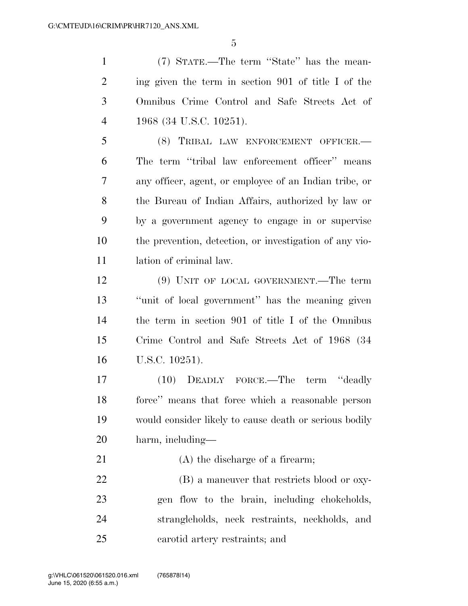(7) STATE.—The term ''State'' has the mean- ing given the term in section 901 of title I of the Omnibus Crime Control and Safe Streets Act of 1968 (34 U.S.C. 10251).

 (8) TRIBAL LAW ENFORCEMENT OFFICER.— The term ''tribal law enforcement officer'' means any officer, agent, or employee of an Indian tribe, or the Bureau of Indian Affairs, authorized by law or by a government agency to engage in or supervise the prevention, detection, or investigation of any vio-lation of criminal law.

 (9) UNIT OF LOCAL GOVERNMENT.—The term ''unit of local government'' has the meaning given the term in section 901 of title I of the Omnibus Crime Control and Safe Streets Act of 1968 (34 U.S.C. 10251).

 (10) DEADLY FORCE.—The term ''deadly force'' means that force which a reasonable person would consider likely to cause death or serious bodily harm, including—

21 (A) the discharge of a firearm;

 (B) a maneuver that restricts blood or oxy- gen flow to the brain, including chokeholds, strangleholds, neck restraints, neckholds, and carotid artery restraints; and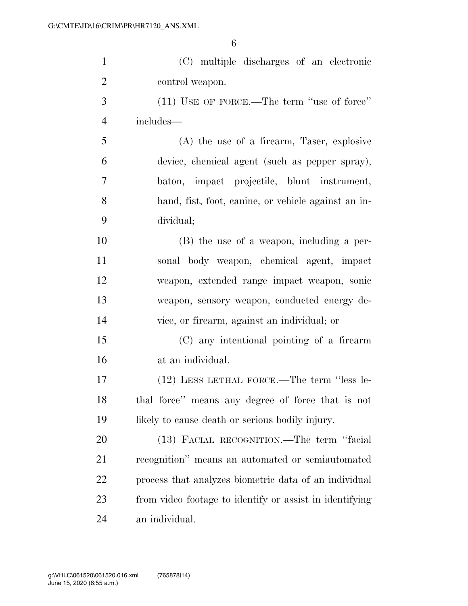| $\mathbf{1}$   | (C) multiple discharges of an electronic                |
|----------------|---------------------------------------------------------|
| $\overline{2}$ | control weapon.                                         |
| 3              | $(11)$ USE OF FORCE.—The term "use of force"            |
| $\overline{4}$ | includes—                                               |
| 5              | $(A)$ the use of a firearm, Taser, explosive            |
| 6              | device, chemical agent (such as pepper spray),          |
| 7              | baton, impact projectile, blunt instrument,             |
| 8              | hand, fist, foot, canine, or vehicle against an in-     |
| 9              | dividual;                                               |
| 10             | (B) the use of a weapon, including a per-               |
| 11             | sonal body weapon, chemical agent, impact               |
| 12             | weapon, extended range impact weapon, sonic             |
| 13             | weapon, sensory weapon, conducted energy de-            |
| 14             | vice, or firearm, against an individual; or             |
| 15             | (C) any intentional pointing of a firearm               |
| 16             | at an individual.                                       |
| 17             | (12) LESS LETHAL FORCE.—The term "less le-              |
| 18             | thal force" means any degree of force that is not       |
| 19             | likely to cause death or serious bodily injury.         |
| 20             | (13) FACIAL RECOGNITION.—The term "facial               |
| 21             | recognition" means an automated or semiautomated        |
| 22             | process that analyzes biometric data of an individual   |
| 23             | from video footage to identify or assist in identifying |
| 24             | an individual.                                          |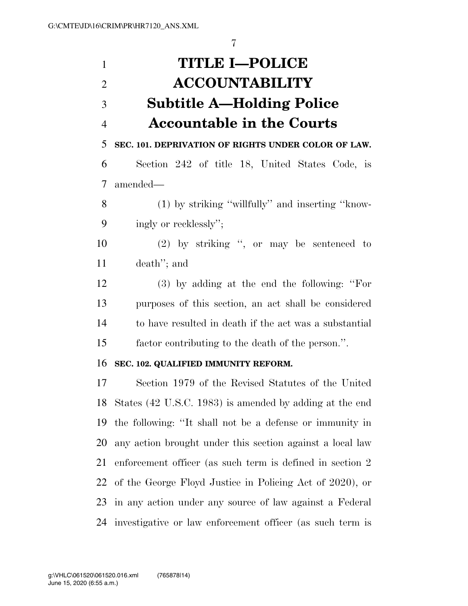**TITLE I—POLICE ACCOUNTABILITY Subtitle A—Holding Police Accountable in the Courts SEC. 101. DEPRIVATION OF RIGHTS UNDER COLOR OF LAW.**  Section 242 of title 18, United States Code, is amended— (1) by striking ''willfully'' and inserting ''know- ingly or recklessly''; (2) by striking '', or may be sentenced to death''; and (3) by adding at the end the following: ''For purposes of this section, an act shall be considered to have resulted in death if the act was a substantial factor contributing to the death of the person.''. **SEC. 102. QUALIFIED IMMUNITY REFORM.**  Section 1979 of the Revised Statutes of the United

 States (42 U.S.C. 1983) is amended by adding at the end the following: ''It shall not be a defense or immunity in any action brought under this section against a local law enforcement officer (as such term is defined in section 2 of the George Floyd Justice in Policing Act of 2020), or in any action under any source of law against a Federal investigative or law enforcement officer (as such term is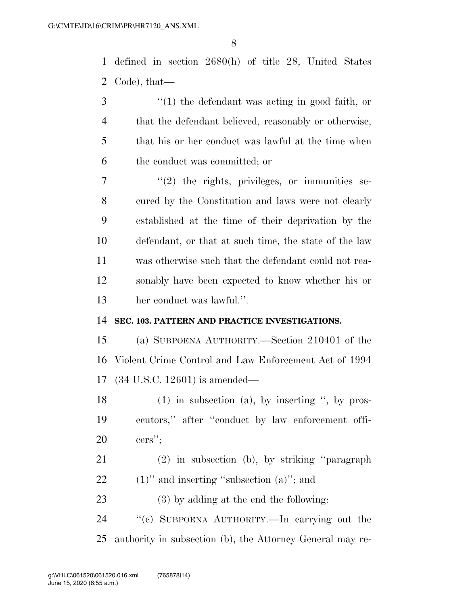defined in section 2680(h) of title 28, United States Code), that—

 ''(1) the defendant was acting in good faith, or that the defendant believed, reasonably or otherwise, that his or her conduct was lawful at the time when the conduct was committed; or

 $7 \t$  ''(2) the rights, privileges, or immunities se- cured by the Constitution and laws were not clearly established at the time of their deprivation by the defendant, or that at such time, the state of the law was otherwise such that the defendant could not rea- sonably have been expected to know whether his or her conduct was lawful.''.

# **SEC. 103. PATTERN AND PRACTICE INVESTIGATIONS.**

 (a) SUBPOENA AUTHORITY.—Section 210401 of the Violent Crime Control and Law Enforcement Act of 1994 (34 U.S.C. 12601) is amended—

18 (1) in subsection (a), by inserting ", by pros- ecutors,'' after ''conduct by law enforcement offi-cers'';

- (2) in subsection (b), by striking ''paragraph 22  $(1)$ " and inserting "subsection  $(a)$ "; and
- (3) by adding at the end the following:

 ''(c) SUBPOENA AUTHORITY.—In carrying out the authority in subsection (b), the Attorney General may re-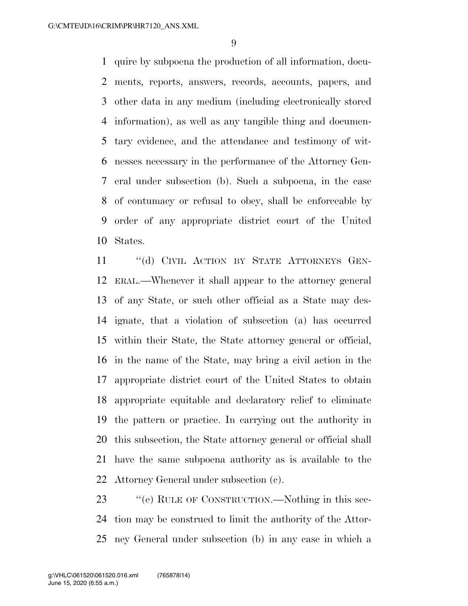quire by subpoena the production of all information, docu- ments, reports, answers, records, accounts, papers, and other data in any medium (including electronically stored information), as well as any tangible thing and documen- tary evidence, and the attendance and testimony of wit- nesses necessary in the performance of the Attorney Gen- eral under subsection (b). Such a subpoena, in the case of contumacy or refusal to obey, shall be enforceable by order of any appropriate district court of the United States.

11 "(d) CIVIL ACTION BY STATE ATTORNEYS GEN- ERAL.—Whenever it shall appear to the attorney general of any State, or such other official as a State may des- ignate, that a violation of subsection (a) has occurred within their State, the State attorney general or official, in the name of the State, may bring a civil action in the appropriate district court of the United States to obtain appropriate equitable and declaratory relief to eliminate the pattern or practice. In carrying out the authority in this subsection, the State attorney general or official shall have the same subpoena authority as is available to the Attorney General under subsection (c).

23 "(e) RULE OF CONSTRUCTION.—Nothing in this sec- tion may be construed to limit the authority of the Attor-ney General under subsection (b) in any case in which a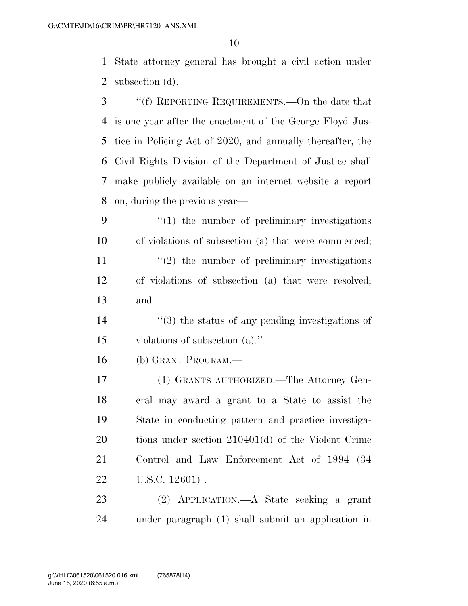State attorney general has brought a civil action under subsection (d).

- ''(f) REPORTING REQUIREMENTS.—On the date that is one year after the enactment of the George Floyd Jus- tice in Policing Act of 2020, and annually thereafter, the Civil Rights Division of the Department of Justice shall make publicly available on an internet website a report on, during the previous year—
- ''(1) the number of preliminary investigations of violations of subsection (a) that were commenced; 11  $\frac{1}{2}$  the number of preliminary investigations of violations of subsection (a) that were resolved; and
- $\frac{14}{2}$  ''(3) the status of any pending investigations of violations of subsection (a).''.
- (b) GRANT PROGRAM.—
- (1) GRANTS AUTHORIZED.—The Attorney Gen- eral may award a grant to a State to assist the State in conducting pattern and practice investiga- tions under section 210401(d) of the Violent Crime Control and Law Enforcement Act of 1994 (34 U.S.C. 12601) .
- (2) APPLICATION.—A State seeking a grant under paragraph (1) shall submit an application in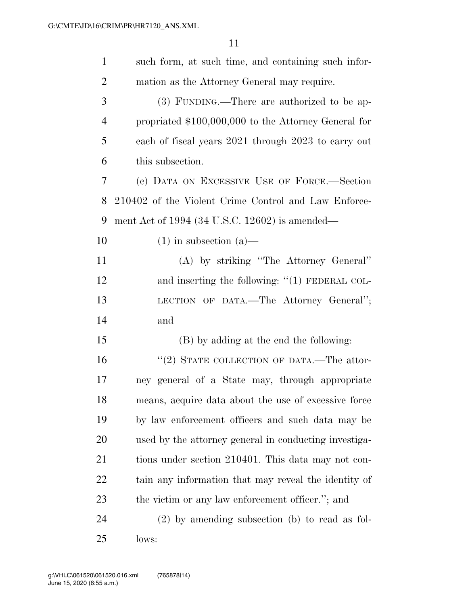| $\mathbf{1}$   | such form, at such time, and containing such infor-   |
|----------------|-------------------------------------------------------|
| $\overline{2}$ | mation as the Attorney General may require.           |
| 3              | (3) FUNDING.—There are authorized to be ap-           |
| $\overline{4}$ | propriated \$100,000,000 to the Attorney General for  |
| 5              | each of fiscal years 2021 through 2023 to carry out   |
| 6              | this subsection.                                      |
| 7              | (c) DATA ON EXCESSIVE USE OF FORCE.—Section           |
| 8              | 210402 of the Violent Crime Control and Law Enforce-  |
| 9              | ment Act of 1994 (34 U.S.C. 12602) is amended—        |
| 10             | $(1)$ in subsection $(a)$ —                           |
| 11             | (A) by striking "The Attorney General"                |
| 12             | and inserting the following: $\lq(1)$ FEDERAL COL-    |
| 13             | LECTION OF DATA.—The Attorney General";               |
| 14             | and                                                   |
| 15             | (B) by adding at the end the following:               |
| 16             | "(2) STATE COLLECTION OF DATA.—The attor-             |
| 17             | ney general of a State may, through appropriate       |
| 18             | means, acquire data about the use of excessive force  |
| 19             | by law enforcement officers and such data may be      |
| <b>20</b>      | used by the attorney general in conducting investiga- |
| 21             | tions under section 210401. This data may not con-    |
| 22             | tain any information that may reveal the identity of  |
| 23             | the victim or any law enforcement officer."; and      |
| 24             | $(2)$ by amending subsection (b) to read as fol-      |
| 25             | lows:                                                 |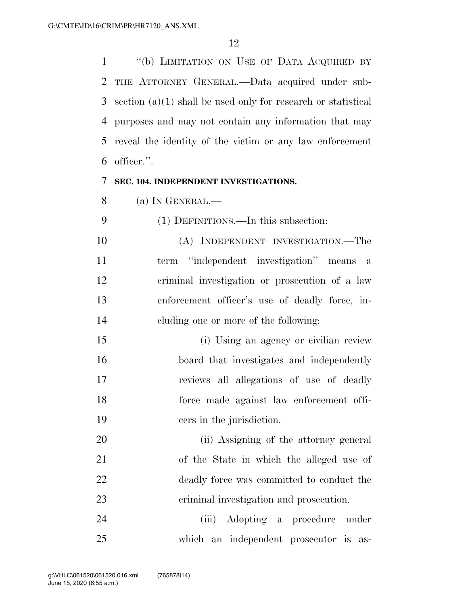''(b) LIMITATION ON USE OF DATA ACQUIRED BY THE ATTORNEY GENERAL.—Data acquired under sub- section (a)(1) shall be used only for research or statistical purposes and may not contain any information that may reveal the identity of the victim or any law enforcement officer.''.

# **SEC. 104. INDEPENDENT INVESTIGATIONS.**

(a) IN GENERAL.—

- (1) DEFINITIONS.—In this subsection: (A) INDEPENDENT INVESTIGATION.—The term ''independent investigation'' means a criminal investigation or prosecution of a law enforcement officer's use of deadly force, in-cluding one or more of the following:
- (i) Using an agency or civilian review board that investigates and independently reviews all allegations of use of deadly force made against law enforcement offi-cers in the jurisdiction.
- (ii) Assigning of the attorney general of the State in which the alleged use of deadly force was committed to conduct the criminal investigation and prosecution.

 (iii) Adopting a procedure under which an independent prosecutor is as-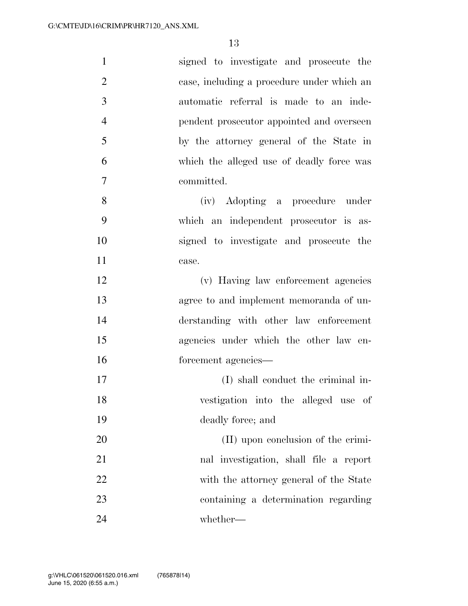| $\mathbf{1}$   | signed to investigate and prosecute the    |
|----------------|--------------------------------------------|
| $\overline{2}$ | case, including a procedure under which an |
| 3              | automatic referral is made to an inde-     |
| $\overline{4}$ | pendent prosecutor appointed and overseen  |
| 5              | by the attorney general of the State in    |
| 6              | which the alleged use of deadly force was  |
| 7              | committed.                                 |
| 8              | (iv) Adopting a procedure under            |
| 9              | which an independent prosecutor is as-     |
| 10             | signed to investigate and prosecute the    |
| 11             | case.                                      |
| 12             | (v) Having law enforcement agencies        |
| 13             | agree to and implement memoranda of un-    |
| 14             | derstanding with other law enforcement     |
| 15             | agencies under which the other law en-     |
| 16             | forcement agencies—                        |
| 17             | (I) shall conduct the criminal in-         |
| 18             | vestigation into the alleged use of        |
| 19             | deadly force; and                          |
| 20             | (II) upon conclusion of the crimi-         |
| 21             | nal investigation, shall file a report     |
| 22             | with the attorney general of the State     |
| 23             | containing a determination regarding       |
| 24             | whether—                                   |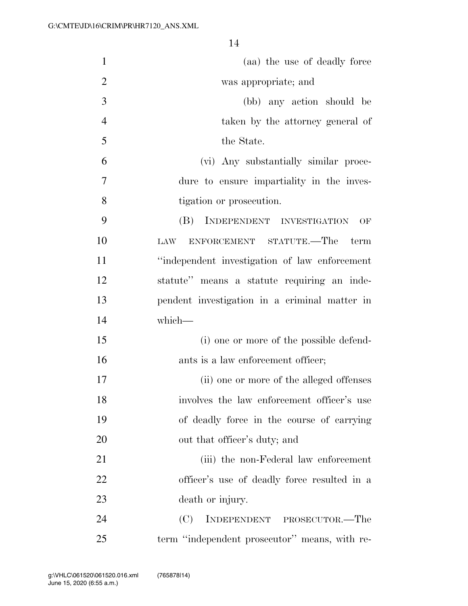| $\mathbf{1}$   | (aa) the use of deadly force                   |
|----------------|------------------------------------------------|
| $\overline{2}$ | was appropriate; and                           |
| 3              | (bb) any action should be                      |
| $\overline{4}$ | taken by the attorney general of               |
| 5              | the State.                                     |
| 6              | (vi) Any substantially similar proce-          |
| $\overline{7}$ | dure to ensure impartiality in the inves-      |
| 8              | tigation or prosecution.                       |
| 9              | INDEPENDENT INVESTIGATION<br>(B)<br>OF         |
| 10             | ENFORCEMENT STATUTE.—The term<br>LAW           |
| 11             | "independent investigation of law enforcement" |
| 12             | statute" means a statute requiring an inde-    |
| 13             | pendent investigation in a criminal matter in  |
| 14             | which-                                         |
| 15             | (i) one or more of the possible defend-        |
| 16             | ants is a law enforcement officer;             |
| 17             | (ii) one or more of the alleged offenses       |
| 18             | involves the law enforcement officer's use     |
| 19             | of deadly force in the course of carrying      |
| 20             | out that officer's duty; and                   |
| 21             | (iii) the non-Federal law enforcement          |
| 22             | officer's use of deadly force resulted in a    |
| 23             | death or injury.                               |
| 24             | INDEPENDENT PROSECUTOR.—The<br>(C)             |
| 25             | term "independent prosecutor" means, with re-  |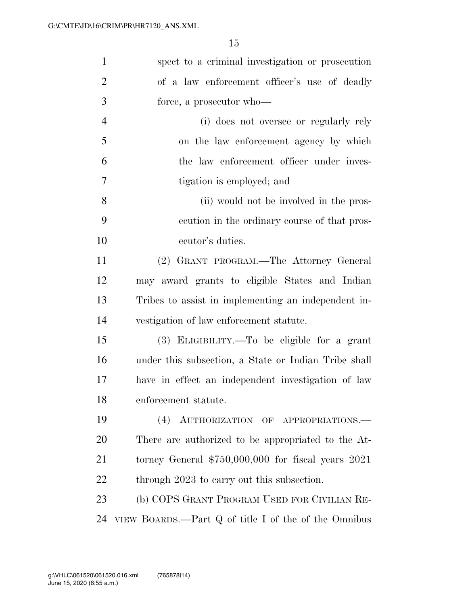| $\mathbf{1}$   | spect to a criminal investigation or prosecution       |
|----------------|--------------------------------------------------------|
| $\overline{2}$ | of a law enforcement officer's use of deadly           |
| 3              |                                                        |
|                | force, a prosecutor who-                               |
| $\overline{4}$ | (i) does not oversee or regularly rely                 |
| 5              | on the law enforcement agency by which                 |
| 6              | the law enforcement officer under inves-               |
| 7              | tigation is employed; and                              |
| 8              | (ii) would not be involved in the pros-                |
| 9              | ecution in the ordinary course of that pros-           |
| 10             | ecutor's duties.                                       |
| 11             | (2) GRANT PROGRAM.—The Attorney General                |
| 12             | may award grants to eligible States and Indian         |
| 13             | Tribes to assist in implementing an independent in-    |
| 14             | vestigation of law enforcement statute.                |
| 15             | (3) ELIGIBILITY.—To be eligible for a grant            |
| 16             | under this subsection, a State or Indian Tribe shall   |
| 17             | have in effect an independent investigation of law     |
| 18             | enforcement statute.                                   |
| 19             | (4) AUTHORIZATION OF APPROPRIATIONS.                   |
| 20             | There are authorized to be appropriated to the At-     |
| 21             | torney General $$750,000,000$ for fiscal years $2021$  |
| <u>22</u>      | through 2023 to carry out this subsection.             |
| 23             | (b) COPS GRANT PROGRAM USED FOR CIVILIAN RE-           |
| 24             | VIEW BOARDS.—Part $Q$ of title I of the of the Omnibus |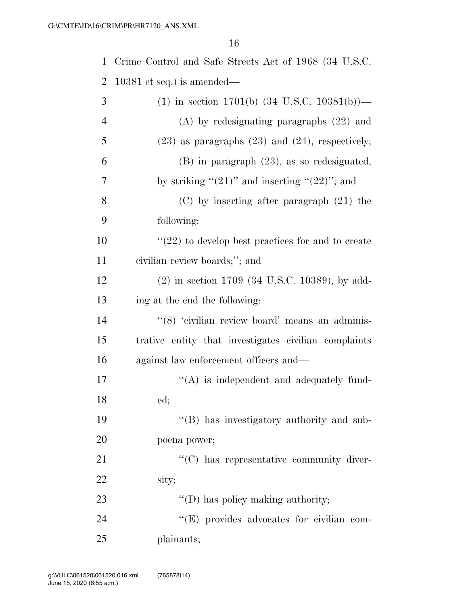| $\mathbf{1}$   | Crime Control and Safe Streets Act of 1968 (34 U.S.C.      |
|----------------|------------------------------------------------------------|
| $\overline{2}$ | $10381$ et seq.) is amended—                               |
| 3              | $(1)$ in section 1701(b) $(34 \text{ U.S.C. } 10381(b))$ — |
| $\overline{4}$ | $(A)$ by redesignating paragraphs $(22)$ and               |
| 5              | $(23)$ as paragraphs $(23)$ and $(24)$ , respectively;     |
| 6              | $(B)$ in paragraph $(23)$ , as so redesignated,            |
| 7              | by striking " $(21)$ " and inserting " $(22)$ "; and       |
| 8              | $(C)$ by inserting after paragraph $(21)$ the              |
| 9              | following:                                                 |
| 10             | $\lq(22)$ to develop best practices for and to create      |
| 11             | civilian review boards;"; and                              |
| 12             | $(2)$ in section 1709 (34 U.S.C. 10389), by add-           |
| 13             | ing at the end the following:                              |
| 14             | "(8) 'civilian review board' means an adminis-             |
| 15             | trative entity that investigates civilian complaints       |
| 16             | against law enforcement officers and—                      |
| 17             | $\lq\lq$ is independent and adequately fund-               |
| 18             | ed;                                                        |
| 19             | "(B) has investigatory authority and sub-                  |
| 20             | poena power;                                               |

21 ''(C) has representative community diver-sity;

23 ''(D) has policy making authority; 24 ''(E) provides advocates for civilian com-plainants;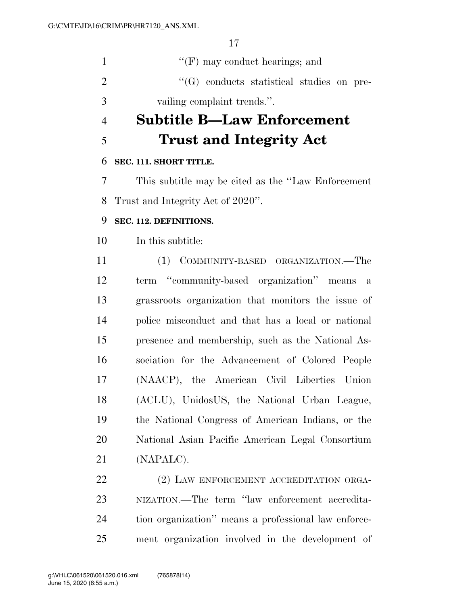| $\lq\lq(F)$ may conduct hearings; and             |
|---------------------------------------------------|
| $\lq\lq (G)$ conducts statistical studies on pre- |
| vailing complaint trends."                        |

# **Subtitle B—Law Enforcement Trust and Integrity Act**

# **SEC. 111. SHORT TITLE.**

 This subtitle may be cited as the ''Law Enforcement Trust and Integrity Act of 2020''.

# **SEC. 112. DEFINITIONS.**

In this subtitle:

 (1) COMMUNITY-BASED ORGANIZATION.—The term ''community-based organization'' means a grassroots organization that monitors the issue of police misconduct and that has a local or national presence and membership, such as the National As- sociation for the Advancement of Colored People (NAACP), the American Civil Liberties Union (ACLU), UnidosUS, the National Urban League, the National Congress of American Indians, or the National Asian Pacific American Legal Consortium (NAPALC).

22 (2) LAW ENFORCEMENT ACCREDITATION ORGA- NIZATION.—The term ''law enforcement accredita- tion organization'' means a professional law enforce-ment organization involved in the development of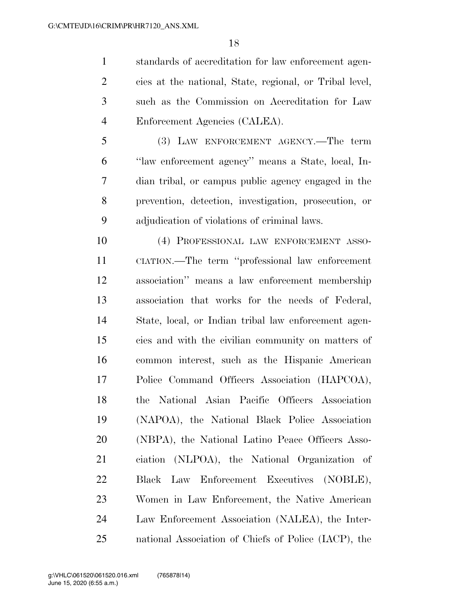standards of accreditation for law enforcement agen- cies at the national, State, regional, or Tribal level, such as the Commission on Accreditation for Law Enforcement Agencies (CALEA).

 (3) LAW ENFORCEMENT AGENCY.—The term ''law enforcement agency'' means a State, local, In- dian tribal, or campus public agency engaged in the prevention, detection, investigation, prosecution, or adjudication of violations of criminal laws.

 (4) PROFESSIONAL LAW ENFORCEMENT ASSO- CIATION.—The term ''professional law enforcement association'' means a law enforcement membership association that works for the needs of Federal, State, local, or Indian tribal law enforcement agen- cies and with the civilian community on matters of common interest, such as the Hispanic American Police Command Officers Association (HAPCOA), the National Asian Pacific Officers Association (NAPOA), the National Black Police Association (NBPA), the National Latino Peace Officers Asso- ciation (NLPOA), the National Organization of Black Law Enforcement Executives (NOBLE), Women in Law Enforcement, the Native American Law Enforcement Association (NALEA), the Inter-national Association of Chiefs of Police (IACP), the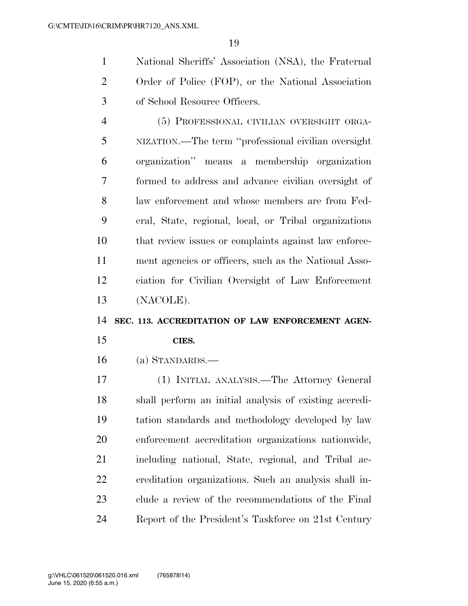National Sheriffs' Association (NSA), the Fraternal Order of Police (FOP), or the National Association of School Resource Officers.

 (5) PROFESSIONAL CIVILIAN OVERSIGHT ORGA- NIZATION.—The term ''professional civilian oversight organization'' means a membership organization formed to address and advance civilian oversight of law enforcement and whose members are from Fed- eral, State, regional, local, or Tribal organizations that review issues or complaints against law enforce- ment agencies or officers, such as the National Asso- ciation for Civilian Oversight of Law Enforcement (NACOLE).

# **SEC. 113. ACCREDITATION OF LAW ENFORCEMENT AGEN-**

# **CIES.**

(a) STANDARDS.—

 (1) INITIAL ANALYSIS.—The Attorney General shall perform an initial analysis of existing accredi- tation standards and methodology developed by law enforcement accreditation organizations nationwide, including national, State, regional, and Tribal ac- creditation organizations. Such an analysis shall in- clude a review of the recommendations of the Final Report of the President's Taskforce on 21st Century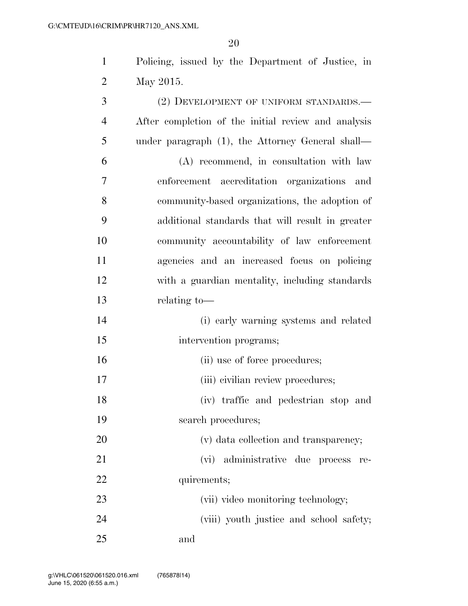Policing, issued by the Department of Justice, in May 2015.

| 3              | (2) DEVELOPMENT OF UNIFORM STANDARDS.—                 |
|----------------|--------------------------------------------------------|
| $\overline{4}$ | After completion of the initial review and analysis    |
| 5              | under paragraph (1), the Attorney General shall—       |
| 6              | (A) recommend, in consultation with law                |
| 7              | enforcement accreditation organizations<br>and         |
| 8              | community-based organizations, the adoption of         |
| 9              | additional standards that will result in greater       |
| 10             | community accountability of law enforcement            |
| 11             | agencies and an increased focus on policing            |
| 12             | with a guardian mentality, including standards         |
| 13             | relating to-                                           |
| 14             | (i) early warning systems and related                  |
| 15             | intervention programs;                                 |
| 16             | (ii) use of force procedures;                          |
| 17             | (iii) civilian review procedures;                      |
| 18             | (iv) traffic and pedestrian stop and                   |
| 19             | search procedures;                                     |
| 20             | (v) data collection and transparency;                  |
| 21             | administrative due process<br>$(\overline{vi})$<br>re- |
| 22             | quirements;                                            |
| 23             | (vii) video monitoring technology;                     |
| 24             | (viii) youth justice and school safety;                |
| 25             | and                                                    |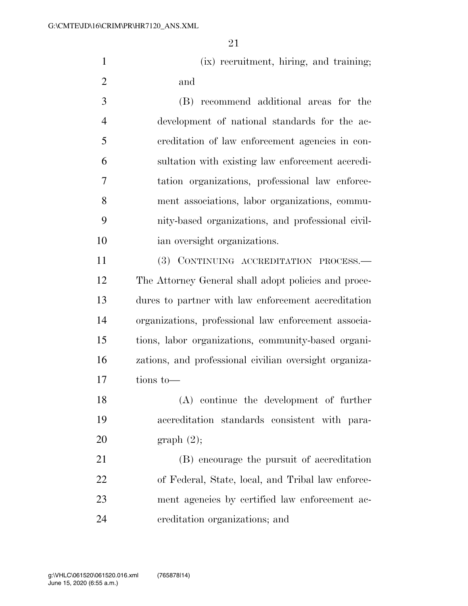(ix) recruitment, hiring, and training; and

 (B) recommend additional areas for the development of national standards for the ac- creditation of law enforcement agencies in con- sultation with existing law enforcement accredi- tation organizations, professional law enforce- ment associations, labor organizations, commu- nity-based organizations, and professional civil-ian oversight organizations.

 (3) CONTINUING ACCREDITATION PROCESS.— The Attorney General shall adopt policies and proce- dures to partner with law enforcement accreditation organizations, professional law enforcement associa- tions, labor organizations, community-based organi- zations, and professional civilian oversight organiza-tions to—

 (A) continue the development of further accreditation standards consistent with para-graph (2);

 (B) encourage the pursuit of accreditation of Federal, State, local, and Tribal law enforce- ment agencies by certified law enforcement ac-creditation organizations; and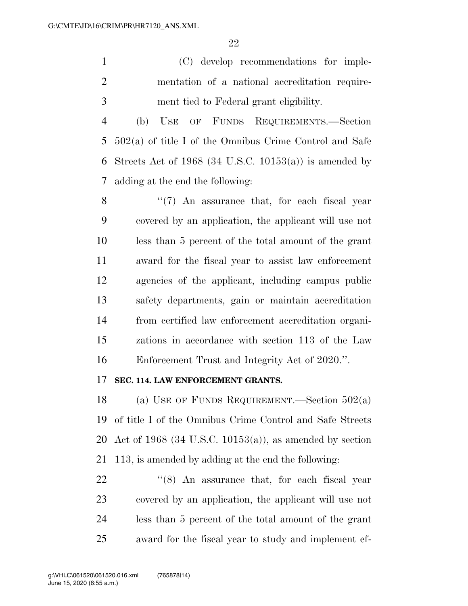(C) develop recommendations for imple- mentation of a national accreditation require-ment tied to Federal grant eligibility.

 (b) USE OF FUNDS REQUIREMENTS.—Section 502(a) of title I of the Omnibus Crime Control and Safe 6 Streets Act of 1968 (34 U.S.C. 10153(a)) is amended by adding at the end the following:

8 ''(7) An assurance that, for each fiscal year covered by an application, the applicant will use not less than 5 percent of the total amount of the grant award for the fiscal year to assist law enforcement agencies of the applicant, including campus public safety departments, gain or maintain accreditation from certified law enforcement accreditation organi- zations in accordance with section 113 of the Law Enforcement Trust and Integrity Act of 2020.''.

# **SEC. 114. LAW ENFORCEMENT GRANTS.**

 (a) USE OF FUNDS REQUIREMENT.—Section 502(a) of title I of the Omnibus Crime Control and Safe Streets Act of 1968 (34 U.S.C. 10153(a)), as amended by section 113, is amended by adding at the end the following:

22 "(8) An assurance that, for each fiscal year covered by an application, the applicant will use not less than 5 percent of the total amount of the grant award for the fiscal year to study and implement ef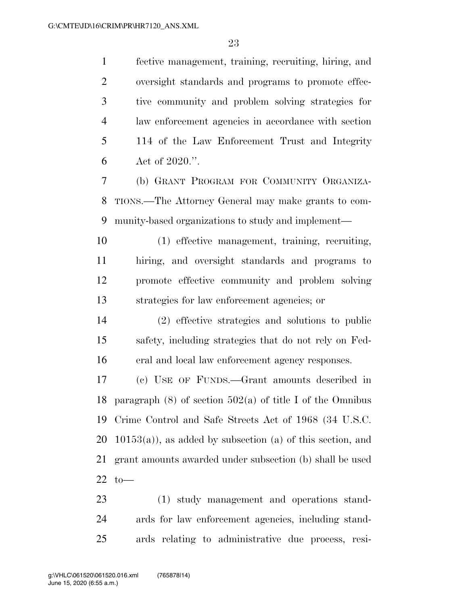fective management, training, recruiting, hiring, and oversight standards and programs to promote effec- tive community and problem solving strategies for law enforcement agencies in accordance with section 114 of the Law Enforcement Trust and Integrity Act of 2020.''.

 (b) GRANT PROGRAM FOR COMMUNITY ORGANIZA- TIONS.—The Attorney General may make grants to com-munity-based organizations to study and implement—

 (1) effective management, training, recruiting, hiring, and oversight standards and programs to promote effective community and problem solving strategies for law enforcement agencies; or

 (2) effective strategies and solutions to public safety, including strategies that do not rely on Fed-eral and local law enforcement agency responses.

 (c) USE OF FUNDS.—Grant amounts described in 18 paragraph (8) of section  $502(a)$  of title I of the Omnibus Crime Control and Safe Streets Act of 1968 (34 U.S.C. 20 10153(a)), as added by subsection (a) of this section, and grant amounts awarded under subsection (b) shall be used to—

 (1) study management and operations stand- ards for law enforcement agencies, including stand-ards relating to administrative due process, resi-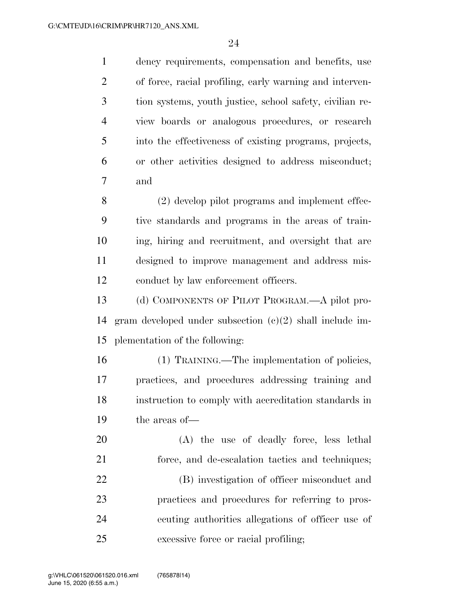dency requirements, compensation and benefits, use of force, racial profiling, early warning and interven- tion systems, youth justice, school safety, civilian re- view boards or analogous procedures, or research into the effectiveness of existing programs, projects, or other activities designed to address misconduct; and (2) develop pilot programs and implement effec- tive standards and programs in the areas of train- ing, hiring and recruitment, and oversight that are designed to improve management and address mis-12 conduct by law enforcement officers. (d) COMPONENTS OF PILOT PROGRAM.—A pilot pro- gram developed under subsection (c)(2) shall include im- plementation of the following: (1) TRAINING.—The implementation of policies, practices, and procedures addressing training and instruction to comply with accreditation standards in the areas of— (A) the use of deadly force, less lethal force, and de-escalation tactics and techniques; (B) investigation of officer misconduct and practices and procedures for referring to pros- ecuting authorities allegations of officer use of excessive force or racial profiling;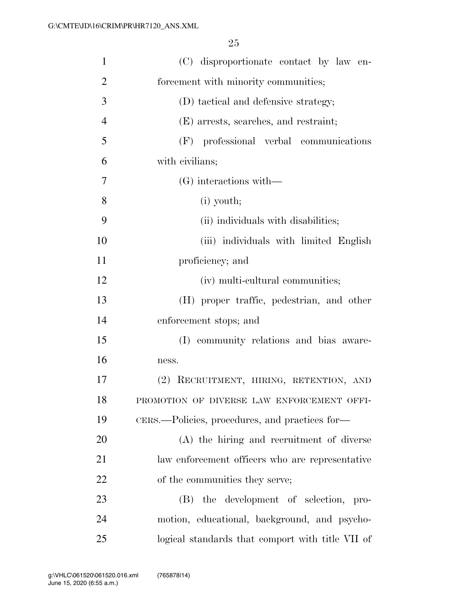| $\mathbf{1}$   | (C) disproportionate contact by law en-          |
|----------------|--------------------------------------------------|
| $\overline{2}$ | forcement with minority communities;             |
| 3              | (D) tactical and defensive strategy;             |
| $\overline{4}$ | (E) arrests, searches, and restraint;            |
| 5              | (F) professional verbal communications           |
| 6              | with civilians;                                  |
| 7              | (G) interactions with—                           |
| 8              | $(i)$ youth;                                     |
| 9              | (ii) individuals with disabilities;              |
| 10             | (iii) individuals with limited English           |
| <sup>11</sup>  | proficiency; and                                 |
| 12             | (iv) multi-cultural communities;                 |
| 13             | (H) proper traffic, pedestrian, and other        |
| 14             | enforcement stops; and                           |
| 15             | (I) community relations and bias aware-          |
| 16             | ness.                                            |
| 17             | (2) RECRUITMENT, HIRING, RETENTION, AND          |
| 18             | PROMOTION OF DIVERSE LAW ENFORCEMENT OFFI-       |
| 19             | CERS.—Policies, procedures, and practices for—   |
| 20             | (A) the hiring and recruitment of diverse        |
| 21             | law enforcement officers who are representative  |
| 22             | of the communities they serve;                   |
| 23             | (B) the development of selection, pro-           |
| 24             | motion, educational, background, and psycho-     |
| 25             | logical standards that comport with title VII of |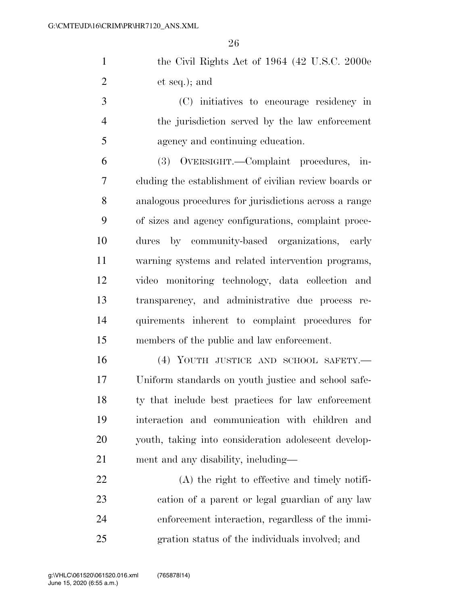the Civil Rights Act of 1964 (42 U.S.C. 2000e et seq.); and

 (C) initiatives to encourage residency in the jurisdiction served by the law enforcement agency and continuing education.

 (3) OVERSIGHT.—Complaint procedures, in- cluding the establishment of civilian review boards or analogous procedures for jurisdictions across a range of sizes and agency configurations, complaint proce- dures by community-based organizations, early warning systems and related intervention programs, video monitoring technology, data collection and transparency, and administrative due process re- quirements inherent to complaint procedures for members of the public and law enforcement.

16 (4) YOUTH JUSTICE AND SCHOOL SAFETY. Uniform standards on youth justice and school safe- ty that include best practices for law enforcement interaction and communication with children and youth, taking into consideration adolescent develop-ment and any disability, including—

 (A) the right to effective and timely notifi- cation of a parent or legal guardian of any law enforcement interaction, regardless of the immi-gration status of the individuals involved; and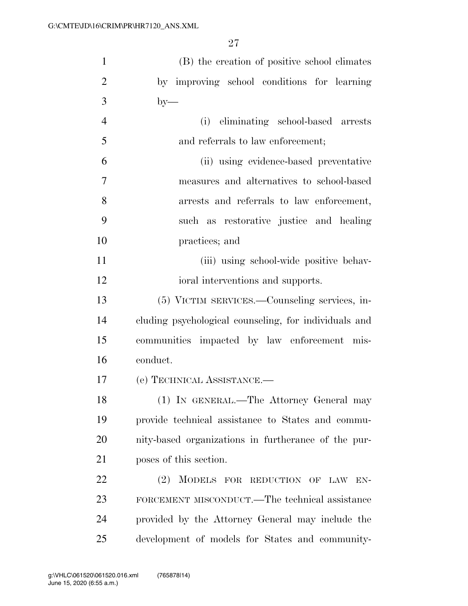(B) the creation of positive school climates

 by improving school conditions for learning by — (i) eliminating school-based arrests 5 and referrals to law enforcement; (ii) using evidence-based preventative measures and alternatives to school-based arrests and referrals to law enforcement, such as restorative justice and healing practices; and 11 (iii) using school-wide positive behav-12 ioral interventions and supports. (5) VICTIM SERVICES.—Counseling services, in- cluding psychological counseling, for individuals and communities impacted by law enforcement mis- conduct. (e) TECHNICAL ASSISTANCE.— (1) IN GENERAL.—The Attorney General may provide technical assistance to States and commu- nity-based organizations in furtherance of the pur- poses of this section. 22 (2) MODELS FOR REDUCTION OF LAW EN- FORCEMENT MISCONDUCT.—The technical assistance provided by the Attorney General may include the development of models for States and community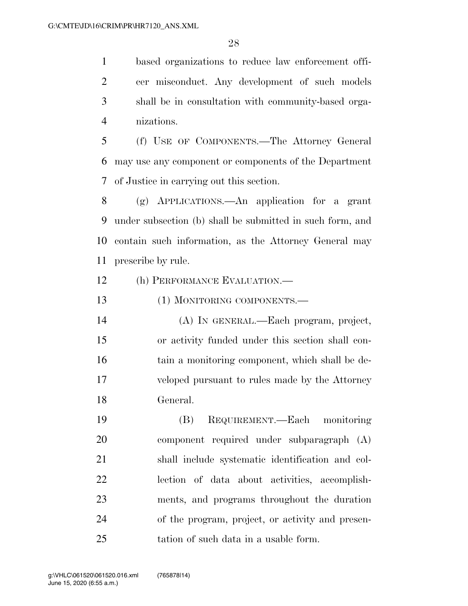based organizations to reduce law enforcement offi- cer misconduct. Any development of such models shall be in consultation with community-based orga-nizations.

 (f) USE OF COMPONENTS.—The Attorney General may use any component or components of the Department of Justice in carrying out this section.

 (g) APPLICATIONS.—An application for a grant under subsection (b) shall be submitted in such form, and contain such information, as the Attorney General may prescribe by rule.

(h) PERFORMANCE EVALUATION.—

13 (1) MONITORING COMPONENTS.—

 (A) IN GENERAL.—Each program, project, or activity funded under this section shall con- tain a monitoring component, which shall be de- veloped pursuant to rules made by the Attorney General.

 (B) REQUIREMENT.—Each monitoring component required under subparagraph (A) shall include systematic identification and col- lection of data about activities, accomplish- ments, and programs throughout the duration of the program, project, or activity and presen-tation of such data in a usable form.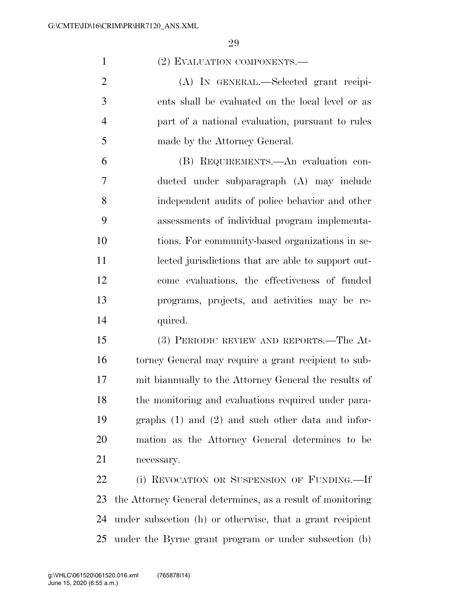# (2) EVALUATION COMPONENTS.—

 (A) IN GENERAL.—Selected grant recipi- ents shall be evaluated on the local level or as part of a national evaluation, pursuant to rules made by the Attorney General.

 (B) REQUIREMENTS.—An evaluation con- ducted under subparagraph (A) may include independent audits of police behavior and other assessments of individual program implementa- tions. For community-based organizations in se- lected jurisdictions that are able to support out- come evaluations, the effectiveness of funded programs, projects, and activities may be re-quired.

 (3) PERIODIC REVIEW AND REPORTS.—The At- torney General may require a grant recipient to sub- mit biannually to the Attorney General the results of the monitoring and evaluations required under para- graphs (1) and (2) and such other data and infor- mation as the Attorney General determines to be necessary.

 (i) REVOCATION OR SUSPENSION OF FUNDING.—If the Attorney General determines, as a result of monitoring under subsection (h) or otherwise, that a grant recipient under the Byrne grant program or under subsection (b)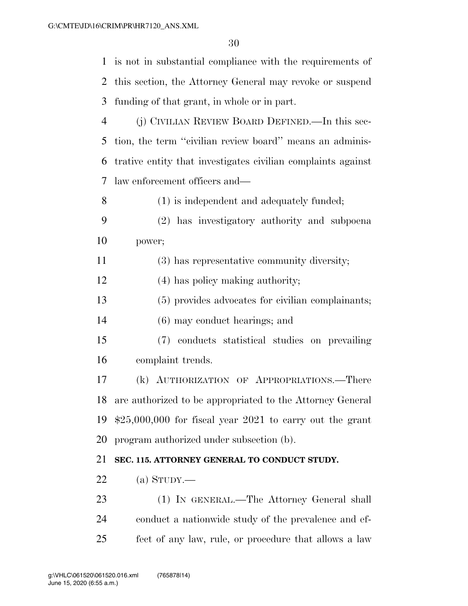| $\mathbf 1$    | is not in substantial compliance with the requirements of    |
|----------------|--------------------------------------------------------------|
| 2              | this section, the Attorney General may revoke or suspend     |
| 3              | funding of that grant, in whole or in part.                  |
| $\overline{4}$ | (j) CIVILIAN REVIEW BOARD DEFINED.—In this sec-              |
| 5              | tion, the term "civilian review board" means an adminis-     |
| 6              | trative entity that investigates civilian complaints against |
| 7              | law enforcement officers and—                                |
| 8              | (1) is independent and adequately funded;                    |
| 9              | (2) has investigatory authority and subpoena                 |
| 10             | power;                                                       |
| 11             | (3) has representative community diversity;                  |
| 12             | (4) has policy making authority;                             |
| 13             | (5) provides advocates for civilian complainants;            |
| 14             | $(6)$ may conduct hearings; and                              |
| 15             | (7) conducts statistical studies on prevailing               |
| 16             | complaint trends.                                            |
| 17             | (k) AUTHORIZATION OF APPROPRIATIONS.—There                   |
| 18             | are authorized to be appropriated to the Attorney General    |
| 19             | $$25,000,000$ for fiscal year 2021 to carry out the grant    |
| 20             | program authorized under subsection (b).                     |
| 21             | SEC. 115. ATTORNEY GENERAL TO CONDUCT STUDY.                 |
| <u>22</u>      | (a) $S_{TUDY}$ .                                             |
| 23             | (1) IN GENERAL.—The Attorney General shall                   |
| 24             | conduct a nationwide study of the prevalence and ef-         |
| 25             | fect of any law, rule, or procedure that allows a law        |
|                |                                                              |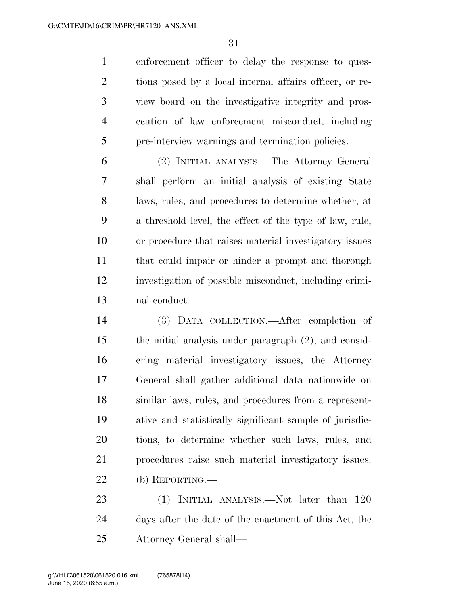enforcement officer to delay the response to ques- tions posed by a local internal affairs officer, or re- view board on the investigative integrity and pros- ecution of law enforcement misconduct, including pre-interview warnings and termination policies.

 (2) INITIAL ANALYSIS.—The Attorney General shall perform an initial analysis of existing State laws, rules, and procedures to determine whether, at a threshold level, the effect of the type of law, rule, or procedure that raises material investigatory issues that could impair or hinder a prompt and thorough investigation of possible misconduct, including crimi-nal conduct.

 (3) DATA COLLECTION.—After completion of the initial analysis under paragraph (2), and consid- ering material investigatory issues, the Attorney General shall gather additional data nationwide on similar laws, rules, and procedures from a represent- ative and statistically significant sample of jurisdic- tions, to determine whether such laws, rules, and procedures raise such material investigatory issues. (b) REPORTING.—

 (1) INITIAL ANALYSIS.—Not later than 120 days after the date of the enactment of this Act, the Attorney General shall—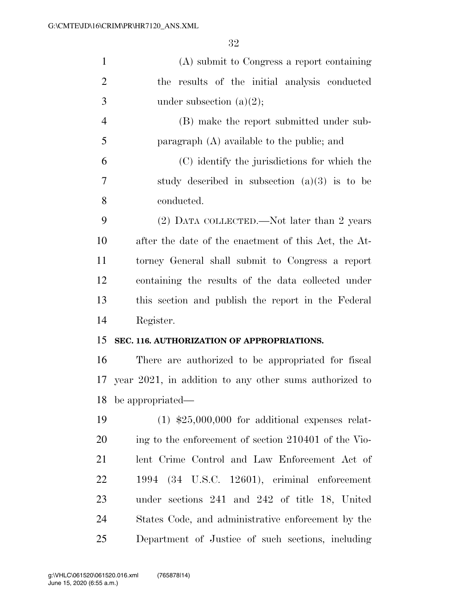| $\mathbf{1}$   | (A) submit to Congress a report containing             |
|----------------|--------------------------------------------------------|
| $\overline{2}$ | the results of the initial analysis conducted          |
| 3              | under subsection $(a)(2)$ ;                            |
| $\overline{4}$ | (B) make the report submitted under sub-               |
| 5              | paragraph $(A)$ available to the public; and           |
| 6              | (C) identify the jurisdictions for which the           |
| 7              | study described in subsection $(a)(3)$ is to be        |
| 8              | conducted.                                             |
| 9              | (2) DATA COLLECTED.—Not later than 2 years             |
| 10             | after the date of the enactment of this Act, the At-   |
| 11             | torney General shall submit to Congress a report       |
| 12             | containing the results of the data collected under     |
|                |                                                        |
| 13             | this section and publish the report in the Federal     |
| 14             | Register.                                              |
| 15             | SEC. 116. AUTHORIZATION OF APPROPRIATIONS.             |
| 16             | There are authorized to be appropriated for fiscal     |
| 17             | year 2021, in addition to any other sums authorized to |
| 18             | be appropriated—                                       |
| 19             | $(1)$ \$25,000,000 for additional expenses relat-      |
| 20             | ing to the enforcement of section 210401 of the Vio-   |
| 21             | lent Crime Control and Law Enforcement Act of          |
| 22             | 1994 (34 U.S.C. 12601), criminal enforcement           |
| 23             | under sections 241 and 242 of title 18, United         |
| 24             | States Code, and administrative enforcement by the     |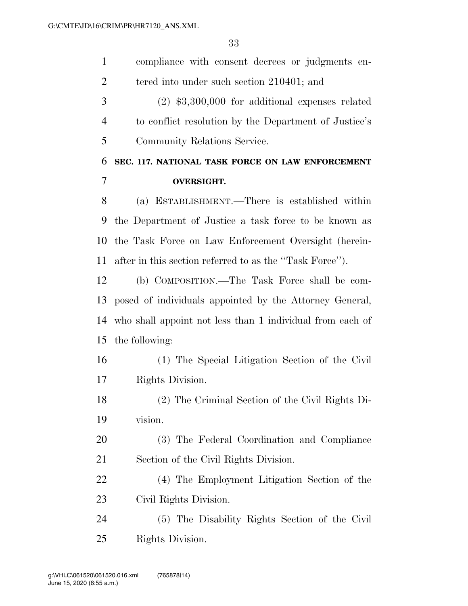| $\mathbf{1}$   | compliance with consent decrees or judgments en-          |
|----------------|-----------------------------------------------------------|
| $\overline{2}$ | tered into under such section 210401; and                 |
| 3              | $(2)$ \$3,300,000 for additional expenses related         |
| $\overline{4}$ | to conflict resolution by the Department of Justice's     |
| 5              | Community Relations Service.                              |
| 6              | SEC. 117. NATIONAL TASK FORCE ON LAW ENFORCEMENT          |
| 7              | <b>OVERSIGHT.</b>                                         |
| 8              | (a) ESTABLISHMENT.—There is established within            |
| 9              | the Department of Justice a task force to be known as     |
| 10             | the Task Force on Law Enforcement Oversight (herein-      |
| 11             | after in this section referred to as the "Task Force".    |
| 12             | (b) COMPOSITION.—The Task Force shall be com-             |
| 13             | posed of individuals appointed by the Attorney General,   |
| 14             | who shall appoint not less than 1 individual from each of |
| 15             | the following:                                            |
| 16             | (1) The Special Litigation Section of the Civil           |
| 17             | Rights Division.                                          |
| 18             | (2) The Criminal Section of the Civil Rights Di-          |
| 19             | vision.                                                   |
| 20             | (3) The Federal Coordination and Compliance               |
| 21             | Section of the Civil Rights Division.                     |
| 22             | (4) The Employment Litigation Section of the              |
| 23             | Civil Rights Division.                                    |
| 24             | (5) The Disability Rights Section of the Civil            |
| 25             | Rights Division.                                          |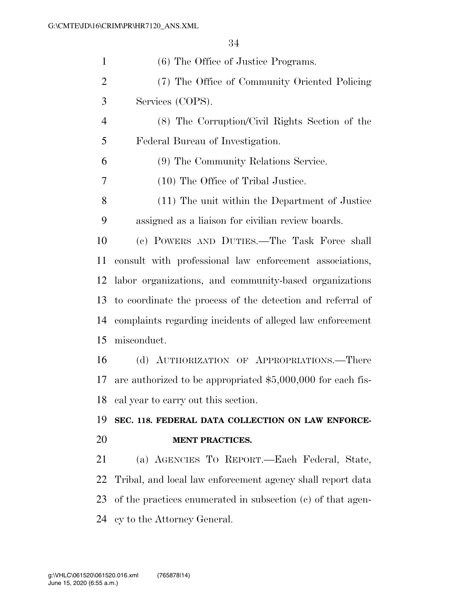| $\mathbf{1}$   | (6) The Office of Justice Programs.                         |
|----------------|-------------------------------------------------------------|
| $\overline{2}$ | (7) The Office of Community Oriented Policing               |
| 3              | Services (COPS).                                            |
| $\overline{4}$ | (8) The Corruption/Civil Rights Section of the              |
| 5              | Federal Bureau of Investigation.                            |
| 6              | (9) The Community Relations Service.                        |
| $\overline{7}$ | (10) The Office of Tribal Justice.                          |
| 8              | (11) The unit within the Department of Justice              |
| 9              | assigned as a liaison for civilian review boards.           |
| 10             | (c) POWERS AND DUTIES.—The Task Force shall                 |
| 11             | consult with professional law enforcement associations,     |
| 12             | labor organizations, and community-based organizations      |
| 13             | to coordinate the process of the detection and referral of  |
| 14             | complaints regarding incidents of alleged law enforcement   |
| 15             | misconduct.                                                 |
| 16             | (d) AUTHORIZATION OF APPROPRIATIONS.—There                  |
| 17             | are authorized to be appropriated \$5,000,000 for each fis- |
| 18             | cal year to carry out this section.                         |
| 19             | SEC. 118. FEDERAL DATA COLLECTION ON LAW ENFORCE-           |
| 20             | <b>MENT PRACTICES.</b>                                      |
| 21             | (a) AGENCIES TO REPORT.-Each Federal, State,                |
| 22             | Tribal, and local law enforcement agency shall report data  |
| 23             | of the practices enumerated in subsection (c) of that agen- |
| 24             | cy to the Attorney General.                                 |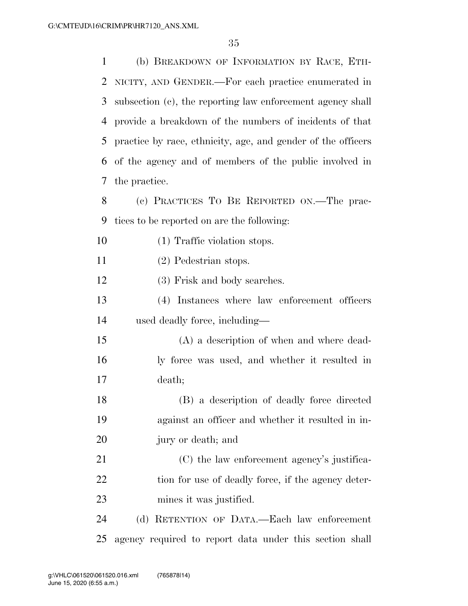| 1  | (b) BREAKDOWN OF INFORMATION BY RACE, ETH-                   |
|----|--------------------------------------------------------------|
| 2  | NICITY, AND GENDER.—For each practice enumerated in          |
| 3  | subsection (c), the reporting law enforcement agency shall   |
| 4  | provide a breakdown of the numbers of incidents of that      |
| 5  | practice by race, ethnicity, age, and gender of the officers |
| 6  | of the agency and of members of the public involved in       |
| 7  | the practice.                                                |
| 8  | (c) PRACTICES TO BE REPORTED ON.—The prac-                   |
| 9  | tices to be reported on are the following:                   |
| 10 | (1) Traffic violation stops.                                 |
| 11 | $(2)$ Pedestrian stops.                                      |
| 12 | (3) Frisk and body searches.                                 |
| 13 | (4) Instances where law enforcement officers                 |
| 14 | used deadly force, including—                                |
| 15 | (A) a description of when and where dead-                    |
| 16 | ly force was used, and whether it resulted in                |
| 17 | death;                                                       |
| 18 | (B) a description of deadly force directed                   |
| 19 | against an officer and whether it resulted in in-            |
| 20 | jury or death; and                                           |
| 21 | (C) the law enforcement agency's justifica-                  |
| 22 | tion for use of deadly force, if the agency deter-           |
| 23 | mines it was justified.                                      |
| 24 | (d) RETENTION OF DATA.—Each law enforcement                  |
| 25 | agency required to report data under this section shall      |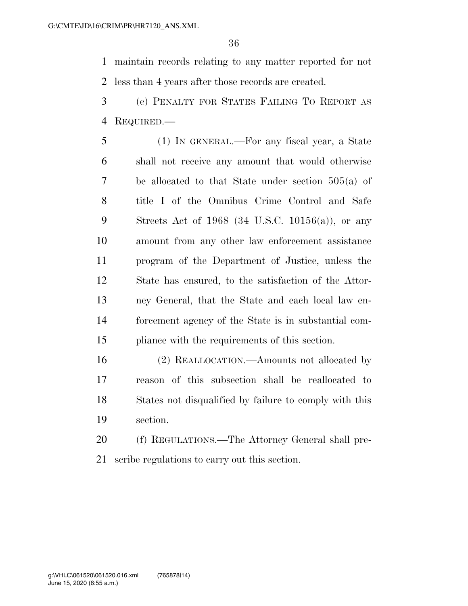maintain records relating to any matter reported for not less than 4 years after those records are created.

- (e) PENALTY FOR STATES FAILING TO REPORT AS REQUIRED.—
- (1) IN GENERAL.—For any fiscal year, a State shall not receive any amount that would otherwise be allocated to that State under section 505(a) of title I of the Omnibus Crime Control and Safe Streets Act of 1968 (34 U.S.C. 10156(a)), or any amount from any other law enforcement assistance program of the Department of Justice, unless the State has ensured, to the satisfaction of the Attor- ney General, that the State and each local law en- forcement agency of the State is in substantial com-pliance with the requirements of this section.

 (2) REALLOCATION.—Amounts not allocated by reason of this subsection shall be reallocated to States not disqualified by failure to comply with this section.

 (f) REGULATIONS.—The Attorney General shall pre-scribe regulations to carry out this section.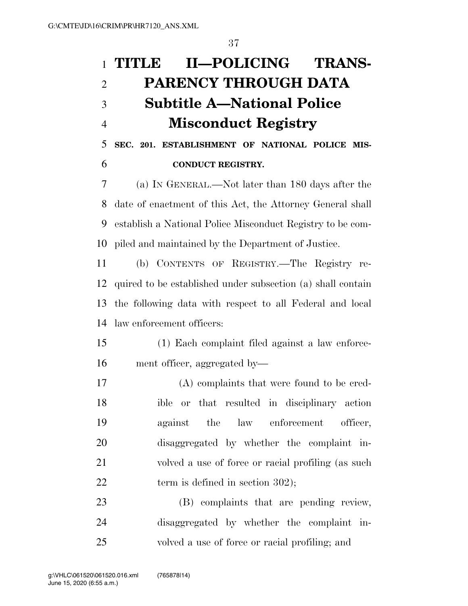## **TITLE II—POLICING TRANS- PARENCY THROUGH DATA Subtitle A—National Police Misconduct Registry**

 **SEC. 201. ESTABLISHMENT OF NATIONAL POLICE MIS-CONDUCT REGISTRY.** 

 (a) IN GENERAL.—Not later than 180 days after the date of enactment of this Act, the Attorney General shall establish a National Police Misconduct Registry to be com-piled and maintained by the Department of Justice.

 (b) CONTENTS OF REGISTRY.—The Registry re- quired to be established under subsection (a) shall contain the following data with respect to all Federal and local law enforcement officers:

 (1) Each complaint filed against a law enforce-ment officer, aggregated by—

 (A) complaints that were found to be cred- ible or that resulted in disciplinary action against the law enforcement officer, disaggregated by whether the complaint in- volved a use of force or racial profiling (as such 22 term is defined in section 302);

 (B) complaints that are pending review, disaggregated by whether the complaint in-volved a use of force or racial profiling; and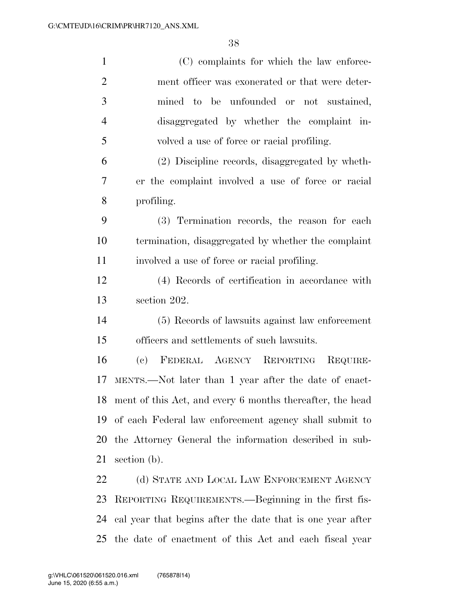| $\mathbf{1}$   | (C) complaints for which the law enforce-                  |
|----------------|------------------------------------------------------------|
| $\overline{2}$ | ment officer was exonerated or that were deter-            |
| 3              | mined to be unfounded or not sustained,                    |
| $\overline{4}$ | disaggregated by whether the complaint in-                 |
| 5              | volved a use of force or racial profiling.                 |
| 6              | (2) Discipline records, disaggregated by wheth-            |
| 7              | er the complaint involved a use of force or racial         |
| 8              | profiling.                                                 |
| 9              | (3) Termination records, the reason for each               |
| 10             | termination, disaggregated by whether the complaint        |
| 11             | involved a use of force or racial profiling.               |
| 12             | (4) Records of certification in accordance with            |
| 13             | section 202.                                               |
| 14             | (5) Records of lawsuits against law enforcement            |
| 15             | officers and settlements of such lawsuits.                 |
| 16             | FEDERAL AGENCY REPORTING<br>(e)<br>REQUIRE-                |
| 17             | MENTS.—Not later than 1 year after the date of enact-      |
| 18             | ment of this Act, and every 6 months thereafter, the head  |
| 19             | of each Federal law enforcement agency shall submit to     |
| 20             | the Attorney General the information described in sub-     |
| 21             | section (b).                                               |
| 22             | (d) STATE AND LOCAL LAW ENFORCEMENT AGENCY                 |
| 23             | REPORTING REQUIREMENTS.—Beginning in the first fis-        |
| 24             | cal year that begins after the date that is one year after |

the date of enactment of this Act and each fiscal year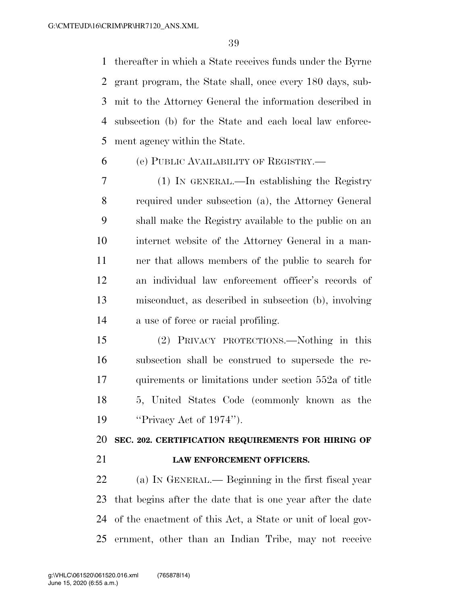thereafter in which a State receives funds under the Byrne grant program, the State shall, once every 180 days, sub- mit to the Attorney General the information described in subsection (b) for the State and each local law enforce-ment agency within the State.

#### (e) PUBLIC AVAILABILITY OF REGISTRY.—

 (1) IN GENERAL.—In establishing the Registry required under subsection (a), the Attorney General shall make the Registry available to the public on an internet website of the Attorney General in a man- ner that allows members of the public to search for an individual law enforcement officer's records of misconduct, as described in subsection (b), involving a use of force or racial profiling.

 (2) PRIVACY PROTECTIONS.—Nothing in this subsection shall be construed to supersede the re- quirements or limitations under section 552a of title 5, United States Code (commonly known as the ''Privacy Act of 1974'').

## **SEC. 202. CERTIFICATION REQUIREMENTS FOR HIRING OF LAW ENFORCEMENT OFFICERS.**

 (a) IN GENERAL.— Beginning in the first fiscal year that begins after the date that is one year after the date of the enactment of this Act, a State or unit of local gov-ernment, other than an Indian Tribe, may not receive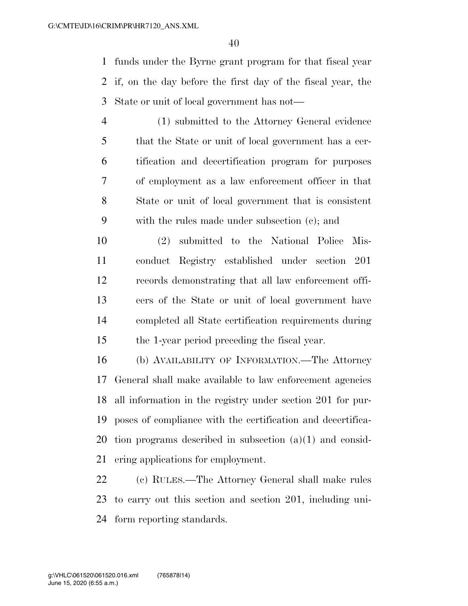funds under the Byrne grant program for that fiscal year if, on the day before the first day of the fiscal year, the State or unit of local government has not—

 (1) submitted to the Attorney General evidence that the State or unit of local government has a cer- tification and decertification program for purposes of employment as a law enforcement officer in that State or unit of local government that is consistent with the rules made under subsection (c); and

 (2) submitted to the National Police Mis- conduct Registry established under section 201 records demonstrating that all law enforcement offi- cers of the State or unit of local government have completed all State certification requirements during the 1-year period preceding the fiscal year.

 (b) AVAILABILITY OF INFORMATION.—The Attorney General shall make available to law enforcement agencies all information in the registry under section 201 for pur- poses of compliance with the certification and decertifica- tion programs described in subsection (a)(1) and consid-ering applications for employment.

 (c) RULES.—The Attorney General shall make rules to carry out this section and section 201, including uni-form reporting standards.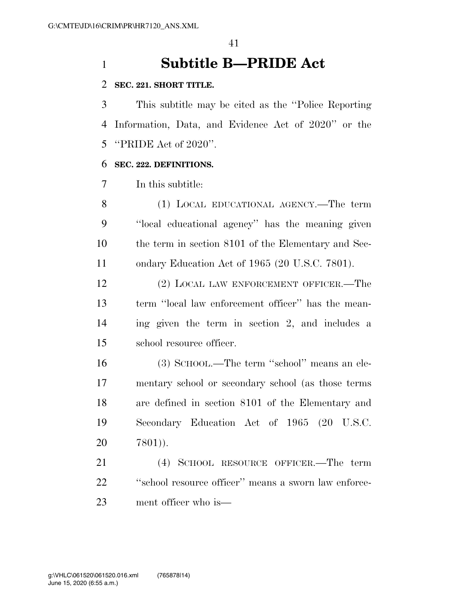## **Subtitle B—PRIDE Act**

#### **SEC. 221. SHORT TITLE.**

 This subtitle may be cited as the ''Police Reporting Information, Data, and Evidence Act of 2020'' or the ''PRIDE Act of 2020''.

#### **SEC. 222. DEFINITIONS.**

In this subtitle:

 (1) LOCAL EDUCATIONAL AGENCY.—The term ''local educational agency'' has the meaning given the term in section 8101 of the Elementary and Sec-ondary Education Act of 1965 (20 U.S.C. 7801).

 (2) LOCAL LAW ENFORCEMENT OFFICER.—The term ''local law enforcement officer'' has the mean- ing given the term in section 2, and includes a school resource officer.

 (3) SCHOOL.—The term ''school'' means an ele- mentary school or secondary school (as those terms are defined in section 8101 of the Elementary and Secondary Education Act of 1965 (20 U.S.C. 7801)).

 (4) SCHOOL RESOURCE OFFICER.—The term 22 "school resource officer" means a sworn law enforce-ment officer who is—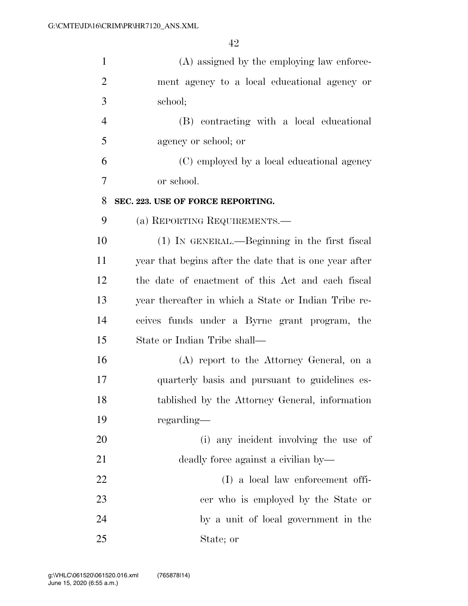| $\mathbf{1}$   | (A) assigned by the employing law enforce-             |
|----------------|--------------------------------------------------------|
| $\overline{2}$ | ment agency to a local educational agency or           |
| 3              | school;                                                |
| $\overline{4}$ | (B) contracting with a local educational               |
| 5              | agency or school; or                                   |
| 6              | (C) employed by a local educational agency             |
| 7              | or school.                                             |
| 8              | SEC. 223. USE OF FORCE REPORTING.                      |
| 9              | (a) REPORTING REQUIREMENTS.—                           |
| 10             | (1) IN GENERAL.—Beginning in the first fiscal          |
| 11             | year that begins after the date that is one year after |
| 12             | the date of enactment of this Act and each fiscal      |
| 13             | year thereafter in which a State or Indian Tribe re-   |
| 14             | ceives funds under a Byrne grant program, the          |
| 15             | State or Indian Tribe shall—                           |
| 16             | (A) report to the Attorney General, on a               |
| 17             | quarterly basis and pursuant to guidelines es-         |
| 18             | tablished by the Attorney General, information         |
| 19             | regarding—                                             |
| 20             | (i) any incident involving the use of                  |
| 21             | deadly force against a civilian by-                    |
| 22             | (I) a local law enforcement offi-                      |
| 23             | cer who is employed by the State or                    |
| 24             | by a unit of local government in the                   |
| 25             | State; or                                              |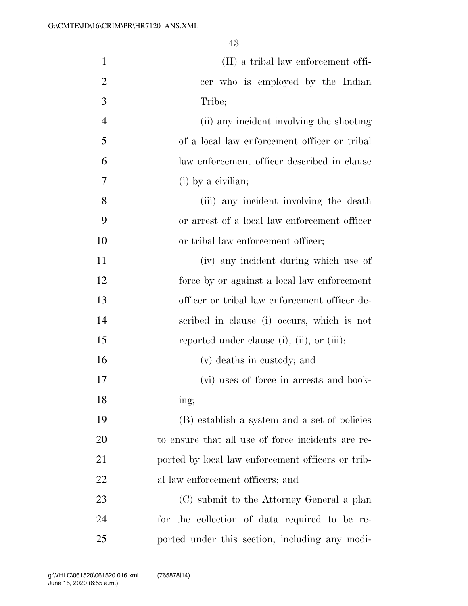| $\mathbf{1}$   | (II) a tribal law enforcement offi-               |
|----------------|---------------------------------------------------|
| $\overline{2}$ | cer who is employed by the Indian                 |
| 3              | Tribe;                                            |
| $\overline{4}$ | (ii) any incident involving the shooting          |
| 5              | of a local law enforcement officer or tribal      |
| 6              | law enforcement officer described in clause       |
| 7              | (i) by a civilian;                                |
| 8              | (iii) any incident involving the death            |
| 9              | or arrest of a local law enforcement officer      |
| 10             | or tribal law enforcement officer;                |
| 11             | (iv) any incident during which use of             |
| 12             | force by or against a local law enforcement       |
| 13             | officer or tribal law enforcement officer de-     |
| 14             | scribed in clause (i) occurs, which is not        |
| 15             | reported under clause (i), (ii), or (iii);        |
| 16             | (v) deaths in custody; and                        |
| 17             | (vi) uses of force in arrests and book-           |
| 18             | ing;                                              |
| 19             | (B) establish a system and a set of policies      |
| 20             | to ensure that all use of force incidents are re- |
| 21             | ported by local law enforcement officers or trib- |
| 22             | al law enforcement officers; and                  |
| 23             | (C) submit to the Attorney General a plan         |
| 24             | for the collection of data required to be re-     |
| 25             | ported under this section, including any modi-    |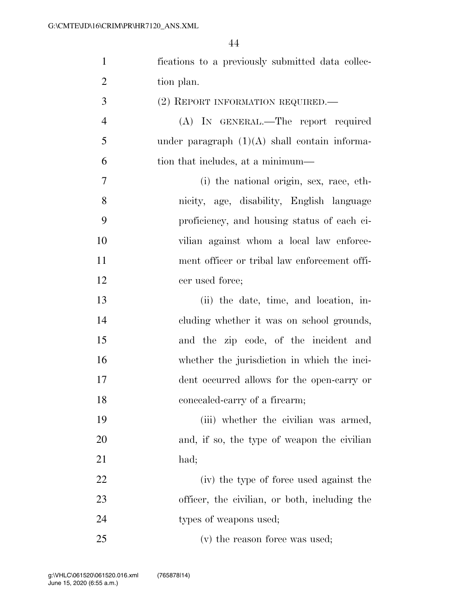| $\mathbf{1}$   | fications to a previously submitted data collec- |
|----------------|--------------------------------------------------|
| $\overline{2}$ | tion plan.                                       |
| 3              | (2) REPORT INFORMATION REQUIRED.                 |
| $\overline{4}$ | (A) IN GENERAL.—The report required              |
| 5              | under paragraph $(1)(A)$ shall contain informa-  |
| 6              | tion that includes, at a minimum—                |
| $\tau$         | (i) the national origin, sex, race, eth-         |
| 8              | nicity, age, disability, English language        |
| 9              | proficiency, and housing status of each ci-      |
| 10             | vilian against whom a local law enforce-         |
| 11             | ment officer or tribal law enforcement offi-     |
| 12             | cer used force;                                  |
| 13             | (ii) the date, time, and location, in-           |
| 14             | cluding whether it was on school grounds,        |
| 15             | and the zip code, of the incident and            |
| 16             | whether the jurisdiction in which the inci-      |
| 17             | dent occurred allows for the open-carry or       |
| 18             | concealed-carry of a firearm;                    |
| 19             | (iii) whether the civilian was armed,            |
| 20             | and, if so, the type of weapon the civilian      |
| 21             | had;                                             |
| 22             | (iv) the type of force used against the          |
| 23             | officer, the civilian, or both, including the    |
| 24             | types of weapons used;                           |
| 25             | (v) the reason force was used;                   |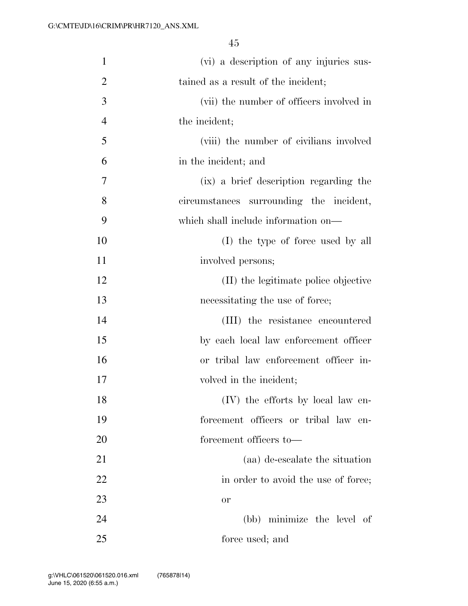| $\mathbf{1}$   | (vi) a description of any injuries sus-  |
|----------------|------------------------------------------|
| $\overline{2}$ | tained as a result of the incident;      |
| 3              | (vii) the number of officers involved in |
| $\overline{4}$ | the incident;                            |
| 5              | (viii) the number of civilians involved  |
| 6              | in the incident; and                     |
| 7              | (ix) a brief description regarding the   |
| 8              | circumstances surrounding the incident,  |
| 9              | which shall include information on—      |
| 10             | (I) the type of force used by all        |
| 11             | involved persons;                        |
| 12             | (II) the legitimate police objective     |
| 13             | necessitating the use of force;          |
| 14             | (III) the resistance encountered         |
| 15             | by each local law enforcement officer    |
| 16             | or tribal law enforcement officer in-    |
| 17             | volved in the incident;                  |
| 18             | (IV) the efforts by local law en-        |
| 19             | forcement officers or tribal law en-     |
| 20             | forcement officers to-                   |
| 21             | (aa) de-escalate the situation           |
| 22             | in order to avoid the use of force;      |
| 23             | <b>or</b>                                |
| 24             | (bb) minimize the level of               |
| 25             | force used; and                          |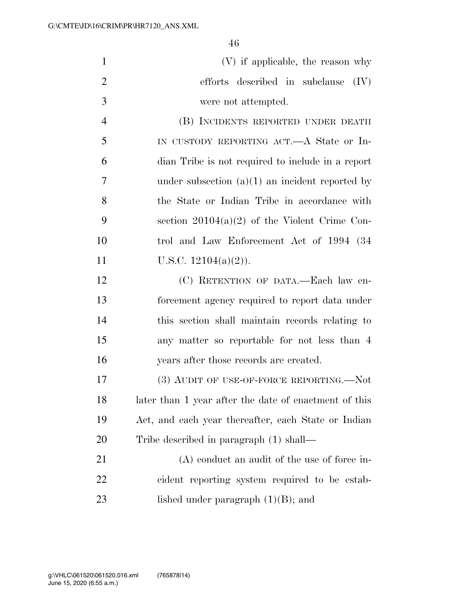| $\mathbf{1}$   | (V) if applicable, the reason why                     |
|----------------|-------------------------------------------------------|
| $\overline{2}$ | efforts described in subclause $(IV)$                 |
| 3              | were not attempted.                                   |
| $\overline{4}$ | (B) INCIDENTS REPORTED UNDER DEATH                    |
| 5              | IN CUSTODY REPORTING ACT.—A State or In-              |
| 6              | dian Tribe is not required to include in a report     |
| 7              | under subsection $(a)(1)$ an incident reported by     |
| 8              | the State or Indian Tribe in accordance with          |
| 9              | section $20104(a)(2)$ of the Violent Crime Con-       |
| 10             | trol and Law Enforcement Act of 1994 (34)             |
| 11             | U.S.C. $12104(a)(2)$ ).                               |
| 12             | (C) RETENTION OF DATA.—Each law en-                   |
| 13             | forcement agency required to report data under        |
| 14             | this section shall maintain records relating to       |
| 15             | any matter so reportable for not less than 4          |
| 16             | years after those records are created.                |
| 17             | (3) AUDIT OF USE-OF-FORCE REPORTING.—Not              |
| 18             | later than 1 year after the date of enactment of this |
| 19             | Act, and each year thereafter, each State or Indian   |
| 20             | Tribe described in paragraph (1) shall—               |
| 21             | $(A)$ conduct an audit of the use of force in-        |
| 22             | cident reporting system required to be estab-         |
| 23             | lished under paragraph $(1)(B)$ ; and                 |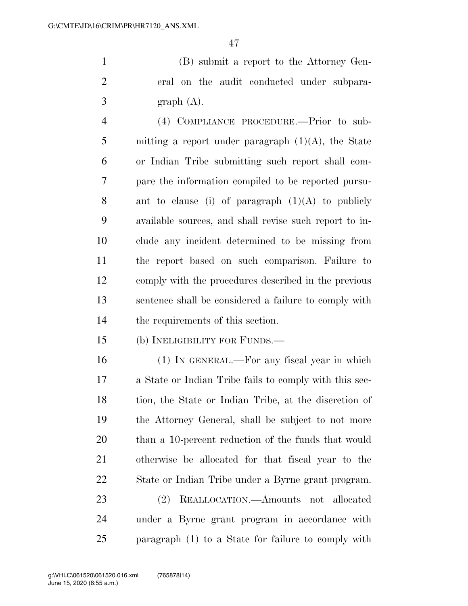(B) submit a report to the Attorney Gen- eral on the audit conducted under subpara- $3 \quad \text{graph} \quad (A).$ 

 (4) COMPLIANCE PROCEDURE.—Prior to sub-5 mitting a report under paragraph  $(1)(A)$ , the State or Indian Tribe submitting such report shall com- pare the information compiled to be reported pursu-8 ant to clause (i) of paragraph  $(1)(A)$  to publicly available sources, and shall revise such report to in- clude any incident determined to be missing from the report based on such comparison. Failure to comply with the procedures described in the previous sentence shall be considered a failure to comply with the requirements of this section.

(b) INELIGIBILITY FOR FUNDS.—

 (1) IN GENERAL.—For any fiscal year in which a State or Indian Tribe fails to comply with this sec- tion, the State or Indian Tribe, at the discretion of the Attorney General, shall be subject to not more than a 10-percent reduction of the funds that would otherwise be allocated for that fiscal year to the State or Indian Tribe under a Byrne grant program. (2) REALLOCATION.—Amounts not allocated

 under a Byrne grant program in accordance with paragraph (1) to a State for failure to comply with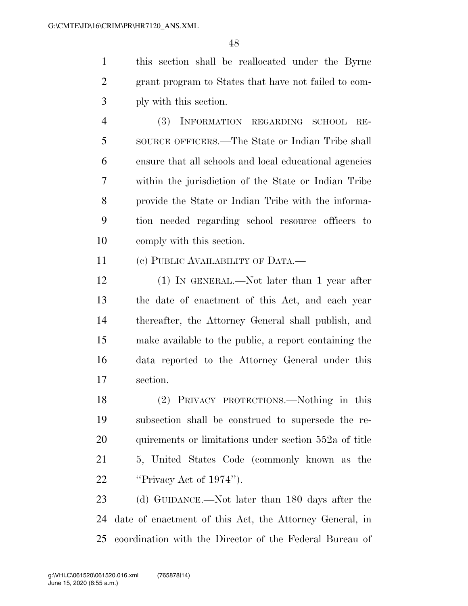this section shall be reallocated under the Byrne grant program to States that have not failed to com-ply with this section.

 (3) INFORMATION REGARDING SCHOOL RE- SOURCE OFFICERS.—The State or Indian Tribe shall ensure that all schools and local educational agencies within the jurisdiction of the State or Indian Tribe provide the State or Indian Tribe with the informa- tion needed regarding school resource officers to comply with this section.

(c) PUBLIC AVAILABILITY OF DATA.—

 (1) IN GENERAL.—Not later than 1 year after the date of enactment of this Act, and each year thereafter, the Attorney General shall publish, and make available to the public, a report containing the data reported to the Attorney General under this section.

 (2) PRIVACY PROTECTIONS.—Nothing in this subsection shall be construed to supersede the re-20 quirements or limitations under section 552a of title 5, United States Code (commonly known as the ''Privacy Act of 1974'').

23 (d) GUIDANCE.—Not later than 180 days after the date of enactment of this Act, the Attorney General, in coordination with the Director of the Federal Bureau of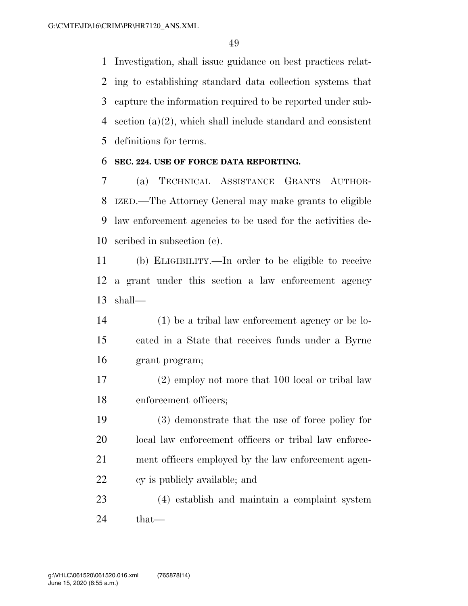Investigation, shall issue guidance on best practices relat- ing to establishing standard data collection systems that capture the information required to be reported under sub- section (a)(2), which shall include standard and consistent definitions for terms.

#### **SEC. 224. USE OF FORCE DATA REPORTING.**

 (a) TECHNICAL ASSISTANCE GRANTS AUTHOR- IZED.—The Attorney General may make grants to eligible law enforcement agencies to be used for the activities de-scribed in subsection (c).

 (b) ELIGIBILITY.—In order to be eligible to receive a grant under this section a law enforcement agency shall—

 (1) be a tribal law enforcement agency or be lo- cated in a State that receives funds under a Byrne grant program;

 (2) employ not more that 100 local or tribal law 18 enforcement officers;

 (3) demonstrate that the use of force policy for local law enforcement officers or tribal law enforce- ment officers employed by the law enforcement agen-cy is publicly available; and

 (4) establish and maintain a complaint system that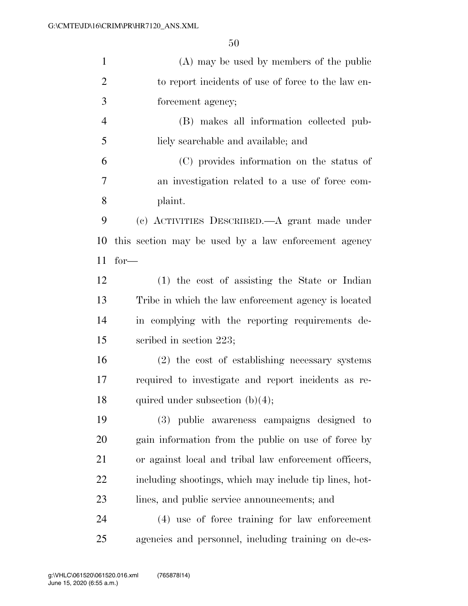| $\mathbf{1}$   | (A) may be used by members of the public               |
|----------------|--------------------------------------------------------|
| $\overline{2}$ | to report incidents of use of force to the law en-     |
| 3              | forcement agency;                                      |
| $\overline{4}$ | (B) makes all information collected pub-               |
| 5              | licly searchable and available; and                    |
| 6              | (C) provides information on the status of              |
| $\overline{7}$ | an investigation related to a use of force com-        |
| 8              | plaint.                                                |
| 9              | (c) ACTIVITIES DESCRIBED.—A grant made under           |
| 10             | this section may be used by a law enforcement agency   |
| 11             | $for-$                                                 |
| 12             | (1) the cost of assisting the State or Indian          |
| 13             | Tribe in which the law enforcement agency is located   |
| 14             | in complying with the reporting requirements de-       |
| 15             | scribed in section 223;                                |
| 16             | $(2)$ the cost of establishing necessary systems       |
| 17             | required to investigate and report incidents as re-    |
| 18             | quired under subsection $(b)(4)$ ;                     |
| 19             | (3) public awareness campaigns designed to             |
| 20             | gain information from the public on use of force by    |
| 21             | or against local and tribal law enforcement officers,  |
| 22             | including shootings, which may include tip lines, hot- |
| 23             | lines, and public service announcements; and           |
| 24             | $(4)$ use of force training for law enforcement        |
| 25             | agencies and personnel, including training on de-es-   |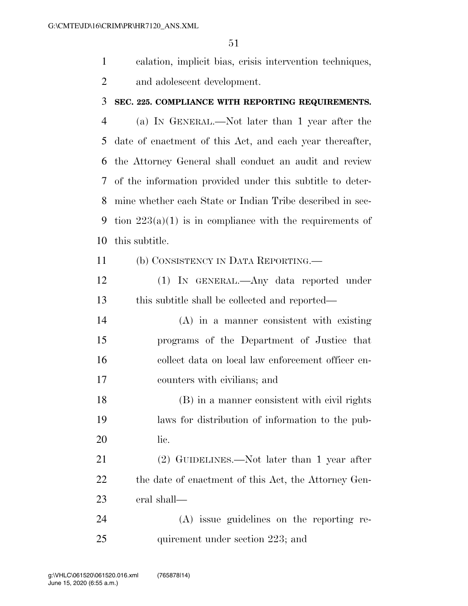- calation, implicit bias, crisis intervention techniques,
- and adolescent development.

#### **SEC. 225. COMPLIANCE WITH REPORTING REQUIREMENTS.**

 (a) IN GENERAL.—Not later than 1 year after the date of enactment of this Act, and each year thereafter, the Attorney General shall conduct an audit and review of the information provided under this subtitle to deter- mine whether each State or Indian Tribe described in sec-9 tion  $223(a)(1)$  is in compliance with the requirements of this subtitle.

(b) CONSISTENCY IN DATA REPORTING.—

 (1) IN GENERAL.—Any data reported under this subtitle shall be collected and reported—

 (A) in a manner consistent with existing programs of the Department of Justice that collect data on local law enforcement officer en-counters with civilians; and

 (B) in a manner consistent with civil rights laws for distribution of information to the pub-lic.

 (2) GUIDELINES.—Not later than 1 year after 22 the date of enactment of this Act, the Attorney Gen-eral shall—

 (A) issue guidelines on the reporting re-25 quirement under section 223; and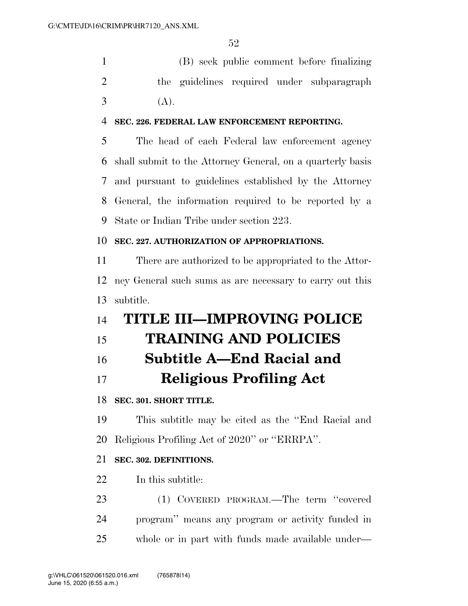(B) seek public comment before finalizing the guidelines required under subparagraph  $3 \qquad (A).$ 

#### **SEC. 226. FEDERAL LAW ENFORCEMENT REPORTING.**

 The head of each Federal law enforcement agency shall submit to the Attorney General, on a quarterly basis and pursuant to guidelines established by the Attorney General, the information required to be reported by a State or Indian Tribe under section 223.

#### **SEC. 227. AUTHORIZATION OF APPROPRIATIONS.**

 There are authorized to be appropriated to the Attor- ney General such sums as are necessary to carry out this subtitle.

# **TITLE III—IMPROVING POLICE**

## **TRAINING AND POLICIES**

## **Subtitle A—End Racial and**

### **Religious Profiling Act**

#### **SEC. 301. SHORT TITLE.**

 This subtitle may be cited as the ''End Racial and Religious Profiling Act of 2020'' or ''ERRPA''.

#### **SEC. 302. DEFINITIONS.**

22 In this subtitle:

 (1) COVERED PROGRAM.—The term ''covered program'' means any program or activity funded in whole or in part with funds made available under—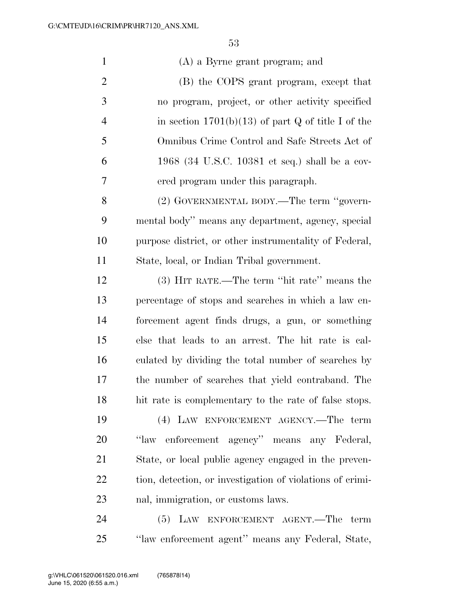| $\mathbf{1}$   | (A) a Byrne grant program; and                            |
|----------------|-----------------------------------------------------------|
| $\overline{2}$ | (B) the COPS grant program, except that                   |
| 3              | no program, project, or other activity specified          |
| $\overline{4}$ | in section $1701(b)(13)$ of part Q of title I of the      |
| 5              | Omnibus Crime Control and Safe Streets Act of             |
| 6              | 1968 (34 U.S.C. 10381 et seq.) shall be a cov-            |
| 7              | ered program under this paragraph.                        |
| 8              | (2) GOVERNMENTAL BODY.—The term "govern-                  |
| 9              | mental body" means any department, agency, special        |
| 10             | purpose district, or other instrumentality of Federal,    |
| 11             | State, local, or Indian Tribal government.                |
| 12             | (3) HIT RATE.—The term "hit rate" means the               |
| 13             | percentage of stops and searches in which a law en-       |
| 14             | forcement agent finds drugs, a gun, or something          |
| 15             | else that leads to an arrest. The hit rate is cal-        |
| 16             | culated by dividing the total number of searches by       |
| 17             | the number of searches that yield contraband. The         |
| 18             | hit rate is complementary to the rate of false stops.     |
| 19             | (4) LAW ENFORCEMENT AGENCY.—The term                      |
| <b>20</b>      | "law enforcement agency" means any Federal,               |
| 21             | State, or local public agency engaged in the preven-      |
| 22             | tion, detection, or investigation of violations of crimi- |
| 23             | nal, immigration, or customs laws.                        |
| 24             | (5)<br>LAW ENFORCEMENT AGENT.—The<br>term                 |

''law enforcement agent'' means any Federal, State,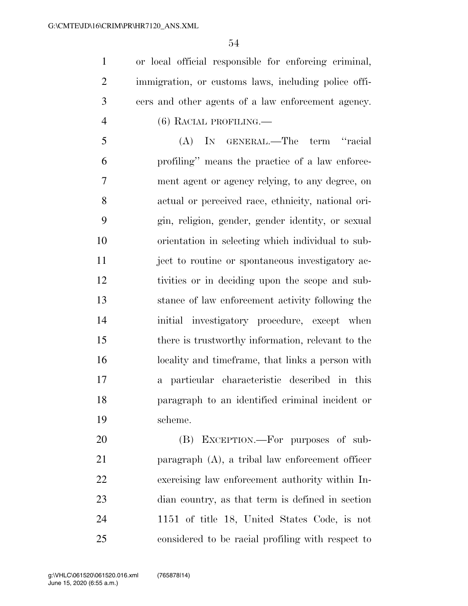or local official responsible for enforcing criminal, immigration, or customs laws, including police offi- cers and other agents of a law enforcement agency. (6) RACIAL PROFILING.—

 (A) IN GENERAL.—The term ''racial profiling'' means the practice of a law enforce- ment agent or agency relying, to any degree, on actual or perceived race, ethnicity, national ori- gin, religion, gender, gender identity, or sexual orientation in selecting which individual to sub- ject to routine or spontaneous investigatory ac- tivities or in deciding upon the scope and sub- stance of law enforcement activity following the initial investigatory procedure, except when there is trustworthy information, relevant to the locality and timeframe, that links a person with a particular characteristic described in this paragraph to an identified criminal incident or scheme.

 (B) EXCEPTION.—For purposes of sub- paragraph (A), a tribal law enforcement officer exercising law enforcement authority within In- dian country, as that term is defined in section 1151 of title 18, United States Code, is not considered to be racial profiling with respect to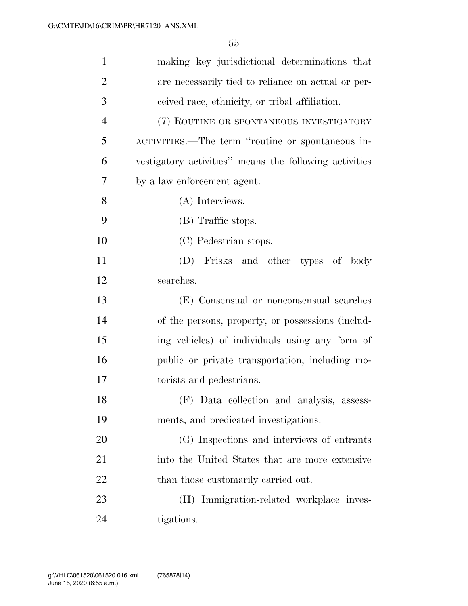| $\mathbf{1}$   | making key jurisdictional determinations that          |
|----------------|--------------------------------------------------------|
| $\overline{2}$ | are necessarily tied to reliance on actual or per-     |
| 3              | ceived race, ethnicity, or tribal affiliation.         |
| $\overline{4}$ | (7) ROUTINE OR SPONTANEOUS INVESTIGATORY               |
| 5              | ACTIVITIES.—The term "routine or spontaneous in-       |
| 6              | vestigatory activities" means the following activities |
| 7              | by a law enforcement agent:                            |
| 8              | (A) Interviews.                                        |
| 9              | (B) Traffic stops.                                     |
| 10             | (C) Pedestrian stops.                                  |
| 11             | (D) Frisks and other types of body                     |
| 12             | searches.                                              |
| 13             | (E) Consensual or nonconsensual searches               |
| 14             | of the persons, property, or possessions (includ-      |
| 15             | ing vehicles) of individuals using any form of         |
| 16             | public or private transportation, including mo-        |
| 17             | torists and pedestrians.                               |
| 18             | (F) Data collection and analysis, assess-              |
| 19             | ments, and predicated investigations.                  |
| 20             | (G) Inspections and interviews of entrants             |
| 21             | into the United States that are more extensive         |
| 22             | than those customarily carried out.                    |
| 23             | (H) Immigration-related workplace inves-               |
| 24             | tigations.                                             |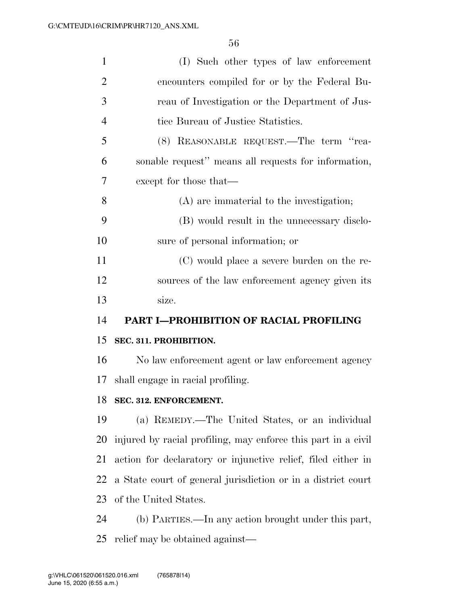| $\mathbf{1}$   | (I) Such other types of law enforcement                       |
|----------------|---------------------------------------------------------------|
| $\overline{2}$ | encounters compiled for or by the Federal Bu-                 |
| 3              | reau of Investigation or the Department of Jus-               |
| $\overline{4}$ | tice Bureau of Justice Statistics.                            |
| 5              | (8) REASONABLE REQUEST.—The term "rea-                        |
| 6              | sonable request" means all requests for information,          |
| 7              | except for those that—                                        |
| 8              | (A) are immaterial to the investigation;                      |
| 9              | (B) would result in the unnecessary disclo-                   |
| 10             | sure of personal information; or                              |
| 11             | (C) would place a severe burden on the re-                    |
| 12             | sources of the law enforcement agency given its               |
| 13             | size.                                                         |
| 14             |                                                               |
|                | PART I-PROHIBITION OF RACIAL PROFILING                        |
| 15             | SEC. 311. PROHIBITION.                                        |
| 16             | No law enforcement agent or law enforcement agency            |
| 17             | shall engage in racial profiling.                             |
| 18             | SEC. 312. ENFORCEMENT.                                        |
| 19             | (a) REMEDY.—The United States, or an individual               |
| 20             | injured by racial profiling, may enforce this part in a civil |
| 21             | action for declaratory or injunctive relief, filed either in  |
| 22             | a State court of general jurisdiction or in a district court  |
| 23             | of the United States.                                         |
| 24             | (b) PARTIES.—In any action brought under this part,           |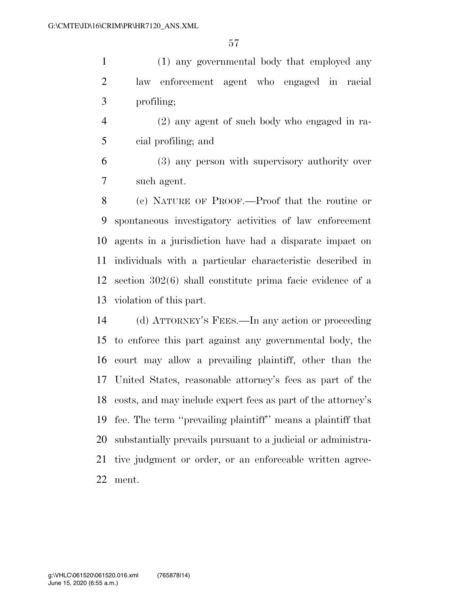(1) any governmental body that employed any law enforcement agent who engaged in racial profiling;

 (2) any agent of such body who engaged in ra-cial profiling; and

 (3) any person with supervisory authority over such agent.

 (c) NATURE OF PROOF.—Proof that the routine or spontaneous investigatory activities of law enforcement agents in a jurisdiction have had a disparate impact on individuals with a particular characteristic described in section 302(6) shall constitute prima facie evidence of a violation of this part.

 (d) ATTORNEY'S FEES.—In any action or proceeding to enforce this part against any governmental body, the court may allow a prevailing plaintiff, other than the United States, reasonable attorney's fees as part of the costs, and may include expert fees as part of the attorney's fee. The term ''prevailing plaintiff'' means a plaintiff that substantially prevails pursuant to a judicial or administra- tive judgment or order, or an enforceable written agree-ment.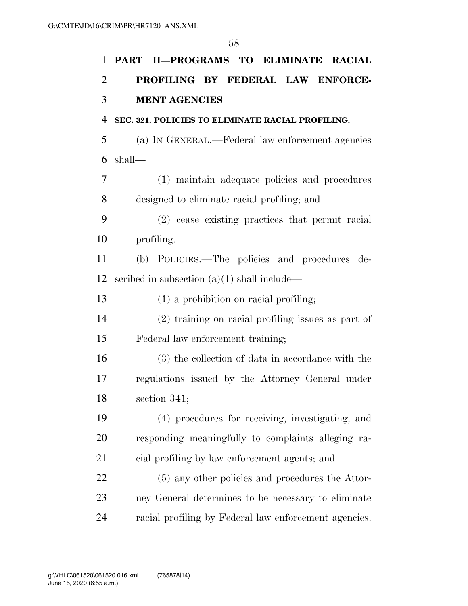| $\mathbf{1}$   | PART II-PROGRAMS TO ELIMINATE RACIAL                  |
|----------------|-------------------------------------------------------|
| $\overline{2}$ | PROFILING BY FEDERAL LAW ENFORCE-                     |
| 3              | <b>MENT AGENCIES</b>                                  |
| $\overline{4}$ | SEC. 321. POLICIES TO ELIMINATE RACIAL PROFILING.     |
| 5              | (a) IN GENERAL.—Federal law enforcement agencies      |
| 6              | shall—                                                |
| 7              | (1) maintain adequate policies and procedures         |
| 8              | designed to eliminate racial profiling; and           |
| 9              | (2) cease existing practices that permit racial       |
| 10             | profiling.                                            |
| 11             | (b) POLICIES.—The policies and procedures de-         |
| 12             | scribed in subsection $(a)(1)$ shall include—         |
| 13             | $(1)$ a prohibition on racial profiling;              |
| 14             | (2) training on racial profiling issues as part of    |
| 15             | Federal law enforcement training;                     |
| 16             | (3) the collection of data in accordance with the     |
| 17             | regulations issued by the Attorney General under      |
| 18             | section 341;                                          |
| 19             | (4) procedures for receiving, investigating, and      |
| 20             | responding meaningfully to complaints alleging ra-    |
| 21             | cial profiling by law enforcement agents; and         |
| 22             | (5) any other policies and procedures the Attor-      |
| 23             | ney General determines to be necessary to eliminate   |
| 24             | racial profiling by Federal law enforcement agencies. |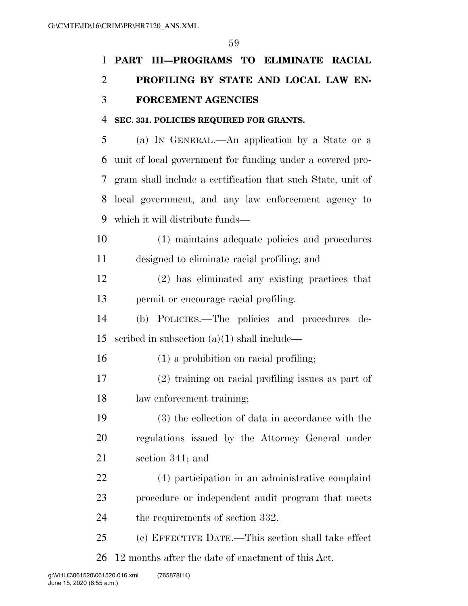## **PART III—PROGRAMS TO ELIMINATE RACIAL PROFILING BY STATE AND LOCAL LAW EN-FORCEMENT AGENCIES**

#### **SEC. 331. POLICIES REQUIRED FOR GRANTS.**

 (a) IN GENERAL.—An application by a State or a unit of local government for funding under a covered pro- gram shall include a certification that such State, unit of local government, and any law enforcement agency to which it will distribute funds—

 (1) maintains adequate policies and procedures designed to eliminate racial profiling; and

 (2) has eliminated any existing practices that permit or encourage racial profiling.

 (b) POLICIES.—The policies and procedures de-scribed in subsection (a)(1) shall include—

(1) a prohibition on racial profiling;

 (2) training on racial profiling issues as part of law enforcement training;

 (3) the collection of data in accordance with the regulations issued by the Attorney General under section 341; and

 (4) participation in an administrative complaint procedure or independent audit program that meets 24 the requirements of section 332.

 (c) EFFECTIVE DATE.—This section shall take effect 12 months after the date of enactment of this Act.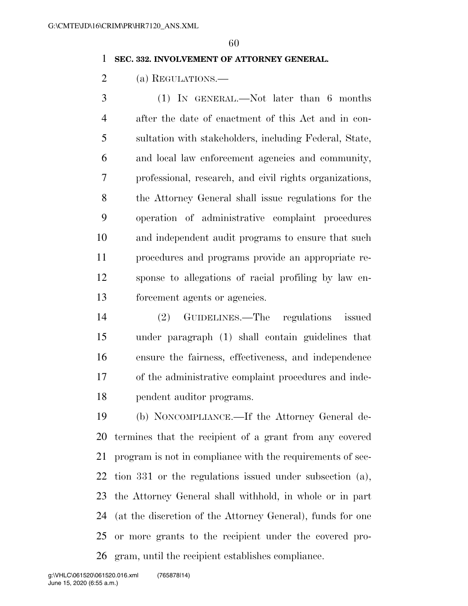#### **SEC. 332. INVOLVEMENT OF ATTORNEY GENERAL.**

(a) REGULATIONS.—

 (1) IN GENERAL.—Not later than 6 months after the date of enactment of this Act and in con- sultation with stakeholders, including Federal, State, and local law enforcement agencies and community, professional, research, and civil rights organizations, the Attorney General shall issue regulations for the operation of administrative complaint procedures and independent audit programs to ensure that such procedures and programs provide an appropriate re- sponse to allegations of racial profiling by law en-forcement agents or agencies.

 (2) GUIDELINES.—The regulations issued under paragraph (1) shall contain guidelines that ensure the fairness, effectiveness, and independence of the administrative complaint procedures and inde-pendent auditor programs.

 (b) NONCOMPLIANCE.—If the Attorney General de- termines that the recipient of a grant from any covered program is not in compliance with the requirements of sec- tion 331 or the regulations issued under subsection (a), the Attorney General shall withhold, in whole or in part (at the discretion of the Attorney General), funds for one or more grants to the recipient under the covered pro-gram, until the recipient establishes compliance.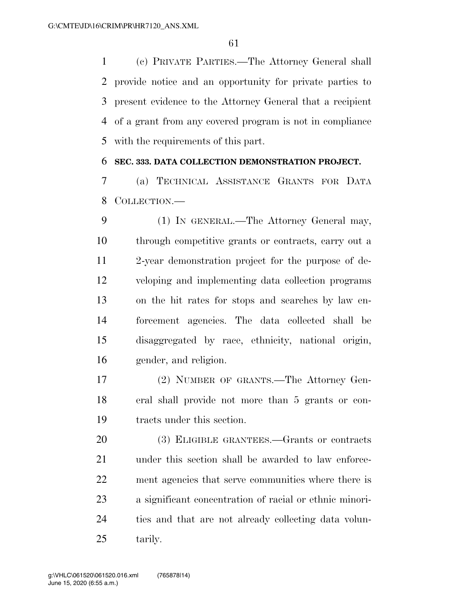(c) PRIVATE PARTIES.—The Attorney General shall provide notice and an opportunity for private parties to present evidence to the Attorney General that a recipient of a grant from any covered program is not in compliance with the requirements of this part.

#### **SEC. 333. DATA COLLECTION DEMONSTRATION PROJECT.**

 (a) TECHNICAL ASSISTANCE GRANTS FOR DATA COLLECTION.—

 (1) IN GENERAL.—The Attorney General may, through competitive grants or contracts, carry out a 2-year demonstration project for the purpose of de- veloping and implementing data collection programs on the hit rates for stops and searches by law en- forcement agencies. The data collected shall be disaggregated by race, ethnicity, national origin, gender, and religion.

 (2) NUMBER OF GRANTS.—The Attorney Gen- eral shall provide not more than 5 grants or con-tracts under this section.

 (3) ELIGIBLE GRANTEES.—Grants or contracts under this section shall be awarded to law enforce- ment agencies that serve communities where there is a significant concentration of racial or ethnic minori- ties and that are not already collecting data volun-tarily.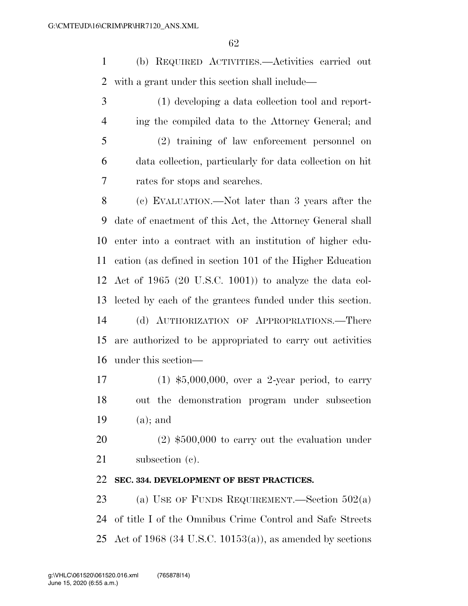(b) REQUIRED ACTIVITIES.—Activities carried out with a grant under this section shall include—

 (1) developing a data collection tool and report- ing the compiled data to the Attorney General; and (2) training of law enforcement personnel on data collection, particularly for data collection on hit rates for stops and searches.

 (c) EVALUATION.—Not later than 3 years after the date of enactment of this Act, the Attorney General shall enter into a contract with an institution of higher edu- cation (as defined in section 101 of the Higher Education Act of 1965 (20 U.S.C. 1001)) to analyze the data col- lected by each of the grantees funded under this section. (d) AUTHORIZATION OF APPROPRIATIONS.—There are authorized to be appropriated to carry out activities under this section—

 (1) \$5,000,000, over a 2-year period, to carry out the demonstration program under subsection (a); and

 (2) \$500,000 to carry out the evaluation under 21 subsection (c).

#### **SEC. 334. DEVELOPMENT OF BEST PRACTICES.**

 (a) USE OF FUNDS REQUIREMENT.—Section 502(a) of title I of the Omnibus Crime Control and Safe Streets Act of 1968 (34 U.S.C. 10153(a)), as amended by sections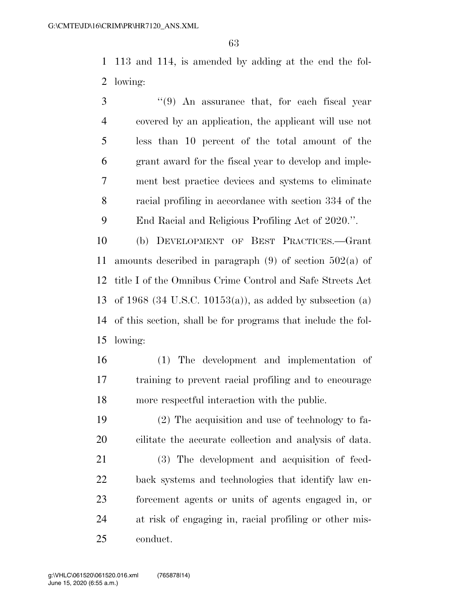113 and 114, is amended by adding at the end the fol-lowing:

 ''(9) An assurance that, for each fiscal year covered by an application, the applicant will use not less than 10 percent of the total amount of the grant award for the fiscal year to develop and imple- ment best practice devices and systems to eliminate racial profiling in accordance with section 334 of the End Racial and Religious Profiling Act of 2020.''.

 (b) DEVELOPMENT OF BEST PRACTICES.—Grant amounts described in paragraph (9) of section 502(a) of title I of the Omnibus Crime Control and Safe Streets Act of 1968 (34 U.S.C. 10153(a)), as added by subsection (a) of this section, shall be for programs that include the fol-lowing:

- (1) The development and implementation of training to prevent racial profiling and to encourage more respectful interaction with the public.
- (2) The acquisition and use of technology to fa-cilitate the accurate collection and analysis of data.
- (3) The development and acquisition of feed- back systems and technologies that identify law en- forcement agents or units of agents engaged in, or at risk of engaging in, racial profiling or other mis-conduct.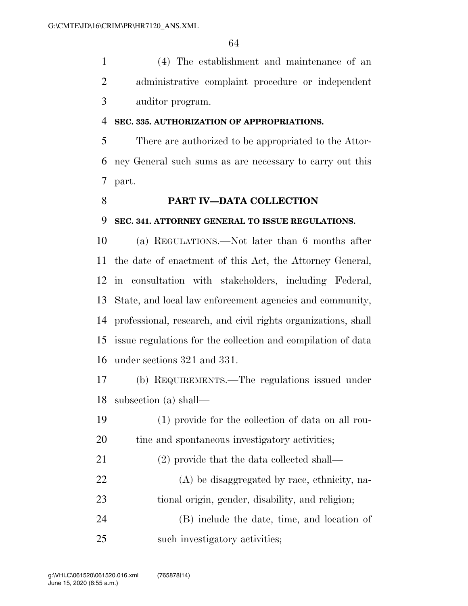(4) The establishment and maintenance of an administrative complaint procedure or independent auditor program.

#### **SEC. 335. AUTHORIZATION OF APPROPRIATIONS.**

 There are authorized to be appropriated to the Attor- ney General such sums as are necessary to carry out this part.

#### **PART IV—DATA COLLECTION**

#### **SEC. 341. ATTORNEY GENERAL TO ISSUE REGULATIONS.**

 (a) REGULATIONS.—Not later than 6 months after the date of enactment of this Act, the Attorney General, in consultation with stakeholders, including Federal, State, and local law enforcement agencies and community, professional, research, and civil rights organizations, shall issue regulations for the collection and compilation of data under sections 321 and 331.

 (b) REQUIREMENTS.—The regulations issued under subsection (a) shall—

- (1) provide for the collection of data on all rou-20 tine and spontaneous investigatory activities;
- (2) provide that the data collected shall—
- (A) be disaggregated by race, ethnicity, na-tional origin, gender, disability, and religion;
- (B) include the date, time, and location of such investigatory activities;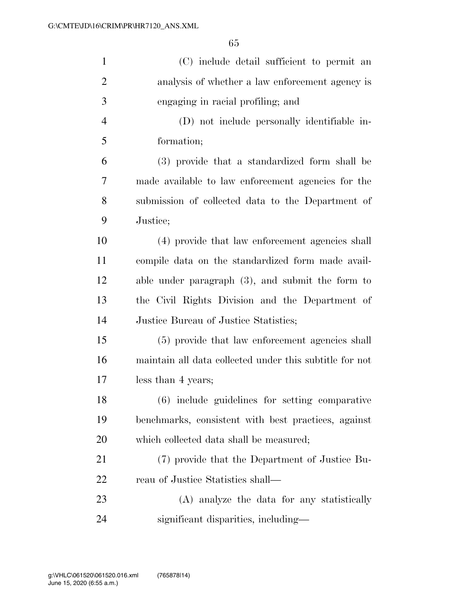| $\mathbf{1}$   | (C) include detail sufficient to permit an              |
|----------------|---------------------------------------------------------|
| $\overline{2}$ | analysis of whether a law enforcement agency is         |
| 3              | engaging in racial profiling; and                       |
| 4              | (D) not include personally identifiable in-             |
| 5              | formation;                                              |
| 6              | (3) provide that a standardized form shall be           |
| 7              | made available to law enforcement agencies for the      |
| 8              | submission of collected data to the Department of       |
| 9              | Justice;                                                |
| 10             | (4) provide that law enforcement agencies shall         |
| 11             | compile data on the standardized form made avail-       |
| 12             | able under paragraph $(3)$ , and submit the form to     |
| 13             | the Civil Rights Division and the Department of         |
| 14             | Justice Bureau of Justice Statistics;                   |
| 15             | (5) provide that law enforcement agencies shall         |
| 16             | maintain all data collected under this subtitle for not |
| 17             | less than 4 years;                                      |
| 18             | (6) include guidelines for setting comparative          |
| 19             | benchmarks, consistent with best practices, against     |
| <b>20</b>      | which collected data shall be measured;                 |
| 21             | (7) provide that the Department of Justice Bu-          |
| 22             | reau of Justice Statistics shall—                       |
| 23             | (A) analyze the data for any statistically              |
| 24             | significant disparities, including-                     |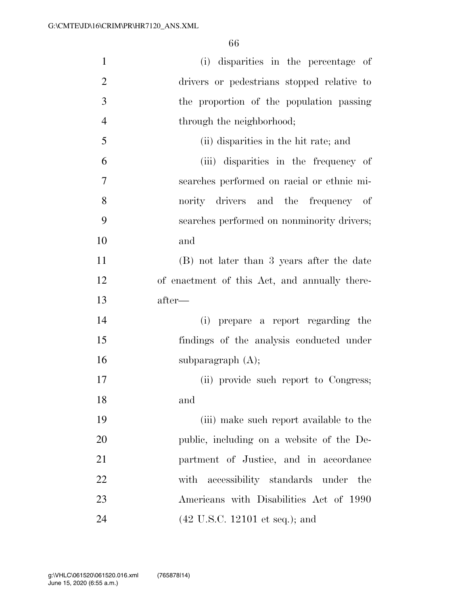| $\mathbf{1}$   | (i) disparities in the percentage of              |
|----------------|---------------------------------------------------|
| $\overline{2}$ | drivers or pedestrians stopped relative to        |
| 3              | the proportion of the population passing          |
| $\overline{4}$ | through the neighborhood;                         |
| 5              | (ii) disparities in the hit rate; and             |
| 6              | (iii) disparities in the frequency of             |
| 7              | searches performed on racial or ethnic mi-        |
| 8              | nority drivers and the frequency of               |
| 9              | searches performed on nonminority drivers;        |
| 10             | and                                               |
| 11             | (B) not later than 3 years after the date         |
| 12             | of enactment of this Act, and annually there-     |
| 13             | after—                                            |
| 14             | (i) prepare a report regarding the                |
| 15             | findings of the analysis conducted under          |
| 16             | subparagraph $(A)$ ;                              |
| 17             | (ii) provide such report to Congress;             |
| 18             | and                                               |
| 19             | (iii) make such report available to the           |
| 20             | public, including on a website of the De-         |
| 21             | partment of Justice, and in accordance            |
| 22             | with accessibility standards under the            |
| 23             | Americans with Disabilities Act of 1990           |
| 24             | $(42 \text{ U.S.C. } 12101 \text{ et seq.});$ and |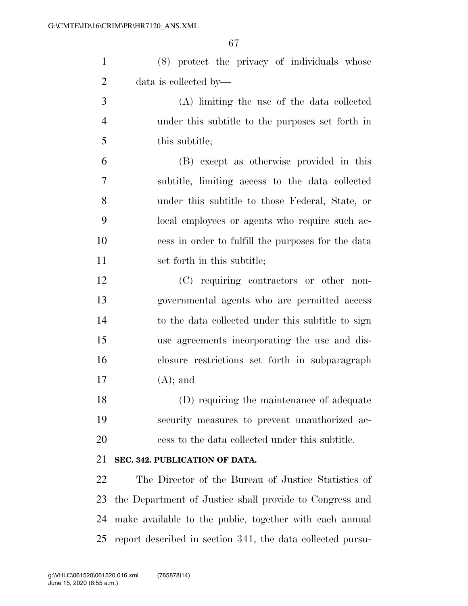| $\mathbf{1}$   | (8) protect the privacy of individuals whose            |
|----------------|---------------------------------------------------------|
| $\overline{2}$ | data is collected by—                                   |
| 3              | (A) limiting the use of the data collected              |
| $\overline{4}$ | under this subtitle to the purposes set forth in        |
| 5              | this subtitle;                                          |
| 6              | (B) except as otherwise provided in this                |
| 7              | subtitle, limiting access to the data collected         |
| 8              | under this subtitle to those Federal, State, or         |
| 9              | local employees or agents who require such ac-          |
| 10             | cess in order to fulfill the purposes for the data      |
| 11             | set forth in this subtitle;                             |
| 12             | (C) requiring contractors or other non-                 |
| 13             | governmental agents who are permitted access            |
| 14             | to the data collected under this subtitle to sign       |
| 15             | use agreements incorporating the use and dis-           |
| 16             | closure restrictions set forth in subparagraph          |
| 17             | $(A)$ ; and                                             |
| 18             | (D) requiring the maintenance of adequate               |
| 19             | security measures to prevent unauthorized ac-           |
| 20             | cess to the data collected under this subtitle.         |
| 21             | SEC. 342. PUBLICATION OF DATA.                          |
| 22             | The Director of the Bureau of Justice Statistics of     |
| 23             | the Department of Justice shall provide to Congress and |

make available to the public, together with each annual

report described in section 341, the data collected pursu-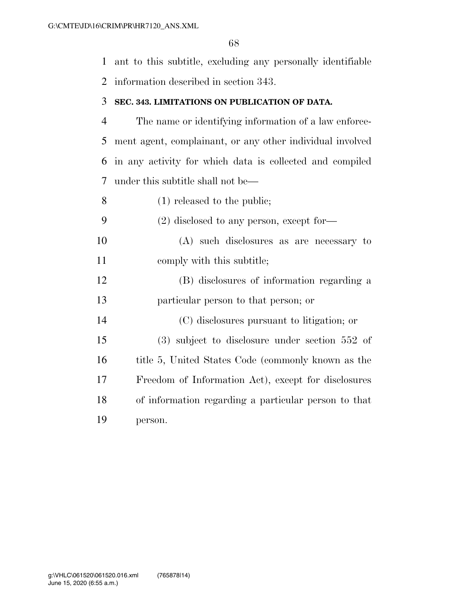ant to this subtitle, excluding any personally identifiable

information described in section 343.

#### **SEC. 343. LIMITATIONS ON PUBLICATION OF DATA.**

 The name or identifying information of a law enforce- ment agent, complainant, or any other individual involved in any activity for which data is collected and compiled under this subtitle shall not be—

- (1) released to the public;
- (2) disclosed to any person, except for—
- (A) such disclosures as are necessary to comply with this subtitle;
- (B) disclosures of information regarding a particular person to that person; or

 (C) disclosures pursuant to litigation; or (3) subject to disclosure under section 552 of title 5, United States Code (commonly known as the Freedom of Information Act), except for disclosures of information regarding a particular person to that person.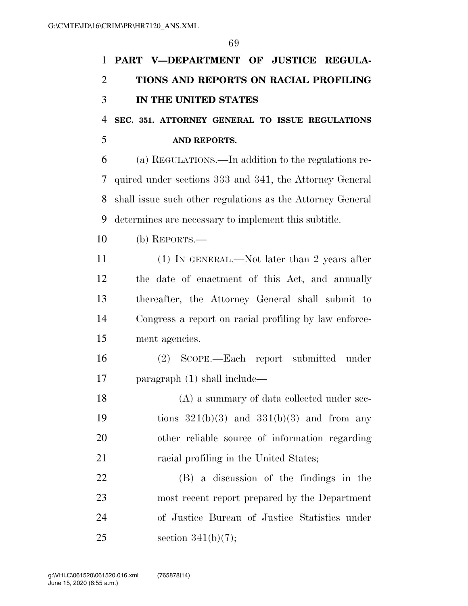| 1              | PART V-DEPARTMENT OF JUSTICE REGULA-                       |
|----------------|------------------------------------------------------------|
| $\overline{2}$ | TIONS AND REPORTS ON RACIAL PROFILING                      |
| 3              | IN THE UNITED STATES                                       |
| $\overline{4}$ | SEC. 351. ATTORNEY GENERAL TO ISSUE REGULATIONS            |
| 5              | AND REPORTS.                                               |
| 6              | (a) REGULATIONS.—In addition to the regulations re-        |
| 7              | quired under sections 333 and 341, the Attorney General    |
| 8              | shall issue such other regulations as the Attorney General |
| 9              | determines are necessary to implement this subtitle.       |
| 10             | (b) REPORTS.—                                              |
| 11             | $(1)$ In GENERAL.—Not later than 2 years after             |
| 12             | the date of enactment of this Act, and annually            |
| 13             | thereafter, the Attorney General shall submit to           |
| 14             | Congress a report on racial profiling by law enforce-      |
| 15             | ment agencies.                                             |
| 16             | (2) SCOPE.—Each report submitted under                     |
| 17             | paragraph $(1)$ shall include—                             |
| 18             | (A) a summary of data collected under sec-                 |
| 19             | tions $321(b)(3)$ and $331(b)(3)$ and from any             |
| 20             | other reliable source of information regarding             |
| 21             | racial profiling in the United States;                     |
| 22             | (B) a discussion of the findings in the                    |
| 23             | most recent report prepared by the Department              |
| 24             | of Justice Bureau of Justice Statistics under              |
| 25             | section $341(b)(7);$                                       |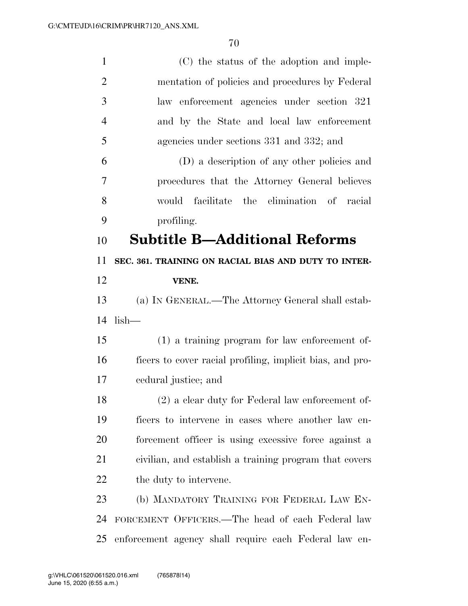| $\mathbf{1}$   | (C) the status of the adoption and imple-                 |
|----------------|-----------------------------------------------------------|
| $\overline{2}$ | mentation of policies and procedures by Federal           |
| 3              | law enforcement agencies under section 321                |
| $\overline{4}$ | and by the State and local law enforcement                |
| 5              | agencies under sections 331 and 332; and                  |
| 6              | (D) a description of any other policies and               |
| 7              | procedures that the Attorney General believes             |
| 8              | would facilitate the elimination of racial                |
| 9              | profiling.                                                |
| 10             | <b>Subtitle B—Additional Reforms</b>                      |
| 11             | SEC. 361. TRAINING ON RACIAL BIAS AND DUTY TO INTER-      |
| 12             | VENE.                                                     |
| 13             | (a) IN GENERAL.—The Attorney General shall estab-         |
| 14             | $lish-$                                                   |
| 15             | (1) a training program for law enforcement of-            |
| 16             | ficers to cover racial profiling, implicit bias, and pro- |
| 17             | eedural justice; and                                      |
| 18             | (2) a clear duty for Federal law enforcement of-          |
| 19             | ficers to intervene in cases where another law en-        |
| 20             | forcement officer is using excessive force against a      |
| 21             | civilian, and establish a training program that covers    |
| 22             | the duty to intervene.                                    |
| 23             | (b) MANDATORY TRAINING FOR FEDERAL LAW EN-                |
| 24             | FORCEMENT OFFICERS.—The head of each Federal law          |
| 25             | enforcement agency shall require each Federal law en-     |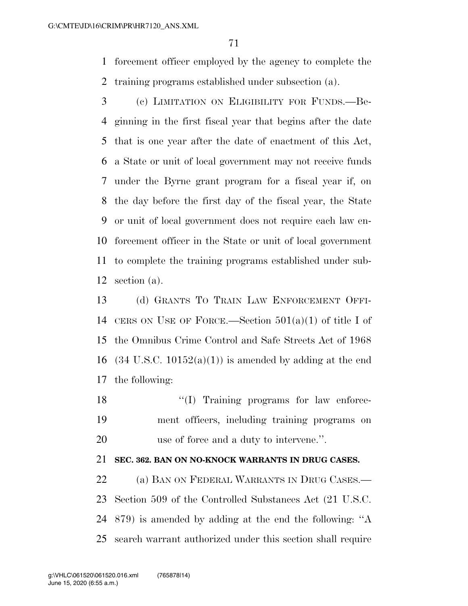forcement officer employed by the agency to complete the training programs established under subsection (a).

 (c) LIMITATION ON ELIGIBILITY FOR FUNDS.—Be- ginning in the first fiscal year that begins after the date that is one year after the date of enactment of this Act, a State or unit of local government may not receive funds under the Byrne grant program for a fiscal year if, on the day before the first day of the fiscal year, the State or unit of local government does not require each law en- forcement officer in the State or unit of local government to complete the training programs established under sub-section (a).

 (d) GRANTS TO TRAIN LAW ENFORCEMENT OFFI-14 CERS ON USE OF FORCE.—Section  $501(a)(1)$  of title I of the Omnibus Crime Control and Safe Streets Act of 1968 16 (34 U.S.C. 10152(a)(1)) is amended by adding at the end the following:

18  $\cdot$  (I) Training programs for law enforce- ment officers, including training programs on use of force and a duty to intervene.''.

#### **SEC. 362. BAN ON NO-KNOCK WARRANTS IN DRUG CASES.**

22 (a) BAN ON FEDERAL WARRANTS IN DRUG CASES.— Section 509 of the Controlled Substances Act (21 U.S.C. 879) is amended by adding at the end the following: ''A search warrant authorized under this section shall require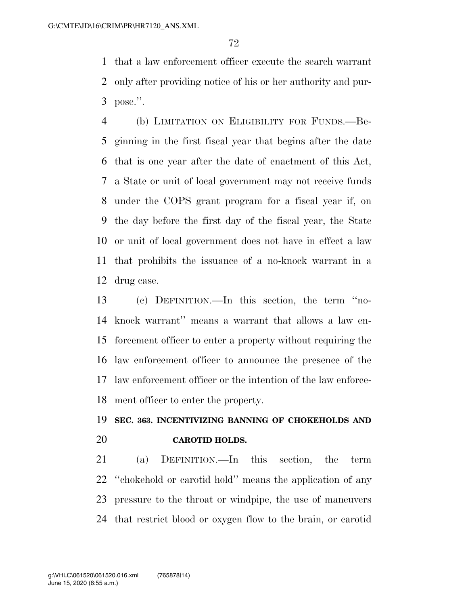that a law enforcement officer execute the search warrant only after providing notice of his or her authority and pur-pose.''.

 (b) LIMITATION ON ELIGIBILITY FOR FUNDS.—Be- ginning in the first fiscal year that begins after the date that is one year after the date of enactment of this Act, a State or unit of local government may not receive funds under the COPS grant program for a fiscal year if, on the day before the first day of the fiscal year, the State or unit of local government does not have in effect a law that prohibits the issuance of a no-knock warrant in a drug case.

 (c) DEFINITION.—In this section, the term ''no- knock warrant'' means a warrant that allows a law en- forcement officer to enter a property without requiring the law enforcement officer to announce the presence of the law enforcement officer or the intention of the law enforce-ment officer to enter the property.

### **SEC. 363. INCENTIVIZING BANNING OF CHOKEHOLDS AND CAROTID HOLDS.**

 (a) DEFINITION.—In this section, the term ''chokehold or carotid hold'' means the application of any pressure to the throat or windpipe, the use of maneuvers that restrict blood or oxygen flow to the brain, or carotid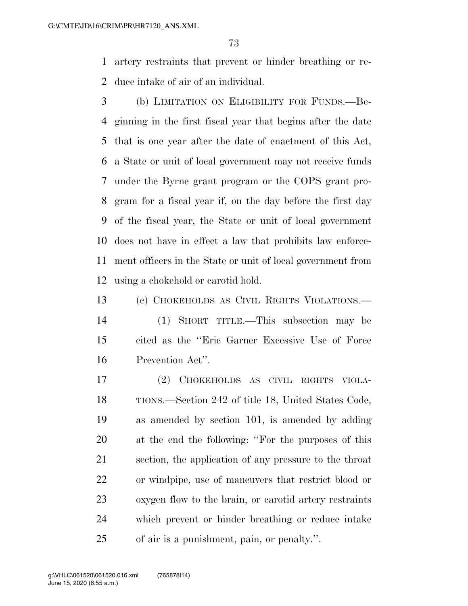artery restraints that prevent or hinder breathing or re-duce intake of air of an individual.

- (b) LIMITATION ON ELIGIBILITY FOR FUNDS.—Be- ginning in the first fiscal year that begins after the date that is one year after the date of enactment of this Act, a State or unit of local government may not receive funds under the Byrne grant program or the COPS grant pro- gram for a fiscal year if, on the day before the first day of the fiscal year, the State or unit of local government does not have in effect a law that prohibits law enforce- ment officers in the State or unit of local government from using a chokehold or carotid hold.
- (c) CHOKEHOLDS AS CIVIL RIGHTS VIOLATIONS.— (1) SHORT TITLE.—This subsection may be cited as the ''Eric Garner Excessive Use of Force Prevention Act''.
- (2) CHOKEHOLDS AS CIVIL RIGHTS VIOLA- TIONS.—Section 242 of title 18, United States Code, as amended by section 101, is amended by adding at the end the following: ''For the purposes of this section, the application of any pressure to the throat or windpipe, use of maneuvers that restrict blood or oxygen flow to the brain, or carotid artery restraints which prevent or hinder breathing or reduce intake of air is a punishment, pain, or penalty.''.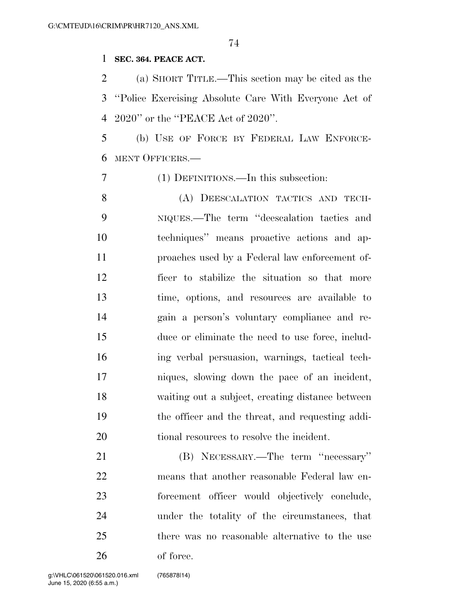## **SEC. 364. PEACE ACT.**

 (a) SHORT TITLE.—This section may be cited as the ''Police Exercising Absolute Care With Everyone Act of 2020'' or the ''PEACE Act of 2020''.

 (b) USE OF FORCE BY FEDERAL LAW ENFORCE-MENT OFFICERS.—

(1) DEFINITIONS.—In this subsection:

8 (A) DEESCALATION TACTICS AND TECH- NIQUES.—The term ''deescalation tactics and techniques'' means proactive actions and ap- proaches used by a Federal law enforcement of- ficer to stabilize the situation so that more time, options, and resources are available to gain a person's voluntary compliance and re- duce or eliminate the need to use force, includ- ing verbal persuasion, warnings, tactical tech- niques, slowing down the pace of an incident, waiting out a subject, creating distance between the officer and the threat, and requesting addi-tional resources to resolve the incident.

 (B) NECESSARY.—The term ''necessary'' means that another reasonable Federal law en- forcement officer would objectively conclude, under the totality of the circumstances, that there was no reasonable alternative to the use of force.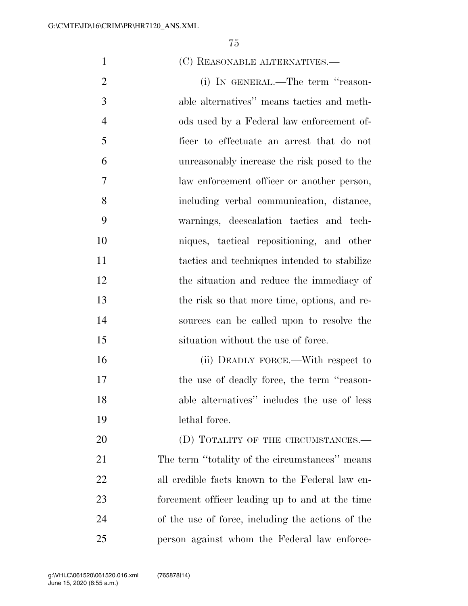1 (C) REASONABLE ALTERNATIVES.— 2 (i) In GENERAL.—The term "reason- able alternatives'' means tactics and meth- ods used by a Federal law enforcement of- ficer to effectuate an arrest that do not unreasonably increase the risk posed to the law enforcement officer or another person, including verbal communication, distance, warnings, deescalation tactics and tech- niques, tactical repositioning, and other tactics and techniques intended to stabilize 12 the situation and reduce the immediacy of the risk so that more time, options, and re- sources can be called upon to resolve the situation without the use of force. (ii) DEADLY FORCE.—With respect to 17 the use of deadly force, the term "reason- able alternatives'' includes the use of less lethal force. 20 (D) TOTALITY OF THE CIRCUMSTANCES.— The term ''totality of the circumstances'' means all credible facts known to the Federal law en- forcement officer leading up to and at the time of the use of force, including the actions of the person against whom the Federal law enforce-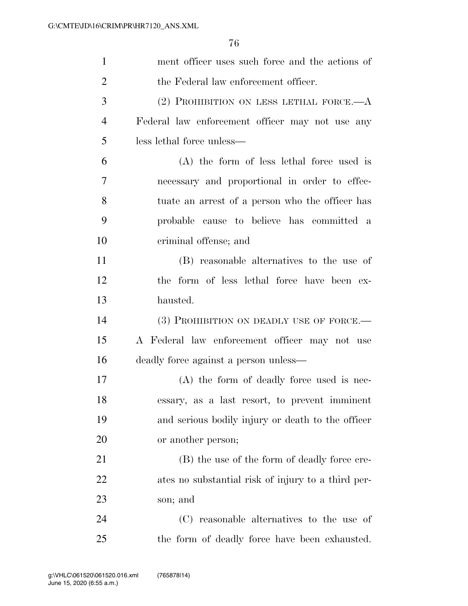| $\mathbf{1}$   | ment officer uses such force and the actions of    |
|----------------|----------------------------------------------------|
| $\overline{2}$ | the Federal law enforcement officer.               |
| 3              | $(2)$ PROHIBITION ON LESS LETHAL FORCE.— $A$       |
| $\overline{4}$ | Federal law enforcement officer may not use any    |
| 5              | less lethal force unless—                          |
| 6              | (A) the form of less lethal force used is          |
| 7              | necessary and proportional in order to effec-      |
| 8              | tuate an arrest of a person who the officer has    |
| 9              | probable cause to believe has committed a          |
| 10             | criminal offense; and                              |
| 11             | (B) reasonable alternatives to the use of          |
| 12             | the form of less lethal force have been ex-        |
| 13             | hausted.                                           |
| 14             | (3) PROHIBITION ON DEADLY USE OF FORCE.—           |
| 15             | A Federal law enforcement officer may not use      |
| 16             | deadly force against a person unless—              |
| 17             | $(A)$ the form of deadly force used is nec-        |
| 18             | essary, as a last resort, to prevent imminent      |
| 19             | and serious bodily injury or death to the officer  |
| <b>20</b>      | or another person;                                 |
| 21             | (B) the use of the form of deadly force cre-       |
| 22             | ates no substantial risk of injury to a third per- |
| 23             | son; and                                           |
| 24             | (C) reasonable alternatives to the use of          |
| 25             | the form of deadly force have been exhausted.      |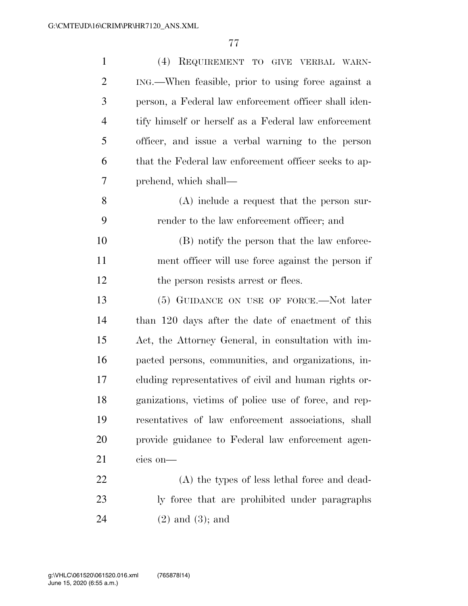| $\mathbf{1}$   | (4)<br>REQUIREMENT TO GIVE VERBAL WARN-               |
|----------------|-------------------------------------------------------|
| $\overline{2}$ | ING.—When feasible, prior to using force against a    |
| 3              | person, a Federal law enforcement officer shall iden- |
| $\overline{4}$ | tify himself or herself as a Federal law enforcement  |
| 5              | officer, and issue a verbal warning to the person     |
| 6              | that the Federal law enforcement officer seeks to ap- |
| 7              | prehend, which shall—                                 |
| 8              | $(A)$ include a request that the person sur-          |
| 9              | render to the law enforcement officer; and            |
| 10             | (B) notify the person that the law enforce-           |
| 11             | ment officer will use force against the person if     |
| 12             | the person resists arrest or flees.                   |
| 13             | (5) GUIDANCE ON USE OF FORCE.—Not later               |
| 14             | than 120 days after the date of enactment of this     |
| 15             | Act, the Attorney General, in consultation with im-   |
| 16             | pacted persons, communities, and organizations, in-   |
| 17             | cluding representatives of civil and human rights or- |
| 18             | ganizations, victims of police use of force, and rep- |
| 19             | resentatives of law enforcement associations, shall   |
| 20             | provide guidance to Federal law enforcement agen-     |
| 21             | cies on-                                              |
| 22             | (A) the types of less lethal force and dead-          |
| 23             | ly force that are prohibited under paragraphs         |
| 24             | $(2)$ and $(3)$ ; and                                 |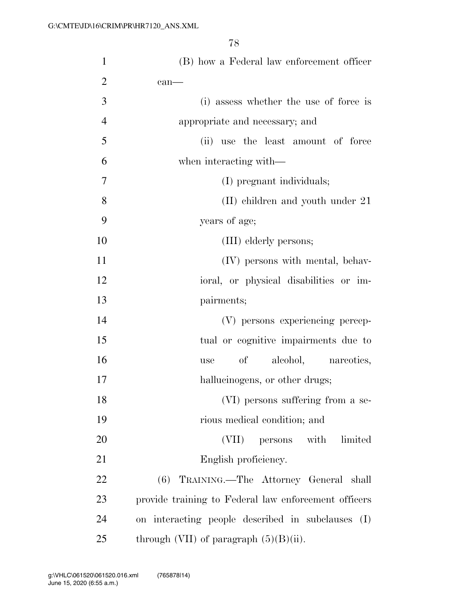| $\mathbf{1}$   | (B) how a Federal law enforcement officer            |
|----------------|------------------------------------------------------|
| $\overline{2}$ | $can$ —                                              |
| 3              | (i) assess whether the use of force is               |
| $\overline{4}$ | appropriate and necessary; and                       |
| 5              | (ii) use the least amount of force                   |
| 6              | when interacting with—                               |
| 7              | (I) pregnant individuals;                            |
| 8              | $(II)$ children and youth under 21                   |
| 9              | years of age;                                        |
| 10             | (III) elderly persons;                               |
| 11             | (IV) persons with mental, behav-                     |
| 12             | ioral, or physical disabilities or im-               |
| 13             | pairments;                                           |
| 14             | (V) persons experiencing percep-                     |
| 15             | tual or cognitive impairments due to                 |
| 16             | $\sigma f$<br>alcohol, narcotics,<br>use             |
| 17             | hallucinogens, or other drugs;                       |
| 18             | (VI) persons suffering from a se-                    |
| 19             | rious medical condition; and                         |
| 20             | (VII)<br>persons with<br>limited                     |
| 21             | English proficiency.                                 |
| 22             | (6) TRAINING.—The Attorney General shall             |
| 23             | provide training to Federal law enforcement officers |
| 24             | on interacting people described in subclauses<br>(I) |
| 25             | through (VII) of paragraph $(5)(B)(ii)$ .            |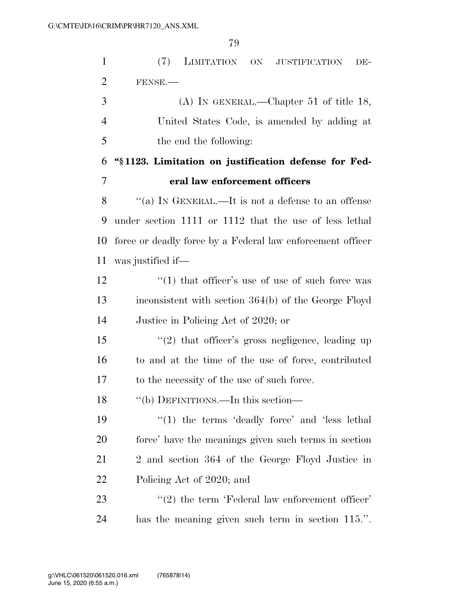(7) LIMITATION ON JUSTIFICATION DE-FENSE.—

 (A) IN GENERAL.—Chapter 51 of title 18, United States Code, is amended by adding at the end the following:

## **''§ 1123. Limitation on justification defense for Fed-eral law enforcement officers**

 ''(a) IN GENERAL.—It is not a defense to an offense under section 1111 or 1112 that the use of less lethal force or deadly force by a Federal law enforcement officer was justified if—

12 ''(1) that officer's use of use of such force was inconsistent with section 364(b) of the George Floyd Justice in Policing Act of 2020; or

15 ''(2) that officer's gross negligence, leading up to and at the time of the use of force, contributed to the necessity of the use of such force.

''(b) DEFINITIONS.—In this section—

19 ''(1) the terms 'deadly force' and 'less lethal force' have the meanings given such terms in section 2 and section 364 of the George Floyd Justice in Policing Act of 2020; and

23 ''(2) the term 'Federal law enforcement officer' has the meaning given such term in section 115.''.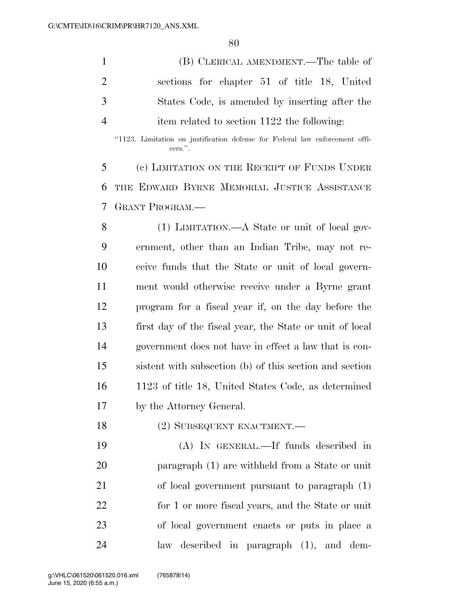|    | (B) CLERICAL AMENDMENT.—The table of                                     |
|----|--------------------------------------------------------------------------|
| 2  | sections for chapter 51 of title 18, United                              |
| -3 | States Code, is amended by inserting after the                           |
|    | item related to section 1122 the following:                              |
|    | "1109 Limitation on instification defense for Foderal law enforcement of |

''1123. Limitation on justification defense for Federal law enforcement officers.''.

 (c) LIMITATION ON THE RECEIPT OF FUNDS UNDER THE EDWARD BYRNE MEMORIAL JUSTICE ASSISTANCE GRANT PROGRAM.—

 (1) LIMITATION.—A State or unit of local gov- ernment, other than an Indian Tribe, may not re- ceive funds that the State or unit of local govern- ment would otherwise receive under a Byrne grant program for a fiscal year if, on the day before the first day of the fiscal year, the State or unit of local government does not have in effect a law that is con- sistent with subsection (b) of this section and section 1123 of title 18, United States Code, as determined by the Attorney General.

18 (2) SUBSEQUENT ENACTMENT.

 (A) IN GENERAL.—If funds described in paragraph (1) are withheld from a State or unit of local government pursuant to paragraph (1) for 1 or more fiscal years, and the State or unit of local government enacts or puts in place a law described in paragraph (1), and dem-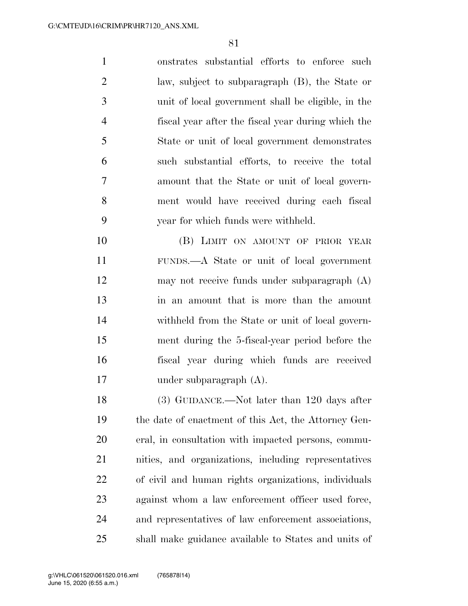onstrates substantial efforts to enforce such law, subject to subparagraph (B), the State or unit of local government shall be eligible, in the fiscal year after the fiscal year during which the State or unit of local government demonstrates such substantial efforts, to receive the total amount that the State or unit of local govern- ment would have received during each fiscal year for which funds were withheld.

10 (B) LIMIT ON AMOUNT OF PRIOR YEAR FUNDS.—A State or unit of local government may not receive funds under subparagraph (A) in an amount that is more than the amount withheld from the State or unit of local govern- ment during the 5-fiscal-year period before the fiscal year during which funds are received under subparagraph (A).

 (3) GUIDANCE.—Not later than 120 days after the date of enactment of this Act, the Attorney Gen- eral, in consultation with impacted persons, commu- nities, and organizations, including representatives of civil and human rights organizations, individuals against whom a law enforcement officer used force, and representatives of law enforcement associations, shall make guidance available to States and units of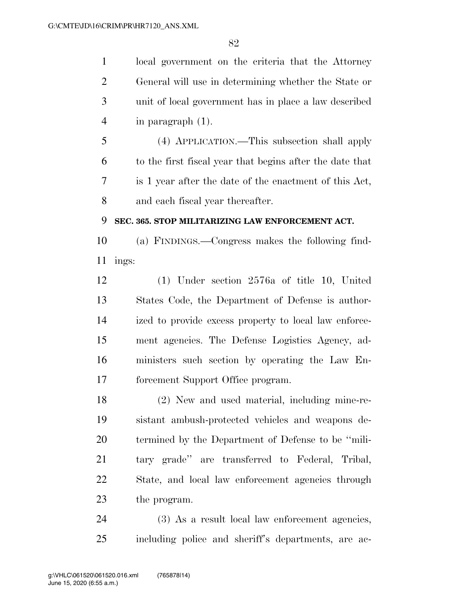local government on the criteria that the Attorney General will use in determining whether the State or unit of local government has in place a law described in paragraph (1).

 (4) APPLICATION.—This subsection shall apply to the first fiscal year that begins after the date that is 1 year after the date of the enactment of this Act, and each fiscal year thereafter.

## **SEC. 365. STOP MILITARIZING LAW ENFORCEMENT ACT.**

 (a) FINDINGS.—Congress makes the following find-ings:

 (1) Under section 2576a of title 10, United States Code, the Department of Defense is author- ized to provide excess property to local law enforce- ment agencies. The Defense Logistics Agency, ad- ministers such section by operating the Law En-forcement Support Office program.

 (2) New and used material, including mine-re- sistant ambush-protected vehicles and weapons de- termined by the Department of Defense to be ''mili- tary grade'' are transferred to Federal, Tribal, State, and local law enforcement agencies through the program.

 (3) As a result local law enforcement agencies, including police and sheriff's departments, are ac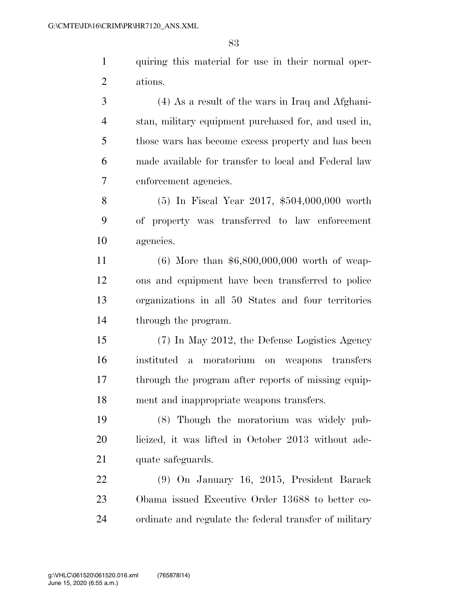quiring this material for use in their normal oper-ations.

 (4) As a result of the wars in Iraq and Afghani- stan, military equipment purchased for, and used in, those wars has become excess property and has been made available for transfer to local and Federal law enforcement agencies.

 (5) In Fiscal Year 2017, \$504,000,000 worth of property was transferred to law enforcement agencies.

 (6) More than \$6,800,000,000 worth of weap- ons and equipment have been transferred to police organizations in all 50 States and four territories through the program.

 (7) In May 2012, the Defense Logistics Agency instituted a moratorium on weapons transfers through the program after reports of missing equip-ment and inappropriate weapons transfers.

 (8) Though the moratorium was widely pub- licized, it was lifted in October 2013 without ade-21 quate safeguards.

 (9) On January 16, 2015, President Barack Obama issued Executive Order 13688 to better co-ordinate and regulate the federal transfer of military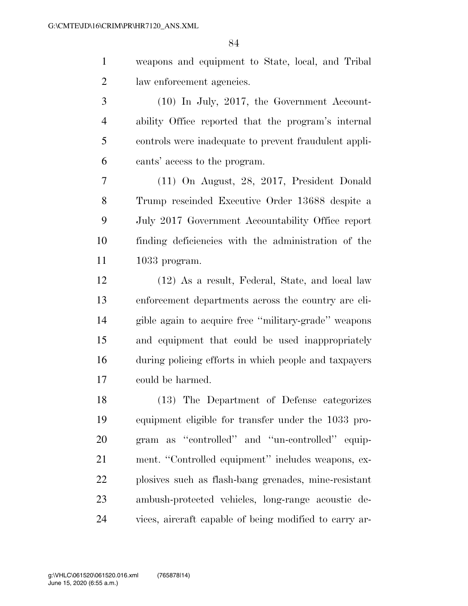weapons and equipment to State, local, and Tribal law enforcement agencies.

 (10) In July, 2017, the Government Account- ability Office reported that the program's internal controls were inadequate to prevent fraudulent appli-cants' access to the program.

 (11) On August, 28, 2017, President Donald Trump rescinded Executive Order 13688 despite a July 2017 Government Accountability Office report finding deficiencies with the administration of the 1033 program.

 (12) As a result, Federal, State, and local law enforcement departments across the country are eli- gible again to acquire free ''military-grade'' weapons and equipment that could be used inappropriately during policing efforts in which people and taxpayers could be harmed.

 (13) The Department of Defense categorizes equipment eligible for transfer under the 1033 pro- gram as ''controlled'' and ''un-controlled'' equip-21 ment. "Controlled equipment" includes weapons, ex- plosives such as flash-bang grenades, mine-resistant ambush-protected vehicles, long-range acoustic de-vices, aircraft capable of being modified to carry ar-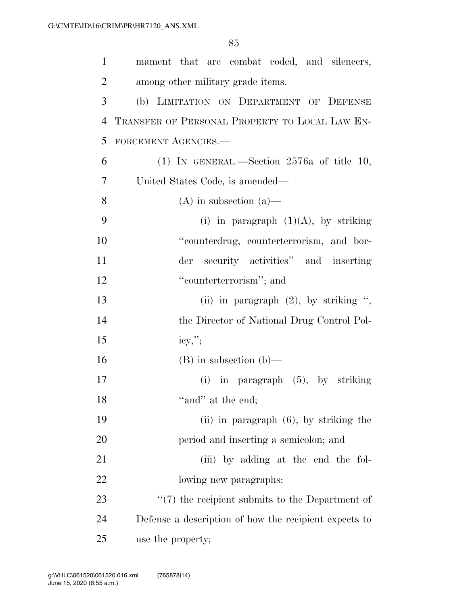| $\mathbf{1}$   | mament that are combat coded, and silencers,          |
|----------------|-------------------------------------------------------|
| 2              | among other military grade items.                     |
| 3              | (b) LIMITATION ON DEPARTMENT OF DEFENSE               |
| $\overline{4}$ | TRANSFER OF PERSONAL PROPERTY TO LOCAL LAW EN-        |
| 5              | FORCEMENT AGENCIES.-                                  |
| 6              | (1) IN GENERAL.—Section $2576a$ of title 10,          |
| 7              | United States Code, is amended—                       |
| 8              | $(A)$ in subsection $(a)$ —                           |
| 9              | (i) in paragraph $(1)(A)$ , by striking               |
| 10             | "counterdrug, counterterrorism, and bor-              |
| 11             | der security activities" and inserting                |
| 12             | "counterterrorism"; and                               |
| 13             | (ii) in paragraph $(2)$ , by striking ",              |
| 14             | the Director of National Drug Control Pol-            |
| 15             | $icy,$ ";                                             |
| 16             | $(B)$ in subsection $(b)$ —                           |
| 17             | (i) in paragraph $(5)$ , by striking                  |
| 18             | "and" at the end;                                     |
| 19             | $(ii)$ in paragraph $(6)$ , by striking the           |
| 20             | period and inserting a semicolon; and                 |
| 21             | (iii) by adding at the end the fol-                   |
| 22             | lowing new paragraphs:                                |
| 23             | $``(7)$ the recipient submits to the Department of    |
| 24             | Defense a description of how the recipient expects to |
| 25             | use the property;                                     |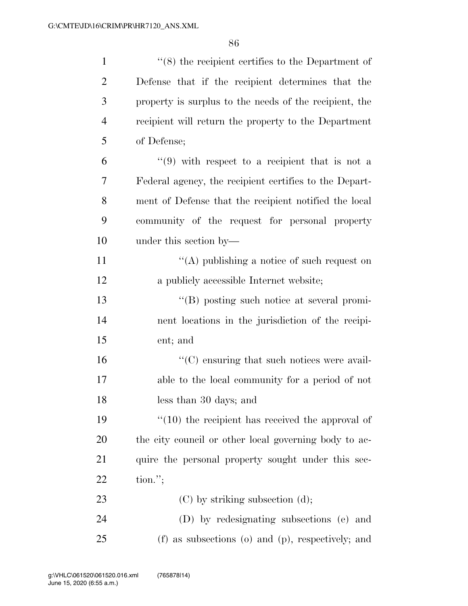| $\mathbf{1}$   | $\cdot$ (8) the recipient certifies to the Department of |
|----------------|----------------------------------------------------------|
| $\mathfrak{2}$ | Defense that if the recipient determines that the        |
| 3              | property is surplus to the needs of the recipient, the   |
| $\overline{4}$ | recipient will return the property to the Department     |
| 5              | of Defense;                                              |
| 6              | $\cdot$ (9) with respect to a recipient that is not a    |
| 7              | Federal agency, the recipient certifies to the Depart-   |
| 8              | ment of Defense that the recipient notified the local    |
| 9              | community of the request for personal property           |
| 10             | under this section by—                                   |
| 11             | $\lq\lq$ publishing a notice of such request on          |
| 12             | a publicly accessible Internet website;                  |
| 13             | $\lq\lq (B)$ posting such notice at several promi-       |
| 14             | nent locations in the jurisdiction of the recipi-        |
| 15             | ent; and                                                 |
| 16             | $\lq\lq$ (C) ensuring that such notices were avail-      |
| 17             | able to the local community for a period of not          |
| 18             | less than 30 days; and                                   |
| 19             | $\lq(10)$ the recipient has received the approval of     |
| 20             | the city council or other local governing body to ac-    |
| 21             | quire the personal property sought under this sec-       |
| 22             | $\text{tion."};$                                         |
| 23             | $(C)$ by striking subsection $(d)$ ;                     |
| 24             | (D) by redesignating subsections (e) and                 |
| 25             | $(f)$ as subsections $(o)$ and $(p)$ , respectively; and |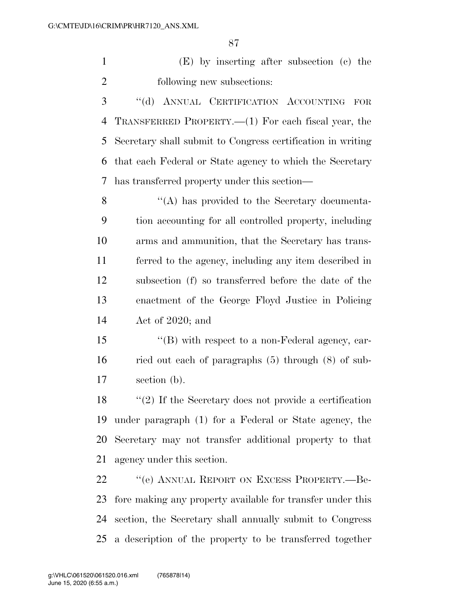(E) by inserting after subsection (c) the following new subsections:

 ''(d) ANNUAL CERTIFICATION ACCOUNTING FOR TRANSFERRED PROPERTY.—(1) For each fiscal year, the Secretary shall submit to Congress certification in writing that each Federal or State agency to which the Secretary has transferred property under this section—

 ''(A) has provided to the Secretary documenta- tion accounting for all controlled property, including arms and ammunition, that the Secretary has trans- ferred to the agency, including any item described in subsection (f) so transferred before the date of the enactment of the George Floyd Justice in Policing Act of 2020; and

 ''(B) with respect to a non-Federal agency, car- ried out each of paragraphs (5) through (8) of sub-section (b).

 ''(2) If the Secretary does not provide a certification under paragraph (1) for a Federal or State agency, the Secretary may not transfer additional property to that agency under this section.

 ''(e) ANNUAL REPORT ON EXCESS PROPERTY.—Be- fore making any property available for transfer under this section, the Secretary shall annually submit to Congress a description of the property to be transferred together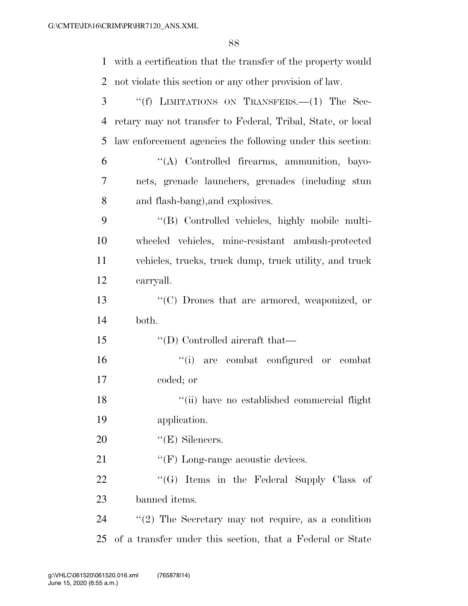| $\mathbf{1}$   | with a certification that the transfer of the property would |
|----------------|--------------------------------------------------------------|
| $\overline{2}$ | not violate this section or any other provision of law.      |
| 3              | "(f) LIMITATIONS ON TRANSFERS.—(1) The Sec-                  |
| $\overline{4}$ | retary may not transfer to Federal, Tribal, State, or local  |
| 5              | law enforcement agencies the following under this section.   |
| 6              | "(A) Controlled firearms, ammunition, bayo-                  |
| 7              | nets, grenade launchers, grenades (including stun            |
| 8              | and flash-bang), and explosives.                             |
| 9              | "(B) Controlled vehicles, highly mobile multi-               |
| 10             | wheeled vehicles, mine-resistant ambush-protected            |
| 11             | vehicles, trucks, truck dump, truck utility, and truck       |
| 12             | carryall.                                                    |
| 13             | "(C) Drones that are armored, weaponized, or                 |
| 14             | both.                                                        |
| 15             | $\lq\lq$ (D) Controlled aircraft that—                       |
| 16             | "(i) are combat configured or combat                         |
| 17             | coded; or                                                    |
| 18             | "(ii) have no established commercial flight                  |
| 19             | application.                                                 |
| 20             | $\lq\lq(E)$ Silencers.                                       |
| 21             | $\lq\lq(F)$ Long-range acoustic devices.                     |
| 22             | "(G) Items in the Federal Supply Class of                    |
| 23             | banned items.                                                |
| 24             | "(2) The Secretary may not require, as a condition           |
| 25             | of a transfer under this section, that a Federal or State    |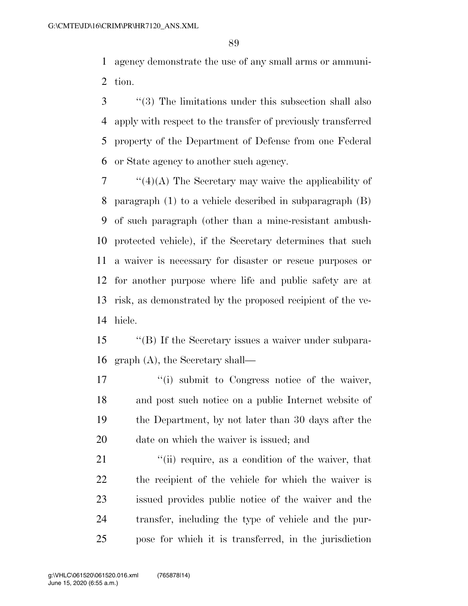agency demonstrate the use of any small arms or ammuni-tion.

 ''(3) The limitations under this subsection shall also apply with respect to the transfer of previously transferred property of the Department of Defense from one Federal or State agency to another such agency.

 $7 \cdot$  "(4)(A) The Secretary may waive the applicability of paragraph (1) to a vehicle described in subparagraph (B) of such paragraph (other than a mine-resistant ambush- protected vehicle), if the Secretary determines that such a waiver is necessary for disaster or rescue purposes or for another purpose where life and public safety are at risk, as demonstrated by the proposed recipient of the ve-hicle.

 ''(B) If the Secretary issues a waiver under subpara-graph (A), the Secretary shall—

 $\frac{1}{2}$  ''(i) submit to Congress notice of the waiver, and post such notice on a public Internet website of the Department, by not later than 30 days after the date on which the waiver is issued; and

21 ''(ii) require, as a condition of the waiver, that the recipient of the vehicle for which the waiver is issued provides public notice of the waiver and the transfer, including the type of vehicle and the pur-pose for which it is transferred, in the jurisdiction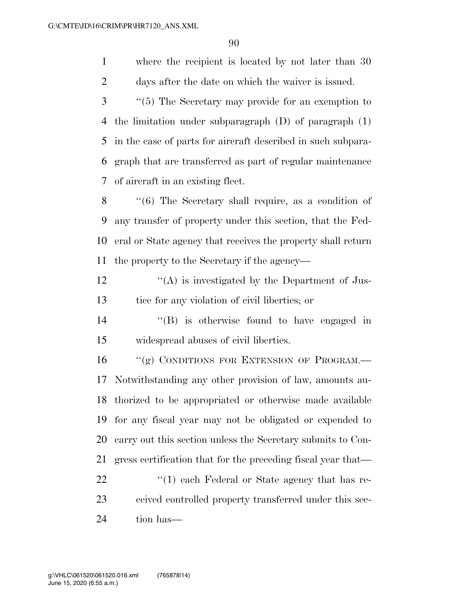where the recipient is located by not later than 30 days after the date on which the waiver is issued.

 ''(5) The Secretary may provide for an exemption to the limitation under subparagraph (D) of paragraph (1) in the case of parts for aircraft described in such subpara- graph that are transferred as part of regular maintenance of aircraft in an existing fleet.

 ''(6) The Secretary shall require, as a condition of any transfer of property under this section, that the Fed- eral or State agency that receives the property shall return the property to the Secretary if the agency—

 $'$ (A) is investigated by the Department of Jus-tice for any violation of civil liberties; or

- ''(B) is otherwise found to have engaged in widespread abuses of civil liberties.
- 16 "(g) CONDITIONS FOR EXTENSION OF PROGRAM.— Notwithstanding any other provision of law, amounts au- thorized to be appropriated or otherwise made available for any fiscal year may not be obligated or expended to carry out this section unless the Secretary submits to Con- gress certification that for the preceding fiscal year that— 22 ''(1) each Federal or State agency that has re-
- ceived controlled property transferred under this sec-tion has—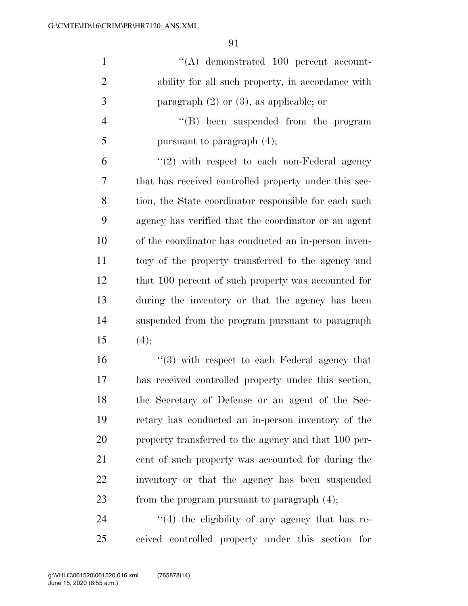| $\mathbf{1}$   | $\lq\lq$ demonstrated 100 percent account-            |
|----------------|-------------------------------------------------------|
| $\overline{2}$ | ability for all such property, in accordance with     |
| 3              | paragraph $(2)$ or $(3)$ , as applicable; or          |
| $\overline{4}$ | "(B) been suspended from the program                  |
| 5              | pursuant to paragraph $(4)$ ;                         |
| 6              | $\lq(2)$ with respect to each non-Federal agency      |
| 7              | that has received controlled property under this sec- |
| 8              | tion, the State coordinator responsible for each such |
| 9              | agency has verified that the coordinator or an agent  |
| 10             | of the coordinator has conducted an in-person inven-  |
| 11             | tory of the property transferred to the agency and    |
| 12             | that 100 percent of such property was accounted for   |
| 13             | during the inventory or that the agency has been      |
| 14             | suspended from the program pursuant to paragraph      |
| 15             | (4);                                                  |
| 16             | $(3)$ with respect to each Federal agency that        |
| 17             | has received controlled property under this section,  |
| 18             | the Secretary of Defense or an agent of the Sec-      |
| 19             | retary has conducted an in-person inventory of the    |
| 20             | property transferred to the agency and that 100 per-  |

 cent of such property was accounted for during the inventory or that the agency has been suspended 23 from the program pursuant to paragraph  $(4)$ ;

24 ''(4) the eligibility of any agency that has re-ceived controlled property under this section for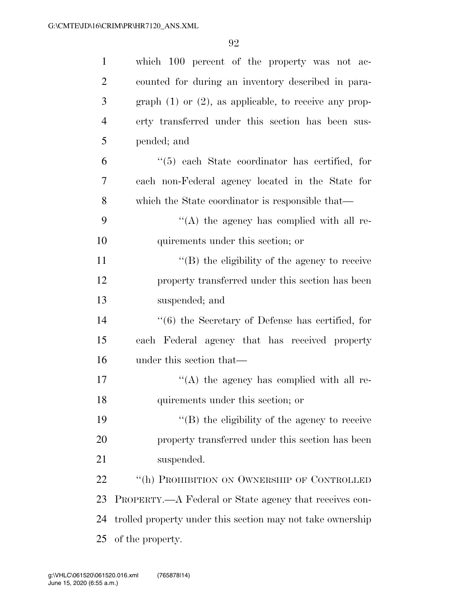| $\mathbf{1}$   | which 100 percent of the property was not ac-                |
|----------------|--------------------------------------------------------------|
| $\overline{2}$ | counted for during an inventory described in para-           |
| 3              | graph $(1)$ or $(2)$ , as applicable, to receive any prop-   |
| $\overline{4}$ | erty transferred under this section has been sus-            |
| 5              | pended; and                                                  |
| 6              | $\lq(5)$ each State coordinator has certified, for           |
| 7              | each non-Federal agency located in the State for             |
| 8              | which the State coordinator is responsible that—             |
| 9              | $\lq\lq$ the agency has complied with all re-                |
| 10             | quirements under this section; or                            |
| 11             | $\lq\lq$ the eligibility of the agency to receive            |
| 12             | property transferred under this section has been             |
| 13             | suspended; and                                               |
| 14             | $\cdot\cdot$ (6) the Secretary of Defense has certified, for |
| 15             | each Federal agency that has received property               |
| 16             | under this section that—                                     |
| 17             | $\lq\lq$ the agency has complied with all re-                |
| 18             | quirements under this section; or                            |
| 19             | "(B) the eligibility of the agency to receive                |
| 20             | property transferred under this section has been             |
| 21             | suspended.                                                   |
| 22             | "(h) PROHIBITION ON OWNERSHIP OF CONTROLLED                  |
| 23             | PROPERTY.—A Federal or State agency that receives con-       |
| 24             | trolled property under this section may not take ownership   |
| 25             | of the property.                                             |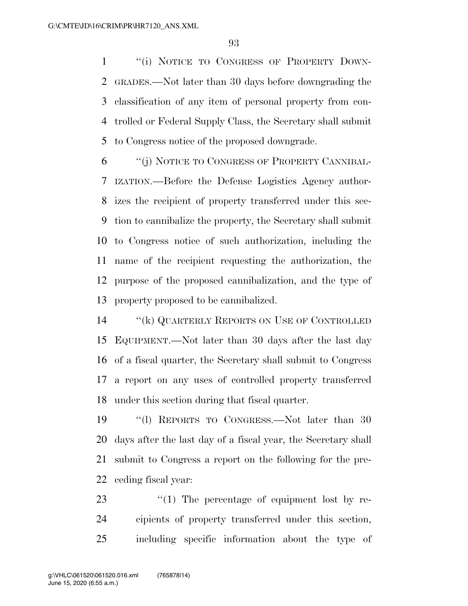''(i) NOTICE TO CONGRESS OF PROPERTY DOWN- GRADES.—Not later than 30 days before downgrading the classification of any item of personal property from con- trolled or Federal Supply Class, the Secretary shall submit to Congress notice of the proposed downgrade.

 ''(j) NOTICE TO CONGRESS OF PROPERTY CANNIBAL- IZATION.—Before the Defense Logistics Agency author- izes the recipient of property transferred under this sec- tion to cannibalize the property, the Secretary shall submit to Congress notice of such authorization, including the name of the recipient requesting the authorization, the purpose of the proposed cannibalization, and the type of property proposed to be cannibalized.

 ''(k) QUARTERLY REPORTS ON USE OF CONTROLLED EQUIPMENT.—Not later than 30 days after the last day of a fiscal quarter, the Secretary shall submit to Congress a report on any uses of controlled property transferred under this section during that fiscal quarter.

 ''(l) REPORTS TO CONGRESS.—Not later than 30 days after the last day of a fiscal year, the Secretary shall submit to Congress a report on the following for the pre-ceding fiscal year:

23  $\frac{1}{2}$  The percentage of equipment lost by re- cipients of property transferred under this section, including specific information about the type of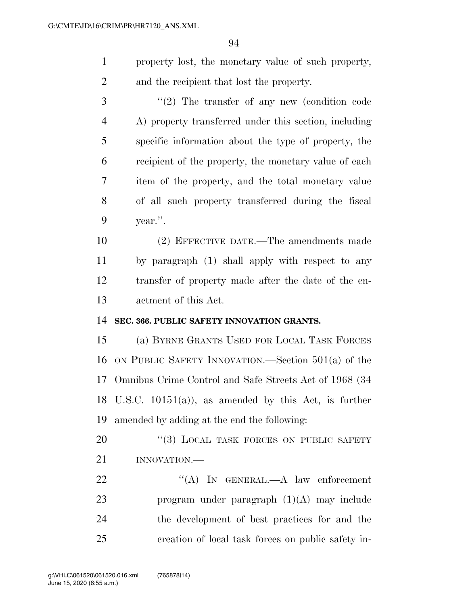property lost, the monetary value of such property, and the recipient that lost the property.

3 "(2) The transfer of any new (condition code A) property transferred under this section, including specific information about the type of property, the recipient of the property, the monetary value of each item of the property, and the total monetary value of all such property transferred during the fiscal year.''.

 (2) EFFECTIVE DATE.—The amendments made by paragraph (1) shall apply with respect to any transfer of property made after the date of the en-actment of this Act.

## **SEC. 366. PUBLIC SAFETY INNOVATION GRANTS.**

 (a) BYRNE GRANTS USED FOR LOCAL TASK FORCES ON PUBLIC SAFETY INNOVATION.—Section 501(a) of the Omnibus Crime Control and Safe Streets Act of 1968 (34 U.S.C. 10151(a)), as amended by this Act, is further amended by adding at the end the following:

20 "(3) LOCAL TASK FORCES ON PUBLIC SAFETY INNOVATION.—

22 "'(A) IN GENERAL.—A law enforcement program under paragraph (1)(A) may include the development of best practices for and the creation of local task forces on public safety in-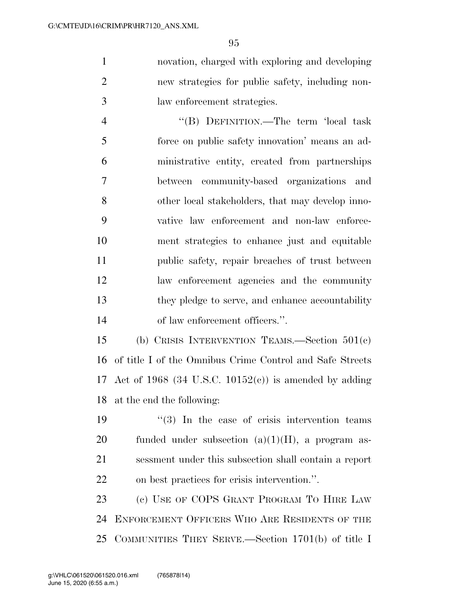novation, charged with exploring and developing new strategies for public safety, including non-law enforcement strategies.

 ''(B) DEFINITION.—The term 'local task force on public safety innovation' means an ad- ministrative entity, created from partnerships between community-based organizations and other local stakeholders, that may develop inno- vative law enforcement and non-law enforce- ment strategies to enhance just and equitable public safety, repair breaches of trust between law enforcement agencies and the community they pledge to serve, and enhance accountability of law enforcement officers.''.

 (b) CRISIS INTERVENTION TEAMS.—Section 501(c) of title I of the Omnibus Crime Control and Safe Streets 17 Act of 1968 (34 U.S.C. 10152 $(c)$ ) is amended by adding at the end the following:

 $\frac{1}{2}$  (3) In the case of crisis intervention teams 20 funded under subsection  $(a)(1)(H)$ , a program as- sessment under this subsection shall contain a report on best practices for crisis intervention.''.

23 (c) USE OF COPS GRANT PROGRAM TO HIRE LAW ENFORCEMENT OFFICERS WHO ARE RESIDENTS OF THE COMMUNITIES THEY SERVE.—Section 1701(b) of title I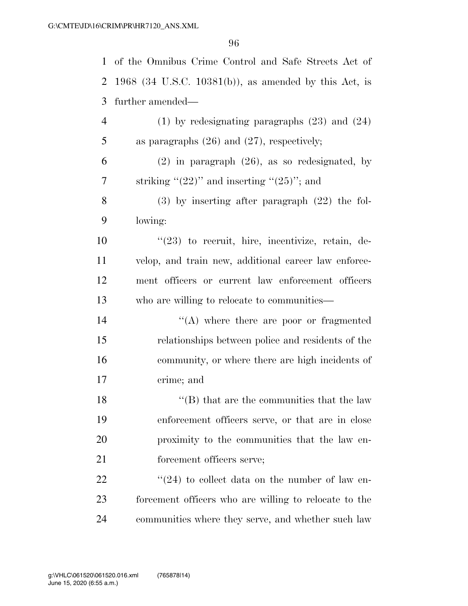| 1              | of the Omnibus Crime Control and Safe Streets Act of      |
|----------------|-----------------------------------------------------------|
| 2              | 1968 (34 U.S.C. 10381(b)), as amended by this Act, is     |
| 3              | further amended—                                          |
| $\overline{4}$ | $(1)$ by redesignating paragraphs $(23)$ and $(24)$       |
| 5              | as paragraphs $(26)$ and $(27)$ , respectively;           |
| 6              | $(2)$ in paragraph $(26)$ , as so redesignated, by        |
| 7              | striking " $(22)$ " and inserting " $(25)$ "; and         |
| 8              | $(3)$ by inserting after paragraph $(22)$ the fol-        |
| 9              | lowing:                                                   |
| 10             | $\lq(23)$ to recruit, hire, incentivize, retain, de-      |
| 11             | velop, and train new, additional career law enforce-      |
| 12             | ment officers or current law enforcement officers         |
| 13             | who are willing to relocate to communities—               |
| 14             | $\lq\lq$ where there are poor or fragmented               |
| 15             | relationships between police and residents of the         |
| 16             | community, or where there are high incidents of           |
| 17             | crime; and                                                |
| 18             | $\lq\lq$ (B) that are the communities that the law        |
| 19             | enforcement officers serve, or that are in close          |
| 20             | proximity to the communities that the law en-             |
| 21             | forcement officers serve;                                 |
| 22             | $\cdot\cdot(24)$ to collect data on the number of law en- |
| 23             | forcement officers who are willing to relocate to the     |
| 24             | communities where they serve, and whether such law        |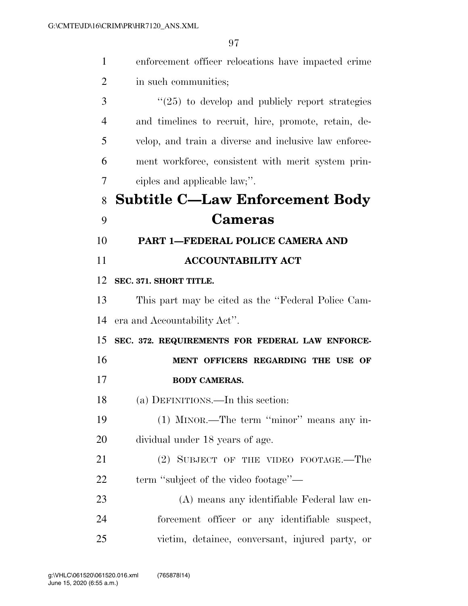| 1              | enforcement officer relocations have impacted crime   |
|----------------|-------------------------------------------------------|
| $\overline{2}$ | in such communities;                                  |
| 3              | $\lq(25)$ to develop and publicly report strategies   |
| $\overline{4}$ | and timelines to recruit, hire, promote, retain, de-  |
| 5              | velop, and train a diverse and inclusive law enforce- |
| 6              | ment workforce, consistent with merit system prin-    |
| 7              | ciples and applicable law;".                          |
| 8              | <b>Subtitle C-Law Enforcement Body</b>                |
| 9              | <b>Cameras</b>                                        |
| 10             | PART 1-FEDERAL POLICE CAMERA AND                      |
| 11             | <b>ACCOUNTABILITY ACT</b>                             |
| 12             | SEC. 371. SHORT TITLE.                                |
| 13             | This part may be cited as the "Federal Police Cam-    |
| 14             | era and Accountability Act".                          |
| 15             | SEC. 372. REQUIREMENTS FOR FEDERAL LAW ENFORCE-       |
| 16             | MENT OFFICERS REGARDING THE USE OF                    |
| 17             | <b>BODY CAMERAS.</b>                                  |
| 18             | (a) DEFINITIONS.—In this section:                     |
| 19             | (1) MINOR.—The term "minor" means any in-             |
| 20             | dividual under 18 years of age.                       |
| 21             | (2) SUBJECT OF THE VIDEO FOOTAGE.—The                 |
| 22             | term "subject of the video footage"—                  |
| 23             | (A) means any identifiable Federal law en-            |
| 24             | forcement officer or any identifiable suspect,        |
| 25             | victim, detainee, conversant, injured party, or       |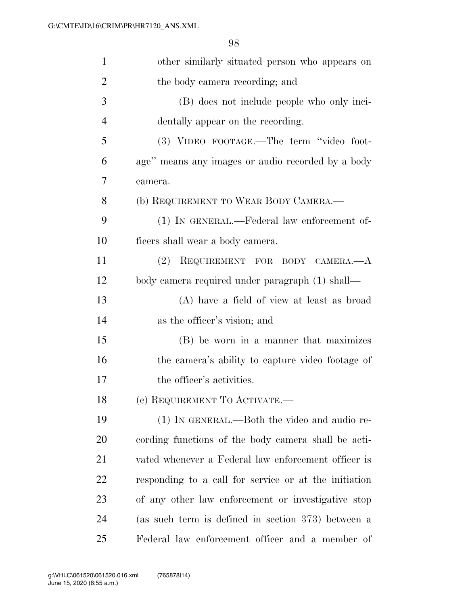| $\mathbf{1}$   | other similarly situated person who appears on        |
|----------------|-------------------------------------------------------|
| $\overline{2}$ | the body camera recording; and                        |
| 3              | (B) does not include people who only inci-            |
| 4              | dentally appear on the recording.                     |
| 5              | (3) VIDEO FOOTAGE.—The term "video foot-              |
| 6              | age" means any images or audio recorded by a body     |
| 7              | camera.                                               |
| 8              | (b) REQUIREMENT TO WEAR BODY CAMERA.—                 |
| 9              | (1) IN GENERAL.—Federal law enforcement of-           |
| 10             | ficers shall wear a body camera.                      |
| 11             | REQUIREMENT FOR BODY CAMERA.-A<br>(2)                 |
| 12             | body camera required under paragraph (1) shall—       |
| 13             | (A) have a field of view at least as broad            |
| 14             | as the officer's vision; and                          |
| 15             | (B) be worn in a manner that maximizes                |
| 16             | the camera's ability to capture video footage of      |
| 17             | the officer's activities.                             |
| 18             | (c) REQUIREMENT TO ACTIVATE.-                         |
| 19             | (1) IN GENERAL.—Both the video and audio re-          |
| <b>20</b>      | cording functions of the body camera shall be acti-   |
| 21             | vated whenever a Federal law enforcement officer is   |
| 22             | responding to a call for service or at the initiation |
| 23             | of any other law enforcement or investigative stop    |
| 24             | (as such term is defined in section 373) between a    |
| 25             | Federal law enforcement officer and a member of       |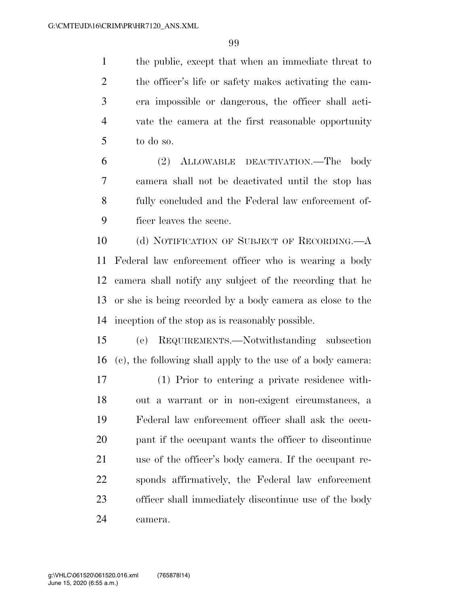the public, except that when an immediate threat to the officer's life or safety makes activating the cam- era impossible or dangerous, the officer shall acti- vate the camera at the first reasonable opportunity to do so.

 (2) ALLOWABLE DEACTIVATION.—The body camera shall not be deactivated until the stop has fully concluded and the Federal law enforcement of-ficer leaves the scene.

 (d) NOTIFICATION OF SUBJECT OF RECORDING.—A Federal law enforcement officer who is wearing a body camera shall notify any subject of the recording that he or she is being recorded by a body camera as close to the inception of the stop as is reasonably possible.

 (e) REQUIREMENTS.—Notwithstanding subsection (c), the following shall apply to the use of a body camera:

 (1) Prior to entering a private residence with- out a warrant or in non-exigent circumstances, a Federal law enforcement officer shall ask the occu- pant if the occupant wants the officer to discontinue use of the officer's body camera. If the occupant re- sponds affirmatively, the Federal law enforcement officer shall immediately discontinue use of the body camera.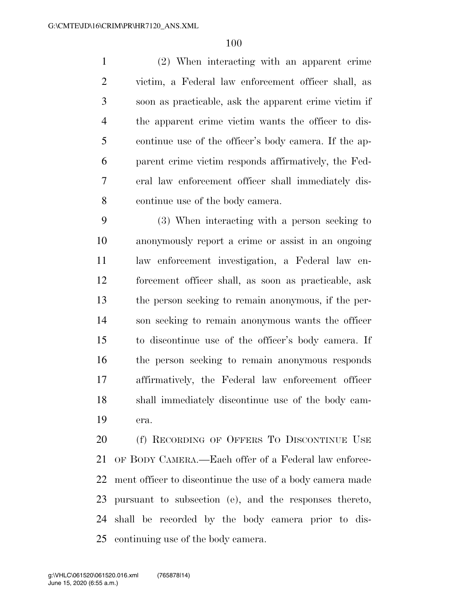(2) When interacting with an apparent crime victim, a Federal law enforcement officer shall, as soon as practicable, ask the apparent crime victim if the apparent crime victim wants the officer to dis- continue use of the officer's body camera. If the ap- parent crime victim responds affirmatively, the Fed- eral law enforcement officer shall immediately dis-continue use of the body camera.

 (3) When interacting with a person seeking to anonymously report a crime or assist in an ongoing law enforcement investigation, a Federal law en- forcement officer shall, as soon as practicable, ask the person seeking to remain anonymous, if the per- son seeking to remain anonymous wants the officer to discontinue use of the officer's body camera. If the person seeking to remain anonymous responds affirmatively, the Federal law enforcement officer shall immediately discontinue use of the body cam-era.

 (f) RECORDING OF OFFERS TO DISCONTINUE USE OF BODY CAMERA.—Each offer of a Federal law enforce- ment officer to discontinue the use of a body camera made pursuant to subsection (e), and the responses thereto, shall be recorded by the body camera prior to dis-continuing use of the body camera.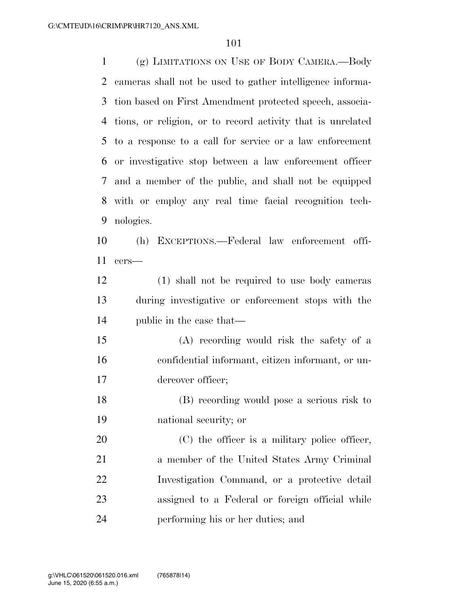(g) LIMITATIONS ON USE OF BODY CAMERA.—Body cameras shall not be used to gather intelligence informa- tion based on First Amendment protected speech, associa- tions, or religion, or to record activity that is unrelated to a response to a call for service or a law enforcement or investigative stop between a law enforcement officer and a member of the public, and shall not be equipped with or employ any real time facial recognition tech-nologies.

 (h) EXCEPTIONS.—Federal law enforcement offi-cers—

 (1) shall not be required to use body cameras during investigative or enforcement stops with the public in the case that—

 (A) recording would risk the safety of a confidential informant, citizen informant, or un-dercover officer;

 (B) recording would pose a serious risk to national security; or

20 (C) the officer is a military police officer, a member of the United States Army Criminal Investigation Command, or a protective detail assigned to a Federal or foreign official while performing his or her duties; and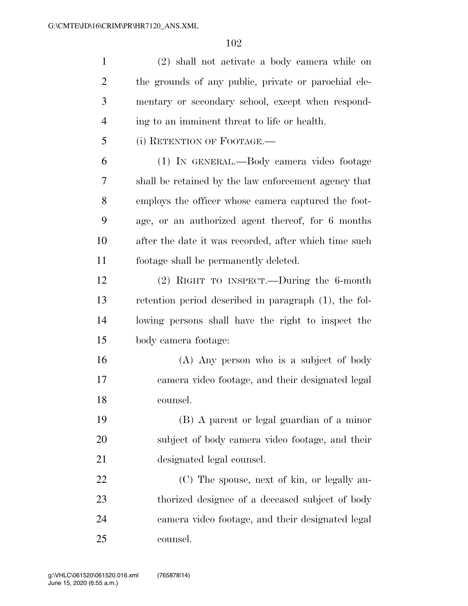| $\mathbf{1}$   | (2) shall not activate a body camera while on         |
|----------------|-------------------------------------------------------|
| $\overline{2}$ | the grounds of any public, private or parochial ele-  |
| 3              | mentary or secondary school, except when respond-     |
| 4              | ing to an imminent threat to life or health.          |
| 5              | (i) RETENTION OF FOOTAGE.                             |
| 6              | (1) IN GENERAL.—Body camera video footage             |
| 7              | shall be retained by the law enforcement agency that  |
| 8              | employs the officer whose camera captured the foot-   |
| 9              | age, or an authorized agent thereof, for 6 months     |
| 10             | after the date it was recorded, after which time such |
| 11             | footage shall be permanently deleted.                 |
| 12             | $(2)$ RIGHT TO INSPECT.—During the 6-month            |
| 13             | retention period described in paragraph (1), the fol- |
| 14             | lowing persons shall have the right to inspect the    |
| 15             | body camera footage:                                  |
| 16             | (A) Any person who is a subject of body               |
| 17             | camera video footage, and their designated legal      |
| 18             | counsel.                                              |
| 19             | (B) A parent or legal guardian of a minor             |
| 20             | subject of body camera video footage, and their       |
| 21             | designated legal counsel.                             |
| 22             | (C) The spouse, next of kin, or legally au-           |
| 23             | thorized designee of a deceased subject of body       |
| 24             | camera video footage, and their designated legal      |
| 25             | counsel.                                              |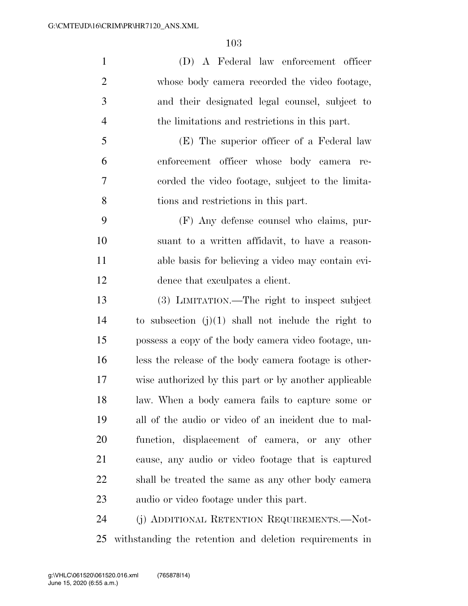(D) A Federal law enforcement officer whose body camera recorded the video footage, and their designated legal counsel, subject to the limitations and restrictions in this part. (E) The superior officer of a Federal law enforcement officer whose body camera re- corded the video footage, subject to the limita- tions and restrictions in this part. (F) Any defense counsel who claims, pur- suant to a written affidavit, to have a reason- able basis for believing a video may contain evi- dence that exculpates a client. (3) LIMITATION.—The right to inspect subject 14 to subsection  $(i)(1)$  shall not include the right to possess a copy of the body camera video footage, un- less the release of the body camera footage is other- wise authorized by this part or by another applicable law. When a body camera fails to capture some or all of the audio or video of an incident due to mal- function, displacement of camera, or any other cause, any audio or video footage that is captured shall be treated the same as any other body camera audio or video footage under this part. (j) ADDITIONAL RETENTION REQUIREMENTS.—Not-

withstanding the retention and deletion requirements in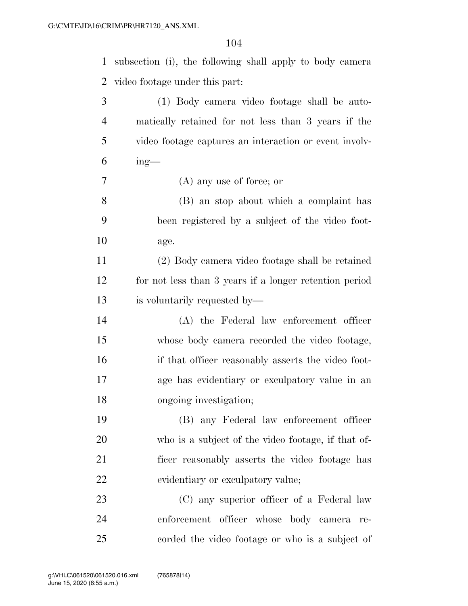| $\mathbf{1}$   | subsection (i), the following shall apply to body camera |
|----------------|----------------------------------------------------------|
| 2              | video footage under this part.                           |
| 3              | (1) Body camera video footage shall be auto-             |
| $\overline{4}$ | matically retained for not less than 3 years if the      |
| 5              | video footage captures an interaction or event involv-   |
| 6              | $ing$ —                                                  |
| $\overline{7}$ | $(A)$ any use of force; or                               |
| 8              | (B) an stop about which a complaint has                  |
| 9              | been registered by a subject of the video foot-          |
| 10             | age.                                                     |
| 11             | (2) Body camera video footage shall be retained          |
| 12             | for not less than 3 years if a longer retention period   |
| 13             | is voluntarily requested by—                             |
| 14             | (A) the Federal law enforcement officer                  |
| 15             | whose body camera recorded the video footage,            |
| 16             | if that officer reasonably asserts the video foot-       |
| 17             | age has evidentiary or exculpatory value in an           |
| 18             | ongoing investigation;                                   |
| 19             | (B) any Federal law enforcement officer                  |
| 20             | who is a subject of the video footage, if that of-       |
| 21             | ficer reasonably asserts the video footage has           |
| 22             | evidentiary or exculpatory value;                        |
| 23             | (C) any superior officer of a Federal law                |
| 24             | enforcement officer whose body camera<br>re-             |
| 25             | corded the video footage or who is a subject of          |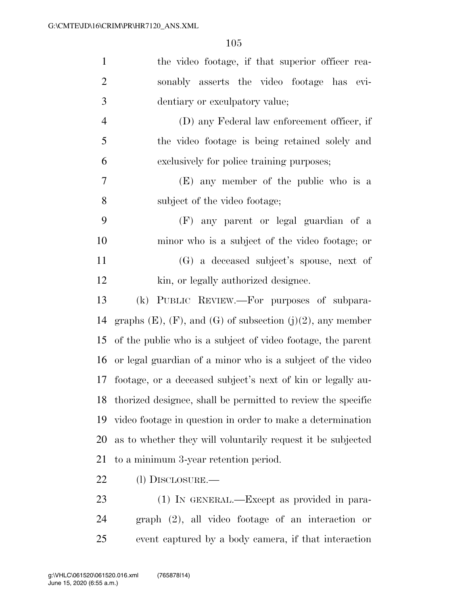| $\mathbf{1}$   | the video footage, if that superior officer rea-                     |
|----------------|----------------------------------------------------------------------|
| $\overline{2}$ | sonably asserts the video footage has evi-                           |
| 3              | dentiary or exculpatory value;                                       |
| $\overline{4}$ | (D) any Federal law enforcement officer, if                          |
| 5              | the video footage is being retained solely and                       |
| 6              | exclusively for police training purposes;                            |
| 7              | (E) any member of the public who is a                                |
| 8              | subject of the video footage;                                        |
| 9              | (F) any parent or legal guardian of a                                |
| 10             | minor who is a subject of the video footage; or                      |
| 11             | (G) a deceased subject's spouse, next of                             |
| 12             | kin, or legally authorized designee.                                 |
| 13             | (k) PUBLIC REVIEW.—For purposes of subpara-                          |
| 14             | graphs $(E)$ , $(F)$ , and $(G)$ of subsection $(j)(2)$ , any member |
| 15             | of the public who is a subject of video footage, the parent          |
| 16             | or legal guardian of a minor who is a subject of the video           |
| 17             | footage, or a deceased subject's next of kin or legally au-          |
|                | 18 thorized designee, shall be permitted to review the specific      |
| 19             | video footage in question in order to make a determination           |
| 20             | as to whether they will voluntarily request it be subjected          |
| 21             | to a minimum 3-year retention period.                                |
| 22             | (1) DISCLOSURE.—                                                     |
| 23             | $(1)$ IN GENERAL.—Except as provided in para-                        |
| $\bigcap$      | $\cdot$ 1                                                            |

 graph (2), all video footage of an interaction or event captured by a body camera, if that interaction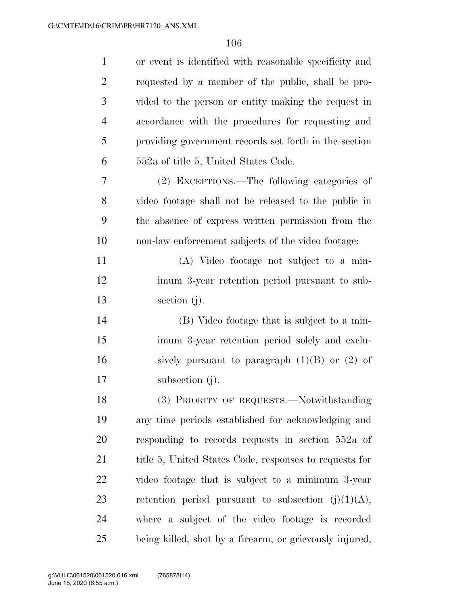| $\mathbf{1}$   | or event is identified with reasonable specificity and  |
|----------------|---------------------------------------------------------|
| $\overline{2}$ | requested by a member of the public, shall be pro-      |
| 3              | vided to the person or entity making the request in     |
| $\overline{4}$ | accordance with the procedures for requesting and       |
| 5              | providing government records set forth in the section   |
| 6              | 552a of title 5, United States Code.                    |
| 7              | (2) EXCEPTIONS.—The following categories of             |
| 8              | video footage shall not be released to the public in    |
| 9              | the absence of express written permission from the      |
| 10             | non-law enforcement subjects of the video footage:      |
| 11             | (A) Video footage not subject to a min-                 |
| 12             | imum 3-year retention period pursuant to sub-           |
| 13             | section $(j)$ .                                         |
| 14             | (B) Video footage that is subject to a min-             |
| 15             | imum 3-year retention period solely and exclu-          |
| 16             | sively pursuant to paragraph $(1)(B)$ or $(2)$ of       |
| 17             | subsection $(j)$ .                                      |
| 18             | (3) PRIORITY OF REQUESTS.—Notwithstanding               |
| 19             | any time periods established for acknowledging and      |
| 20             | responding to records requests in section 552a of       |
| 21             | title 5, United States Code, responses to requests for  |
| 22             | video footage that is subject to a minimum 3-year       |
| 23             | retention period pursuant to subsection $(j)(1)(A)$ ,   |
| 24             | where a subject of the video footage is recorded        |
| 25             | being killed, shot by a firearm, or grievously injured, |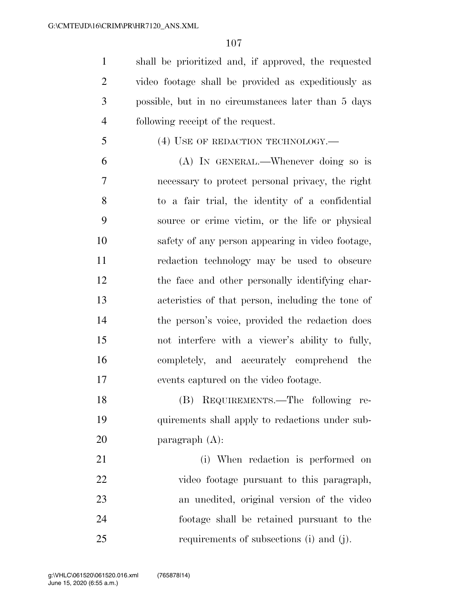shall be prioritized and, if approved, the requested video footage shall be provided as expeditiously as possible, but in no circumstances later than 5 days following receipt of the request.

5 (4) USE OF REDACTION TECHNOLOGY.—

 (A) IN GENERAL.—Whenever doing so is necessary to protect personal privacy, the right to a fair trial, the identity of a confidential source or crime victim, or the life or physical safety of any person appearing in video footage, redaction technology may be used to obscure the face and other personally identifying char- acteristics of that person, including the tone of the person's voice, provided the redaction does not interfere with a viewer's ability to fully, completely, and accurately comprehend the events captured on the video footage.

 (B) REQUIREMENTS.—The following re- quirements shall apply to redactions under sub-paragraph (A):

 (i) When redaction is performed on video footage pursuant to this paragraph, an unedited, original version of the video footage shall be retained pursuant to the requirements of subsections (i) and (j).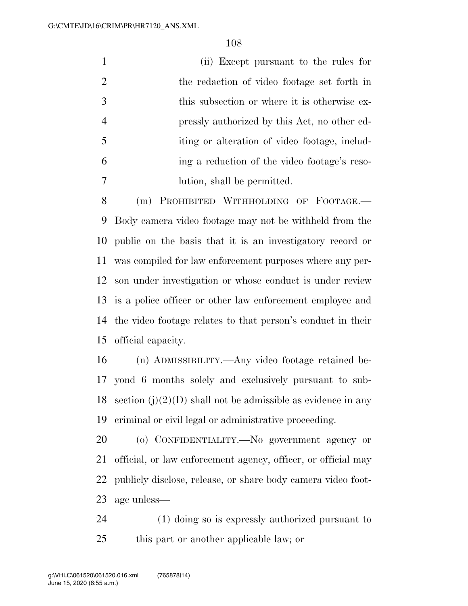|    | (ii) Except pursuant to the rules for         |
|----|-----------------------------------------------|
| 2  | the redaction of video footage set forth in   |
| 3  | this subsection or where it is otherwise ex-  |
|    | pressly authorized by this Act, no other ed-  |
| -5 | iting or alteration of video footage, includ- |
| 6  | ing a reduction of the video footage's reso-  |
|    | lution, shall be permitted.                   |

 (m) PROHIBITED WITHHOLDING OF FOOTAGE.— Body camera video footage may not be withheld from the public on the basis that it is an investigatory record or was compiled for law enforcement purposes where any per- son under investigation or whose conduct is under review is a police officer or other law enforcement employee and the video footage relates to that person's conduct in their official capacity.

 (n) ADMISSIBILITY.—Any video footage retained be- yond 6 months solely and exclusively pursuant to sub-18 section  $(i)(2)(D)$  shall not be admissible as evidence in any criminal or civil legal or administrative proceeding.

 (o) CONFIDENTIALITY.—No government agency or official, or law enforcement agency, officer, or official may publicly disclose, release, or share body camera video foot-age unless—

 (1) doing so is expressly authorized pursuant to this part or another applicable law; or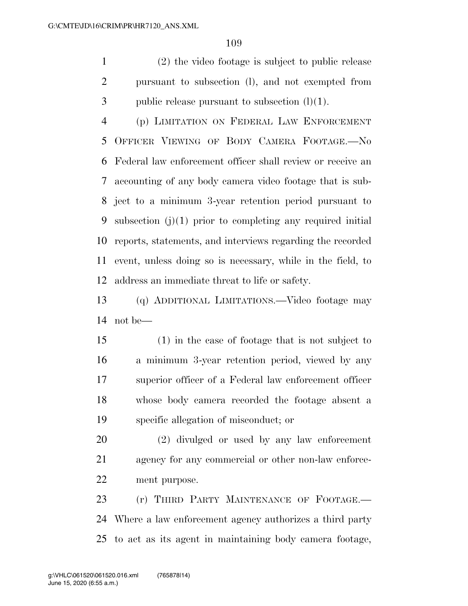(2) the video footage is subject to public release pursuant to subsection (l), and not exempted from 3 public release pursuant to subsection  $(l)(1)$ .

 (p) LIMITATION ON FEDERAL LAW ENFORCEMENT OFFICER VIEWING OF BODY CAMERA FOOTAGE.—No Federal law enforcement officer shall review or receive an accounting of any body camera video footage that is sub- ject to a minimum 3-year retention period pursuant to subsection (j)(1) prior to completing any required initial reports, statements, and interviews regarding the recorded event, unless doing so is necessary, while in the field, to address an immediate threat to life or safety.

 (q) ADDITIONAL LIMITATIONS.—Video footage may not be—

 (1) in the case of footage that is not subject to a minimum 3-year retention period, viewed by any superior officer of a Federal law enforcement officer whose body camera recorded the footage absent a specific allegation of misconduct; or

 (2) divulged or used by any law enforcement agency for any commercial or other non-law enforce-ment purpose.

23 (r) THIRD PARTY MAINTENANCE OF FOOTAGE. Where a law enforcement agency authorizes a third party to act as its agent in maintaining body camera footage,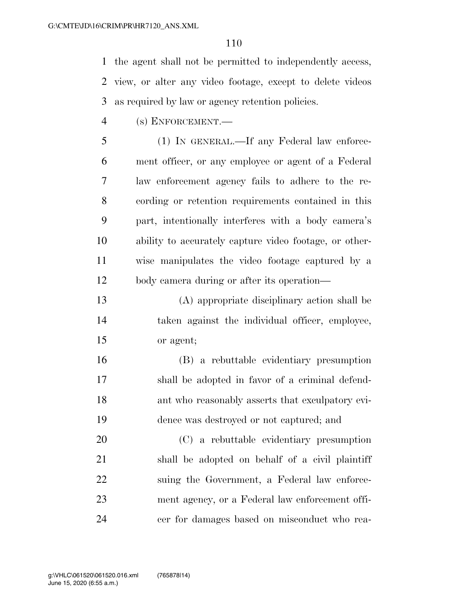the agent shall not be permitted to independently access, view, or alter any video footage, except to delete videos as required by law or agency retention policies.

(s) ENFORCEMENT.—

 (1) IN GENERAL.—If any Federal law enforce- ment officer, or any employee or agent of a Federal law enforcement agency fails to adhere to the re- cording or retention requirements contained in this part, intentionally interferes with a body camera's ability to accurately capture video footage, or other- wise manipulates the video footage captured by a body camera during or after its operation—

 (A) appropriate disciplinary action shall be taken against the individual officer, employee, or agent;

 (B) a rebuttable evidentiary presumption shall be adopted in favor of a criminal defend- ant who reasonably asserts that exculpatory evi-dence was destroyed or not captured; and

 (C) a rebuttable evidentiary presumption shall be adopted on behalf of a civil plaintiff suing the Government, a Federal law enforce- ment agency, or a Federal law enforcement offi-cer for damages based on misconduct who rea-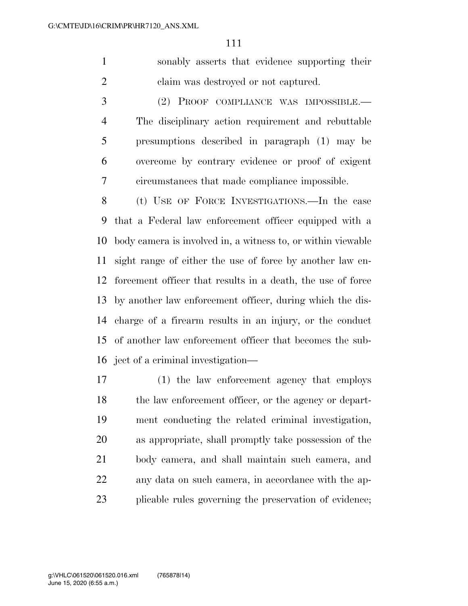sonably asserts that evidence supporting their claim was destroyed or not captured.

 (2) PROOF COMPLIANCE WAS IMPOSSIBLE.— The disciplinary action requirement and rebuttable presumptions described in paragraph (1) may be overcome by contrary evidence or proof of exigent circumstances that made compliance impossible.

 (t) USE OF FORCE INVESTIGATIONS.—In the case that a Federal law enforcement officer equipped with a body camera is involved in, a witness to, or within viewable sight range of either the use of force by another law en- forcement officer that results in a death, the use of force by another law enforcement officer, during which the dis- charge of a firearm results in an injury, or the conduct of another law enforcement officer that becomes the sub-ject of a criminal investigation—

 (1) the law enforcement agency that employs 18 the law enforcement officer, or the agency or depart- ment conducting the related criminal investigation, as appropriate, shall promptly take possession of the body camera, and shall maintain such camera, and any data on such camera, in accordance with the ap-plicable rules governing the preservation of evidence;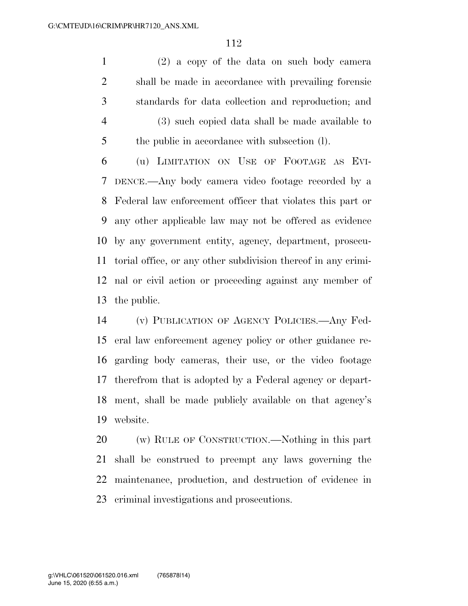(2) a copy of the data on such body camera shall be made in accordance with prevailing forensic standards for data collection and reproduction; and (3) such copied data shall be made available to the public in accordance with subsection (l).

 (u) LIMITATION ON USE OF FOOTAGE AS EVI- DENCE.—Any body camera video footage recorded by a Federal law enforcement officer that violates this part or any other applicable law may not be offered as evidence by any government entity, agency, department, prosecu- torial office, or any other subdivision thereof in any crimi- nal or civil action or proceeding against any member of the public.

 (v) PUBLICATION OF AGENCY POLICIES.—Any Fed- eral law enforcement agency policy or other guidance re- garding body cameras, their use, or the video footage therefrom that is adopted by a Federal agency or depart- ment, shall be made publicly available on that agency's website.

 (w) RULE OF CONSTRUCTION.—Nothing in this part shall be construed to preempt any laws governing the maintenance, production, and destruction of evidence in criminal investigations and prosecutions.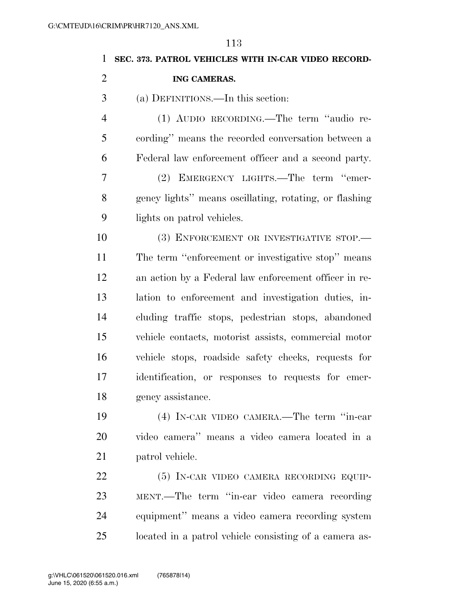| $\mathbf{1}$   | SEC. 373. PATROL VEHICLES WITH IN-CAR VIDEO RECORD-    |
|----------------|--------------------------------------------------------|
| $\overline{2}$ | ING CAMERAS.                                           |
| 3              | (a) DEFINITIONS.—In this section:                      |
| 4              | (1) AUDIO RECORDING.—The term "audio re-               |
| 5              | cording" means the recorded conversation between a     |
| 6              | Federal law enforcement officer and a second party.    |
| 7              | (2) EMERGENCY LIGHTS.—The term "emer-                  |
| 8              | gency lights" means oscillating, rotating, or flashing |
| 9              | lights on patrol vehicles.                             |
| 10             | (3) ENFORCEMENT OR INVESTIGATIVE STOP.-                |
| 11             | The term "enforcement or investigative stop" means     |
| 12             | an action by a Federal law enforcement officer in re-  |
| 13             | lation to enforcement and investigation duties, in-    |
| 14             | cluding traffic stops, pedestrian stops, abandoned     |
| 15             | vehicle contacts, motorist assists, commercial motor   |
| 16             | vehicle stops, roadside safety checks, requests for    |
| 17             | identification, or responses to requests for emer-     |
| 18             | gency assistance.                                      |
| 19             | (4) IN-CAR VIDEO CAMERA.—The term "in-car              |
| 20             | video camera" means a video camera located in a        |
| 21             | patrol vehicle.                                        |

 (5) IN-CAR VIDEO CAMERA RECORDING EQUIP- MENT.—The term ''in-car video camera recording equipment'' means a video camera recording system located in a patrol vehicle consisting of a camera as-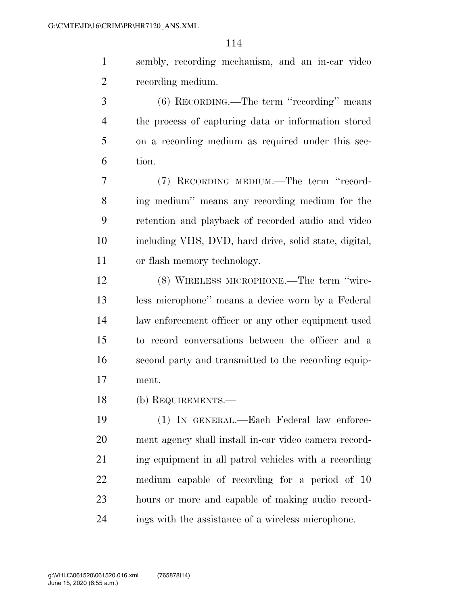sembly, recording mechanism, and an in-car video recording medium.

 (6) RECORDING.—The term ''recording'' means the process of capturing data or information stored on a recording medium as required under this sec-tion.

 (7) RECORDING MEDIUM.—The term ''record- ing medium'' means any recording medium for the retention and playback of recorded audio and video including VHS, DVD, hard drive, solid state, digital, or flash memory technology.

 (8) WIRELESS MICROPHONE.—The term ''wire- less microphone'' means a device worn by a Federal law enforcement officer or any other equipment used to record conversations between the officer and a second party and transmitted to the recording equip-ment.

(b) REQUIREMENTS.—

 (1) IN GENERAL.—Each Federal law enforce- ment agency shall install in-car video camera record- ing equipment in all patrol vehicles with a recording medium capable of recording for a period of 10 hours or more and capable of making audio record-ings with the assistance of a wireless microphone.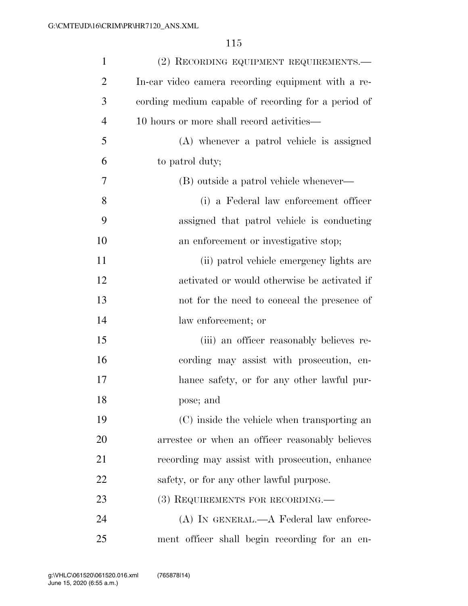| $\mathbf{1}$   | (2) RECORDING EQUIPMENT REQUIREMENTS.—              |
|----------------|-----------------------------------------------------|
| $\overline{2}$ | In-car video camera recording equipment with a re-  |
| 3              | cording medium capable of recording for a period of |
| $\overline{4}$ | 10 hours or more shall record activities—           |
| 5              | (A) whenever a patrol vehicle is assigned           |
| 6              | to patrol duty;                                     |
| 7              | (B) outside a patrol vehicle whenever—              |
| 8              | (i) a Federal law enforcement officer               |
| 9              | assigned that patrol vehicle is conducting          |
| 10             | an enforcement or investigative stop;               |
| 11             | (ii) patrol vehicle emergency lights are            |
| 12             | activated or would otherwise be activated if        |
| 13             | not for the need to conceal the presence of         |
| 14             | law enforcement; or                                 |
| 15             | (iii) an officer reasonably believes re-            |
| 16             | cording may assist with prosecution, en-            |
| 17             | hance safety, or for any other lawful pur-          |
| 18             | pose; and                                           |
| 19             | (C) inside the vehicle when transporting an         |
| 20             | arrestee or when an officer reasonably believes     |
| 21             | recording may assist with prosecution, enhance      |
| 22             | safety, or for any other lawful purpose.            |
| 23             | $(3)$ REQUIREMENTS FOR RECORDING.—                  |
| 24             | (A) IN GENERAL.—A Federal law enforce-              |
| 25             | ment officer shall begin recording for an en-       |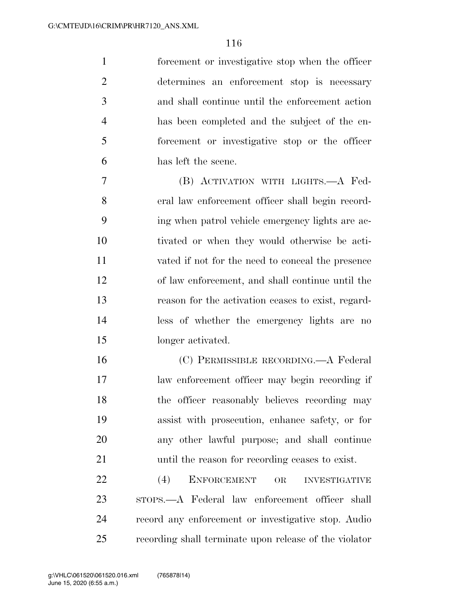forcement or investigative stop when the officer determines an enforcement stop is necessary and shall continue until the enforcement action has been completed and the subject of the en- forcement or investigative stop or the officer has left the scene.

 (B) ACTIVATION WITH LIGHTS.—A Fed- eral law enforcement officer shall begin record- ing when patrol vehicle emergency lights are ac- tivated or when they would otherwise be acti- vated if not for the need to conceal the presence of law enforcement, and shall continue until the reason for the activation ceases to exist, regard- less of whether the emergency lights are no longer activated.

 (C) PERMISSIBLE RECORDING.—A Federal law enforcement officer may begin recording if 18 the officer reasonably believes recording may assist with prosecution, enhance safety, or for any other lawful purpose; and shall continue until the reason for recording ceases to exist.

22 (4) ENFORCEMENT OR INVESTIGATIVE STOPS.—A Federal law enforcement officer shall record any enforcement or investigative stop. Audio recording shall terminate upon release of the violator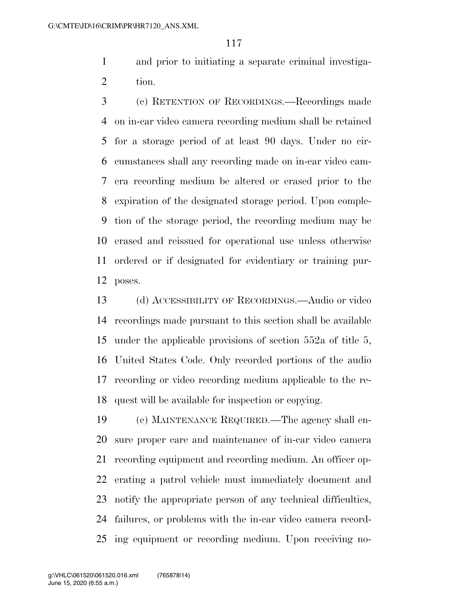and prior to initiating a separate criminal investiga-tion.

 (c) RETENTION OF RECORDINGS.—Recordings made on in-car video camera recording medium shall be retained for a storage period of at least 90 days. Under no cir- cumstances shall any recording made on in-car video cam- era recording medium be altered or erased prior to the expiration of the designated storage period. Upon comple- tion of the storage period, the recording medium may be erased and reissued for operational use unless otherwise ordered or if designated for evidentiary or training pur-poses.

 (d) ACCESSIBILITY OF RECORDINGS.—Audio or video recordings made pursuant to this section shall be available under the applicable provisions of section 552a of title 5, United States Code. Only recorded portions of the audio recording or video recording medium applicable to the re-quest will be available for inspection or copying.

 (e) MAINTENANCE REQUIRED.—The agency shall en- sure proper care and maintenance of in-car video camera recording equipment and recording medium. An officer op- erating a patrol vehicle must immediately document and notify the appropriate person of any technical difficulties, failures, or problems with the in-car video camera record-ing equipment or recording medium. Upon receiving no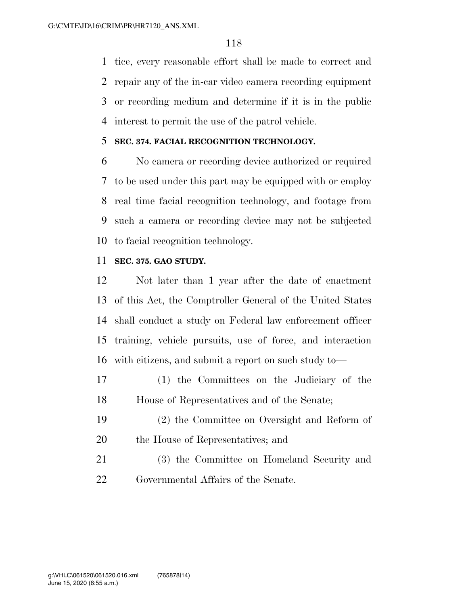tice, every reasonable effort shall be made to correct and repair any of the in-car video camera recording equipment or recording medium and determine if it is in the public interest to permit the use of the patrol vehicle.

#### **SEC. 374. FACIAL RECOGNITION TECHNOLOGY.**

 No camera or recording device authorized or required to be used under this part may be equipped with or employ real time facial recognition technology, and footage from such a camera or recording device may not be subjected to facial recognition technology.

#### **SEC. 375. GAO STUDY.**

 Not later than 1 year after the date of enactment of this Act, the Comptroller General of the United States shall conduct a study on Federal law enforcement officer training, vehicle pursuits, use of force, and interaction with citizens, and submit a report on such study to—

- (1) the Committees on the Judiciary of the House of Representatives and of the Senate;
- (2) the Committee on Oversight and Reform of the House of Representatives; and
- (3) the Committee on Homeland Security and Governmental Affairs of the Senate.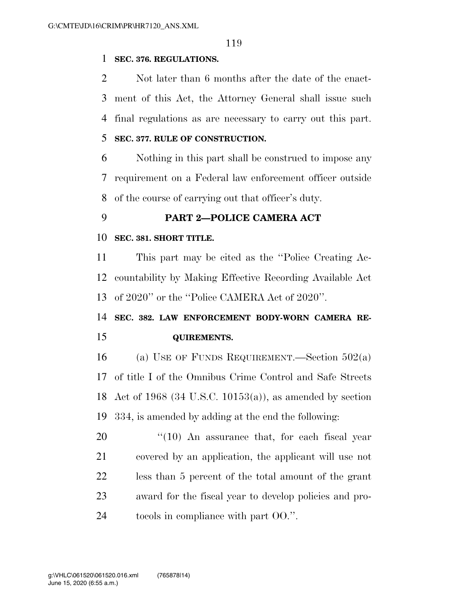#### **SEC. 376. REGULATIONS.**

 Not later than 6 months after the date of the enact- ment of this Act, the Attorney General shall issue such final regulations as are necessary to carry out this part.

# **SEC. 377. RULE OF CONSTRUCTION.**

 Nothing in this part shall be construed to impose any requirement on a Federal law enforcement officer outside of the course of carrying out that officer's duty.

# **PART 2—POLICE CAMERA ACT**

#### **SEC. 381. SHORT TITLE.**

 This part may be cited as the ''Police Creating Ac- countability by Making Effective Recording Available Act of 2020'' or the ''Police CAMERA Act of 2020''.

# **SEC. 382. LAW ENFORCEMENT BODY-WORN CAMERA RE-QUIREMENTS.**

16 (a) USE OF FUNDS REQUIREMENT.—Section  $502(a)$  of title I of the Omnibus Crime Control and Safe Streets Act of 1968 (34 U.S.C. 10153(a)), as amended by section 334, is amended by adding at the end the following:

20 "(10) An assurance that, for each fiscal year covered by an application, the applicant will use not less than 5 percent of the total amount of the grant award for the fiscal year to develop policies and pro-tocols in compliance with part OO.''.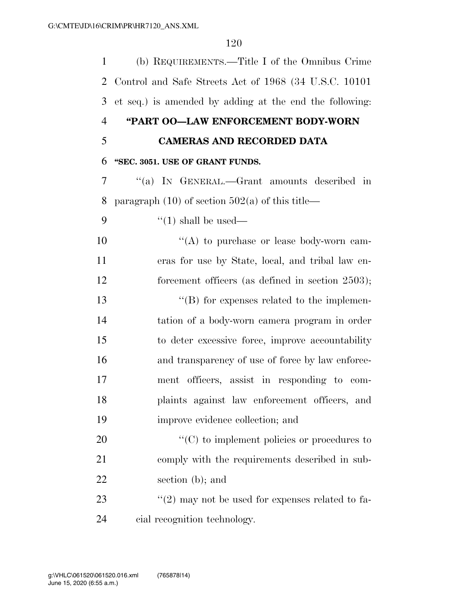(b) REQUIREMENTS.—Title I of the Omnibus Crime Control and Safe Streets Act of 1968 (34 U.S.C. 10101 et seq.) is amended by adding at the end the following: **''PART OO—LAW ENFORCEMENT BODY-WORN CAMERAS AND RECORDED DATA ''SEC. 3051. USE OF GRANT FUNDS.**  ''(a) IN GENERAL.—Grant amounts described in 8 paragraph (10) of section  $502(a)$  of this title—  $\cdot$  '(1) shall be used—  $\langle (A)$  to purchase or lease body-worn cam- eras for use by State, local, and tribal law en-12 forcement officers (as defined in section 2503); ''(B) for expenses related to the implemen- tation of a body-worn camera program in order to deter excessive force, improve accountability 16 and transparency of use of force by law enforce- ment officers, assist in responding to com- plaints against law enforcement officers, and improve evidence collection; and  $\cdot$  (C) to implement policies or procedures to comply with the requirements described in sub- section (b); and  $\frac{1}{2}$   $\frac{1}{2}$  may not be used for expenses related to fa-cial recognition technology.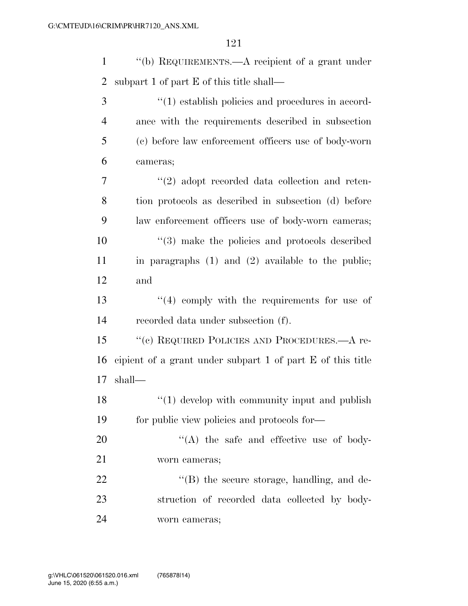| $\mathbf{1}$   | "(b) REQUIREMENTS.—A recipient of a grant under            |
|----------------|------------------------------------------------------------|
| $\overline{2}$ | subpart 1 of part $E$ of this title shall—                 |
| 3              | $\cdot$ (1) establish policies and procedures in accord-   |
| $\overline{4}$ | ance with the requirements described in subsection         |
| 5              | (c) before law enforcement officers use of body-worn       |
| 6              | cameras;                                                   |
| 7              | $\lq(2)$ adopt recorded data collection and reten-         |
| 8              | tion protocols as described in subsection (d) before       |
| 9              | law enforcement officers use of body-worn cameras;         |
| 10             | "(3) make the policies and protocols described             |
| 11             | in paragraphs $(1)$ and $(2)$ available to the public;     |
| 12             | and                                                        |
|                | $(4)$ comply with the requirements for use of              |
| 13             |                                                            |
| 14             | recorded data under subsection (f).                        |
| 15             | "(c) REQUIRED POLICIES AND PROCEDURES.—A re-               |
| 16             | eipient of a grant under subpart 1 of part E of this title |
| 17             | shall—                                                     |
| 18             | "(1) develop with community input and publish              |
| 19             | for public view policies and protocols for—                |
| 20             | "(A) the safe and effective use of body-                   |
| 21             | worn cameras;                                              |
| 22             | $\lq\lq$ the secure storage, handling, and de-             |
| 23             | struction of recorded data collected by body-              |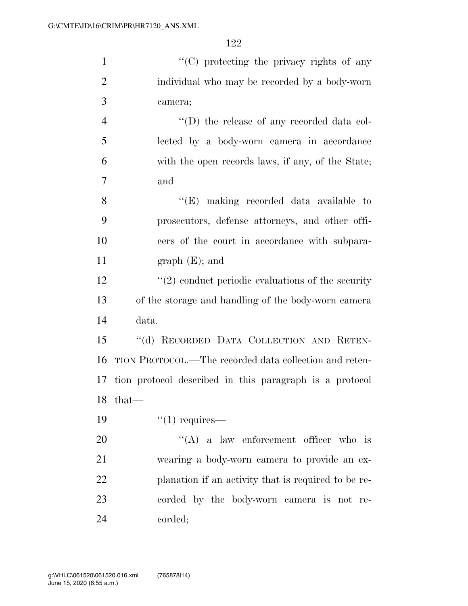1 ''(C) protecting the privacy rights of any individual who may be recorded by a body-worn camera;  $''(D)$  the release of any recorded data col- lected by a body-worn camera in accordance with the open records laws, if any, of the State; and ''(E) making recorded data available to prosecutors, defense attorneys, and other offi- cers of the court in accordance with subpara-11 graph (E); and  $\binom{12}{2}$  conduct periodic evaluations of the security of the storage and handling of the body-worn camera data. ''(d) RECORDED DATA COLLECTION AND RETEN- TION PROTOCOL.—The recorded data collection and reten- tion protocol described in this paragraph is a protocol that—

19  $"(1)$  requires—

 $\langle (A)$  a law enforcement officer who is wearing a body-worn camera to provide an ex- planation if an activity that is required to be re- corded by the body-worn camera is not re-corded;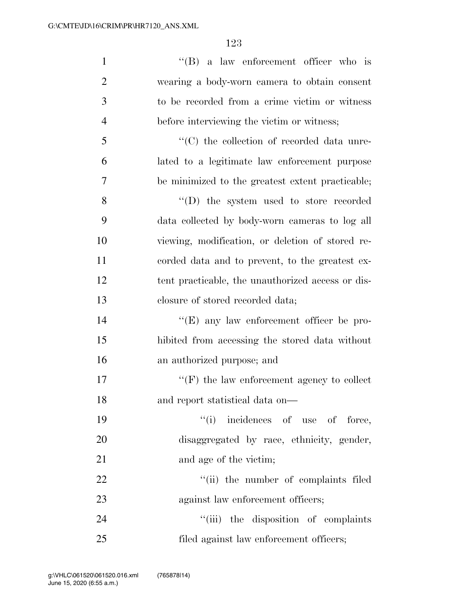| $\mathbf{1}$   | $\lq\lq (B)$ a law enforcement officer who is     |
|----------------|---------------------------------------------------|
| $\overline{2}$ | wearing a body-worn camera to obtain consent      |
| 3              | to be recorded from a crime victim or witness     |
| $\overline{4}$ | before interviewing the victim or witness;        |
| 5              | "(C) the collection of recorded data unre-        |
| 6              | lated to a legitimate law enforcement purpose     |
| 7              | be minimized to the greatest extent practicable;  |
| 8              | $\lq\lq$ (D) the system used to store recorded    |
| 9              | data collected by body-worn cameras to log all    |
| 10             | viewing, modification, or deletion of stored re-  |
| 11             | corded data and to prevent, to the greatest ex-   |
| 12             | tent practicable, the unauthorized access or dis- |
| 13             | closure of stored recorded data;                  |
| 14             | $\lq\lq(E)$ any law enforcement officer be pro-   |
| 15             | hibited from accessing the stored data without    |
| 16             | an authorized purpose; and                        |
| 17             | $\lq\lq(F)$ the law enforcement agency to collect |
| 18             | and report statistical data on-                   |
| 19             | "(i) incidences of use of force,                  |
| 20             | disaggregated by race, ethnicity, gender,         |
| 21             | and age of the victim;                            |
| 22             | "(ii) the number of complaints filed              |
| 23             | against law enforcement officers;                 |
| 24             | "(iii) the disposition of complaints              |
| 25             | filed against law enforcement officers;           |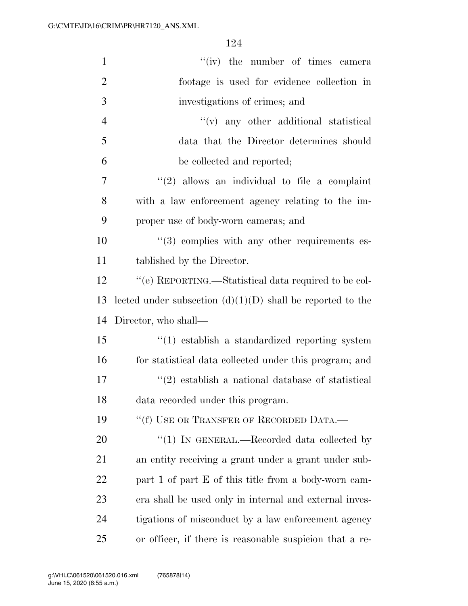| $\mathbf{1}$   | $``(iv)$ the number of times camera                          |
|----------------|--------------------------------------------------------------|
| $\overline{2}$ | footage is used for evidence collection in                   |
| 3              | investigations of crimes; and                                |
| $\overline{4}$ | $f'(v)$ any other additional statistical                     |
| 5              | data that the Director determines should                     |
| 6              | be collected and reported;                                   |
| 7              | $\lq(2)$ allows an individual to file a complaint            |
| 8              | with a law enforcement agency relating to the im-            |
| 9              | proper use of body-worn cameras; and                         |
| 10             | $\cdot\cdot$ (3) complies with any other requirements es-    |
| 11             | tablished by the Director.                                   |
| 12             | "(e) REPORTING.—Statistical data required to be col-         |
| 13             | lected under subsection $(d)(1)(D)$ shall be reported to the |
| 14             | Director, who shall—                                         |
| 15             | $\cdot$ (1) establish a standardized reporting system        |
| 16             | for statistical data collected under this program; and       |
| 17             | $\cdot\cdot(2)$ establish a national database of statistical |
| 18             | data recorded under this program.                            |
| 19             | "(f) USE OR TRANSFER OF RECORDED DATA.-                      |
| 20             | "(1) IN GENERAL.—Recorded data collected by                  |
| 21             | an entity receiving a grant under a grant under sub-         |
| 22             | part 1 of part E of this title from a body-worn cam-         |
| 23             | era shall be used only in internal and external inves-       |
| 24             | tigations of misconduct by a law enforcement agency          |
| 25             | or officer, if there is reasonable suspicion that a re-      |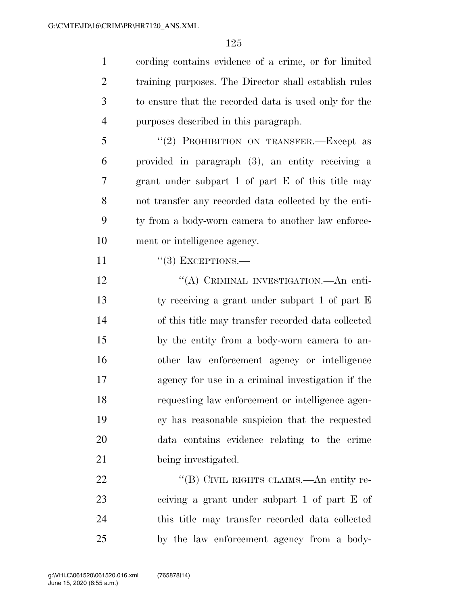cording contains evidence of a crime, or for limited training purposes. The Director shall establish rules to ensure that the recorded data is used only for the purposes described in this paragraph.

5 "(2) PROHIBITION ON TRANSFER.—Except as provided in paragraph (3), an entity receiving a grant under subpart 1 of part E of this title may not transfer any recorded data collected by the enti- ty from a body-worn camera to another law enforce-ment or intelligence agency.

11 "(3) EXCEPTIONS.—

12 "(A) CRIMINAL INVESTIGATION.—An enti- ty receiving a grant under subpart 1 of part E of this title may transfer recorded data collected by the entity from a body-worn camera to an- other law enforcement agency or intelligence agency for use in a criminal investigation if the requesting law enforcement or intelligence agen- cy has reasonable suspicion that the requested data contains evidence relating to the crime being investigated.

22 "'(B) CIVIL RIGHTS CLAIMS.—An entity re- ceiving a grant under subpart 1 of part E of this title may transfer recorded data collected by the law enforcement agency from a body-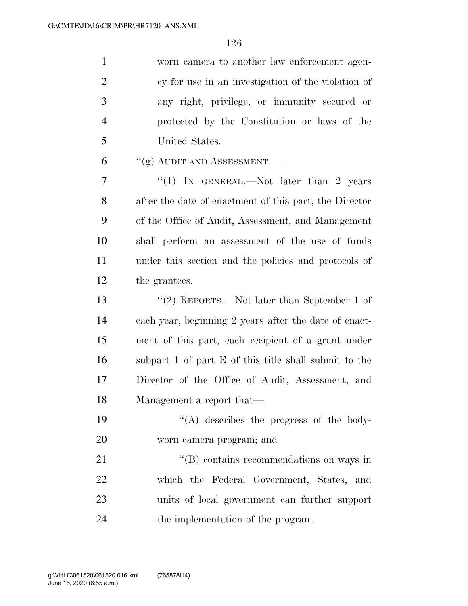|                | worn camera to another law enforcement agen-       |
|----------------|----------------------------------------------------|
| 2              | cy for use in an investigation of the violation of |
| 3              | any right, privilege, or immunity secured or       |
| $\overline{4}$ | protected by the Constitution or laws of the       |
| -5             | United States.                                     |
| 6              | $``(g)$ AUDIT AND ASSESSMENT.—                     |

7 "(1) In GENERAL.—Not later than 2 years after the date of enactment of this part, the Director of the Office of Audit, Assessment, and Management shall perform an assessment of the use of funds under this section and the policies and protocols of the grantees.

 ''(2) REPORTS.—Not later than September 1 of each year, beginning 2 years after the date of enact- ment of this part, each recipient of a grant under subpart 1 of part E of this title shall submit to the Director of the Office of Audit, Assessment, and Management a report that—

 ''(A) describes the progress of the body-worn camera program; and

21 ''(B) contains recommendations on ways in which the Federal Government, States, and units of local government can further support the implementation of the program.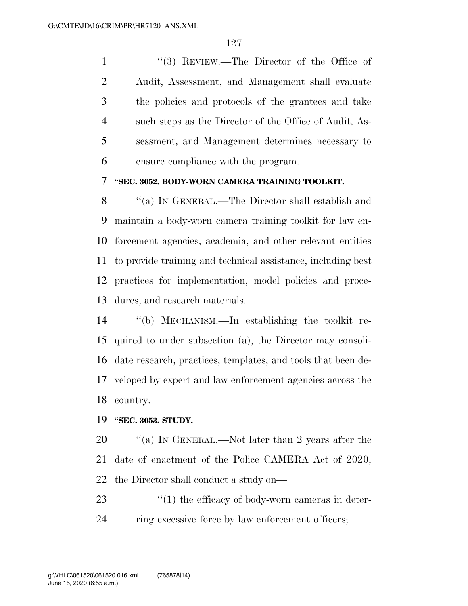''(3) REVIEW.—The Director of the Office of Audit, Assessment, and Management shall evaluate the policies and protocols of the grantees and take such steps as the Director of the Office of Audit, As- sessment, and Management determines necessary to ensure compliance with the program.

#### **''SEC. 3052. BODY-WORN CAMERA TRAINING TOOLKIT.**

 ''(a) IN GENERAL.—The Director shall establish and maintain a body-worn camera training toolkit for law en- forcement agencies, academia, and other relevant entities to provide training and technical assistance, including best practices for implementation, model policies and proce-dures, and research materials.

 ''(b) MECHANISM.—In establishing the toolkit re- quired to under subsection (a), the Director may consoli- date research, practices, templates, and tools that been de- veloped by expert and law enforcement agencies across the country.

#### **''SEC. 3053. STUDY.**

20  $\%$  (a) In GENERAL.—Not later than 2 years after the date of enactment of the Police CAMERA Act of 2020, the Director shall conduct a study on—

23  $\frac{1}{2}$  (1) the efficacy of body-worn cameras in deter-ring excessive force by law enforcement officers;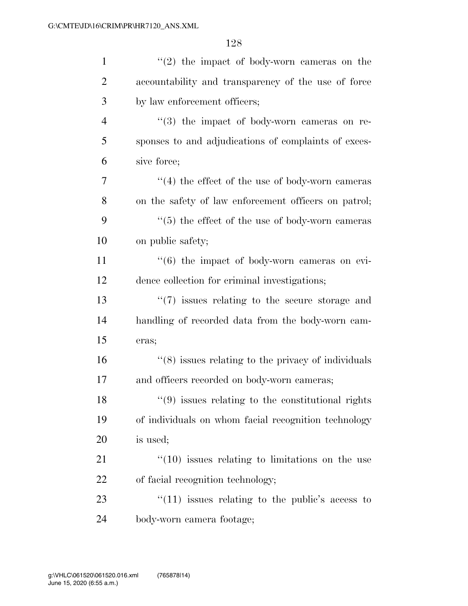| $\mathbf{1}$   | $\lq(2)$ the impact of body-worn cameras on the              |
|----------------|--------------------------------------------------------------|
| $\mathfrak{2}$ | accountability and transparency of the use of force          |
| 3              | by law enforcement officers;                                 |
| $\overline{4}$ | "(3) the impact of body-worn cameras on re-                  |
| 5              | sponses to and adjudications of complaints of exces-         |
| 6              | sive force;                                                  |
| 7              | $\cdot$ (4) the effect of the use of body-worn cameras       |
| 8              | on the safety of law enforcement officers on patrol;         |
| 9              | $\cdot\cdot$ (5) the effect of the use of body-worn cameras  |
| 10             | on public safety;                                            |
| 11             | $\cdot\cdot\cdot(6)$ the impact of body-worn cameras on evi- |
| 12             | dence collection for criminal investigations;                |
| 13             | $\lq(7)$ issues relating to the secure storage and           |
| 14             | handling of recorded data from the body-worn cam-            |
| 15             | eras;                                                        |
| 16             | $\lq(8)$ issues relating to the privacy of individuals       |
| 17             | and officers recorded on body-worn cameras;                  |
| 18             | $\lq(9)$ issues relating to the constitutional rights        |
| 19             | of individuals on whom facial recognition technology         |
| 20             | is used;                                                     |
| 21             | $``(10)$ issues relating to limitations on the use           |
| 22             | of facial recognition technology;                            |
| 23             | $\lq(11)$ issues relating to the public's access to          |
| 24             | body-worn camera footage;                                    |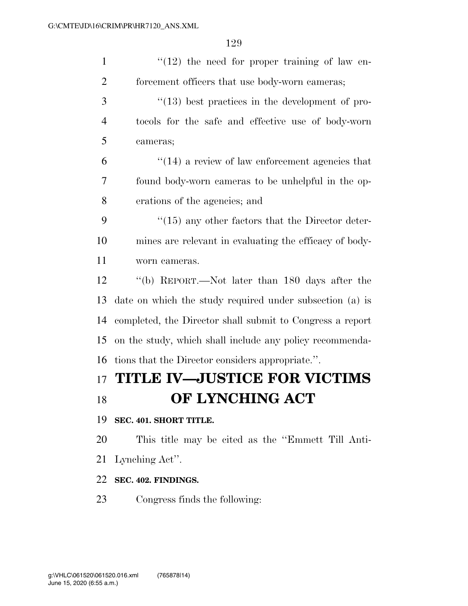| $\mathbf{1}$   | $\lq(12)$ the need for proper training of law en-         |
|----------------|-----------------------------------------------------------|
| $\overline{2}$ | forcement officers that use body-worn cameras;            |
| $\mathfrak{Z}$ | $\cdot$ (13) best practices in the development of pro-    |
| $\overline{4}$ | tocols for the safe and effective use of body-worn        |
| 5              | cameras;                                                  |
| 6              | $\cdot$ (14) a review of law enforcement agencies that    |
| 7              | found body-worn cameras to be unhelpful in the op-        |
| 8              | erations of the agencies; and                             |
| 9              | $\cdot$ (15) any other factors that the Director deter-   |
| 10             | mines are relevant in evaluating the efficacy of body-    |
| 11             | worn cameras.                                             |
| 12             | "(b) REPORT.—Not later than 180 days after the            |
| 13             | date on which the study required under subsection (a) is  |
| 14             | completed, the Director shall submit to Congress a report |
| 15             | on the study, which shall include any policy recommenda-  |
| 16             | tions that the Director considers appropriate.".          |
| 17             | <b>TITLE IV-JUSTICE FOR VICTIMS</b>                       |
| 18             | OF LYNCHING ACT                                           |
| 19             | SEC. 401. SHORT TITLE.                                    |
| 20             | This title may be cited as the "Emmett Till Anti-         |
| 21             | Lynching Act".                                            |
| 22             | SEC. 402. FINDINGS.                                       |
| 23             | Congress finds the following:                             |
|                |                                                           |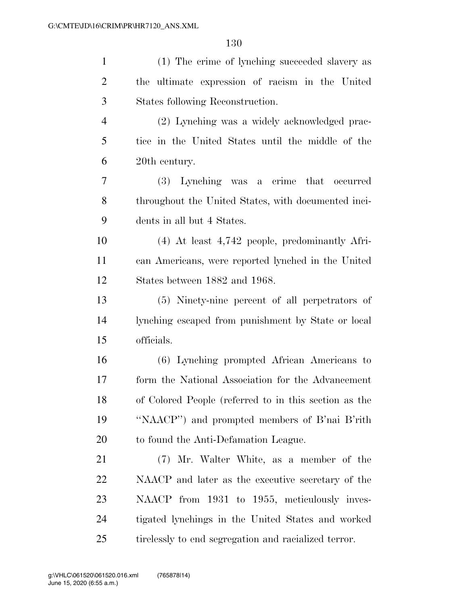| $\mathbf{1}$   | (1) The crime of lynching succeeded slavery as        |
|----------------|-------------------------------------------------------|
| $\overline{2}$ | the ultimate expression of racism in the United       |
| 3              | States following Reconstruction.                      |
| $\overline{4}$ | (2) Lynching was a widely acknowledged prac-          |
| 5              | tice in the United States until the middle of the     |
| 6              | 20th century.                                         |
| 7              | (3) Lynching was a crime that occurred                |
| 8              | throughout the United States, with documented inci-   |
| 9              | dents in all but 4 States.                            |
| 10             | $(4)$ At least $4,742$ people, predominantly Afri-    |
| 11             | can Americans, were reported lynched in the United    |
| 12             | States between 1882 and 1968.                         |
| 13             | (5) Ninety-nine percent of all perpetrators of        |
| 14             | lynching escaped from punishment by State or local    |
| 15             | officials.                                            |
| 16             | (6) Lynching prompted African Americans to            |
| 17             | form the National Association for the Advancement     |
| 18             | of Colored People (referred to in this section as the |
| 19             | "NAACP") and prompted members of B'nai B'rith         |
| 20             | to found the Anti-Defamation League.                  |
| 21             | (7) Mr. Walter White, as a member of the              |
| 22             | NAACP and later as the executive secretary of the     |
| 23             | NAACP from 1931 to 1955, meticulously inves-          |
| 24             | tigated lynchings in the United States and worked     |
| 25             | tirelessly to end segregation and racialized terror.  |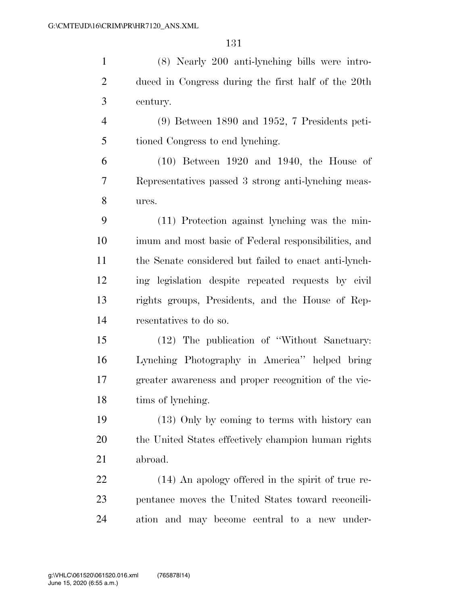| $\mathbf{1}$   | (8) Nearly 200 anti-lynching bills were intro-        |
|----------------|-------------------------------------------------------|
| $\overline{2}$ | duced in Congress during the first half of the 20th   |
| 3              | century.                                              |
| $\overline{4}$ | $(9)$ Between 1890 and 1952, 7 Presidents peti-       |
| 5              | tioned Congress to end lynching.                      |
| 6              | $(10)$ Between 1920 and 1940, the House of            |
| 7              | Representatives passed 3 strong anti-lynching meas-   |
| 8              | ures.                                                 |
| 9              | (11) Protection against lynching was the min-         |
| 10             | imum and most basic of Federal responsibilities, and  |
| 11             | the Senate considered but failed to enact anti-lynch- |
| 12             | ing legislation despite repeated requests by civil    |
| 13             | rights groups, Presidents, and the House of Rep-      |
| 14             | resentatives to do so.                                |
| 15             | (12) The publication of "Without Sanctuary:           |
| 16             | Lynching Photography in America" helped bring         |
| 17             | greater awareness and proper recognition of the vic-  |
| 18             | tims of lynching.                                     |
| 19             | (13) Only by coming to terms with history can         |
| 20             | the United States effectively champion human rights   |
| 21             | abroad.                                               |
| 22             | (14) An apology offered in the spirit of true re-     |
| 23             | pentance moves the United States toward reconcili-    |
| 24             | ation and may become central to a new under-          |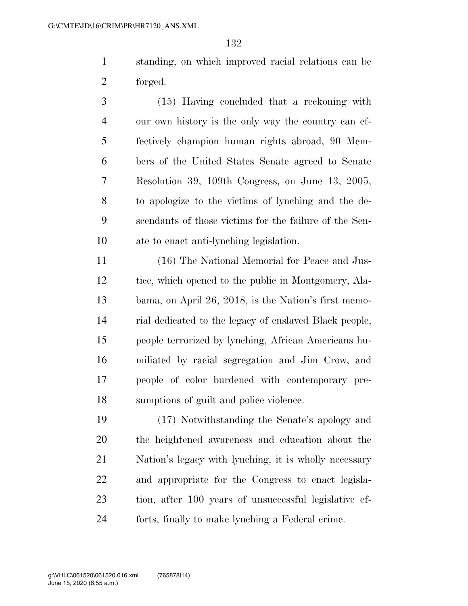standing, on which improved racial relations can be forged.

 (15) Having concluded that a reckoning with our own history is the only way the country can ef- fectively champion human rights abroad, 90 Mem- bers of the United States Senate agreed to Senate Resolution 39, 109th Congress, on June 13, 2005, to apologize to the victims of lynching and the de- scendants of those victims for the failure of the Sen-ate to enact anti-lynching legislation.

 (16) The National Memorial for Peace and Jus- tice, which opened to the public in Montgomery, Ala- bama, on April 26, 2018, is the Nation's first memo- rial dedicated to the legacy of enslaved Black people, people terrorized by lynching, African Americans hu- miliated by racial segregation and Jim Crow, and people of color burdened with contemporary pre-sumptions of guilt and police violence.

 (17) Notwithstanding the Senate's apology and the heightened awareness and education about the Nation's legacy with lynching, it is wholly necessary and appropriate for the Congress to enact legisla- tion, after 100 years of unsuccessful legislative ef-forts, finally to make lynching a Federal crime.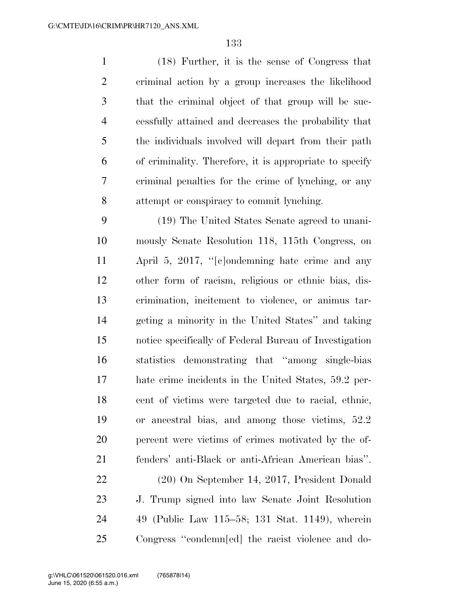(18) Further, it is the sense of Congress that criminal action by a group increases the likelihood that the criminal object of that group will be suc- cessfully attained and decreases the probability that the individuals involved will depart from their path of criminality. Therefore, it is appropriate to specify criminal penalties for the crime of lynching, or any attempt or conspiracy to commit lynching.

 (19) The United States Senate agreed to unani- mously Senate Resolution 118, 115th Congress, on April 5, 2017, ''[c]ondemning hate crime and any other form of racism, religious or ethnic bias, dis- crimination, incitement to violence, or animus tar- geting a minority in the United States'' and taking notice specifically of Federal Bureau of Investigation statistics demonstrating that ''among single-bias hate crime incidents in the United States, 59.2 per- cent of victims were targeted due to racial, ethnic, or ancestral bias, and among those victims, 52.2 percent were victims of crimes motivated by the of- fenders' anti-Black or anti-African American bias''. (20) On September 14, 2017, President Donald J. Trump signed into law Senate Joint Resolution 49 (Public Law 115–58; 131 Stat. 1149), wherein

Congress ''condemn[ed] the racist violence and do-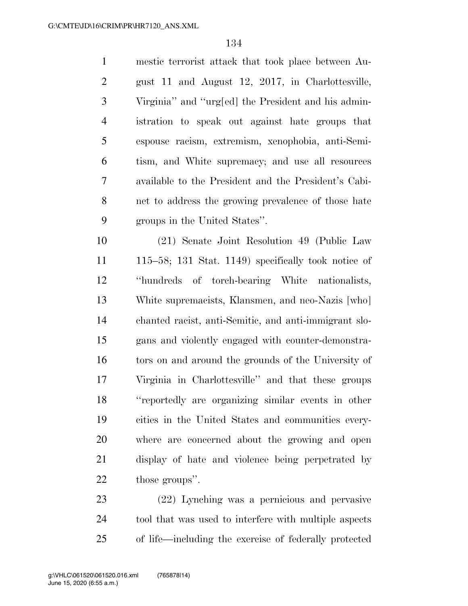mestic terrorist attack that took place between Au- gust 11 and August 12, 2017, in Charlottesville, Virginia'' and ''urg[ed] the President and his admin- istration to speak out against hate groups that espouse racism, extremism, xenophobia, anti-Semi- tism, and White supremacy; and use all resources available to the President and the President's Cabi- net to address the growing prevalence of those hate groups in the United States''.

 (21) Senate Joint Resolution 49 (Public Law 115–58; 131 Stat. 1149) specifically took notice of ''hundreds of torch-bearing White nationalists, White supremacists, Klansmen, and neo-Nazis [who] chanted racist, anti-Semitic, and anti-immigrant slo- gans and violently engaged with counter-demonstra- tors on and around the grounds of the University of Virginia in Charlottesville'' and that these groups ''reportedly are organizing similar events in other cities in the United States and communities every- where are concerned about the growing and open display of hate and violence being perpetrated by those groups''.

 (22) Lynching was a pernicious and pervasive tool that was used to interfere with multiple aspects of life—including the exercise of federally protected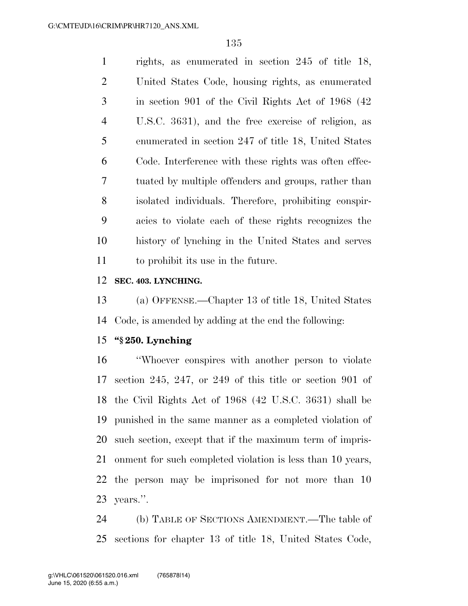rights, as enumerated in section 245 of title 18, United States Code, housing rights, as enumerated in section 901 of the Civil Rights Act of 1968 (42 U.S.C. 3631), and the free exercise of religion, as enumerated in section 247 of title 18, United States Code. Interference with these rights was often effec- tuated by multiple offenders and groups, rather than isolated individuals. Therefore, prohibiting conspir- acies to violate each of these rights recognizes the history of lynching in the United States and serves to prohibit its use in the future.

#### **SEC. 403. LYNCHING.**

 (a) OFFENSE.—Chapter 13 of title 18, United States Code, is amended by adding at the end the following:

## **''§ 250. Lynching**

 ''Whoever conspires with another person to violate section 245, 247, or 249 of this title or section 901 of the Civil Rights Act of 1968 (42 U.S.C. 3631) shall be punished in the same manner as a completed violation of such section, except that if the maximum term of impris- onment for such completed violation is less than 10 years, the person may be imprisoned for not more than 10 years.''.

 (b) TABLE OF SECTIONS AMENDMENT.—The table of sections for chapter 13 of title 18, United States Code,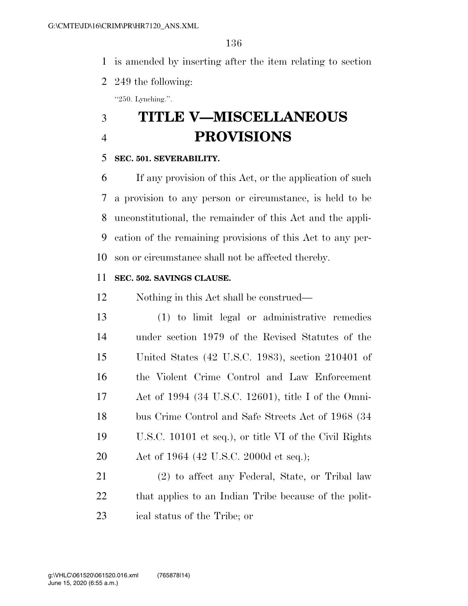is amended by inserting after the item relating to section

249 the following:

''250. Lynching.''.

# **TITLE V—MISCELLANEOUS PROVISIONS**

#### **SEC. 501. SEVERABILITY.**

 If any provision of this Act, or the application of such a provision to any person or circumstance, is held to be unconstitutional, the remainder of this Act and the appli- cation of the remaining provisions of this Act to any per-son or circumstance shall not be affected thereby.

## **SEC. 502. SAVINGS CLAUSE.**

Nothing in this Act shall be construed—

 (1) to limit legal or administrative remedies under section 1979 of the Revised Statutes of the United States (42 U.S.C. 1983), section 210401 of the Violent Crime Control and Law Enforcement Act of 1994 (34 U.S.C. 12601), title I of the Omni- bus Crime Control and Safe Streets Act of 1968 (34 U.S.C. 10101 et seq.), or title VI of the Civil Rights 20 Act of 1964 (42 U.S.C. 2000d et seq.);

 (2) to affect any Federal, State, or Tribal law that applies to an Indian Tribe because of the polit-ical status of the Tribe; or